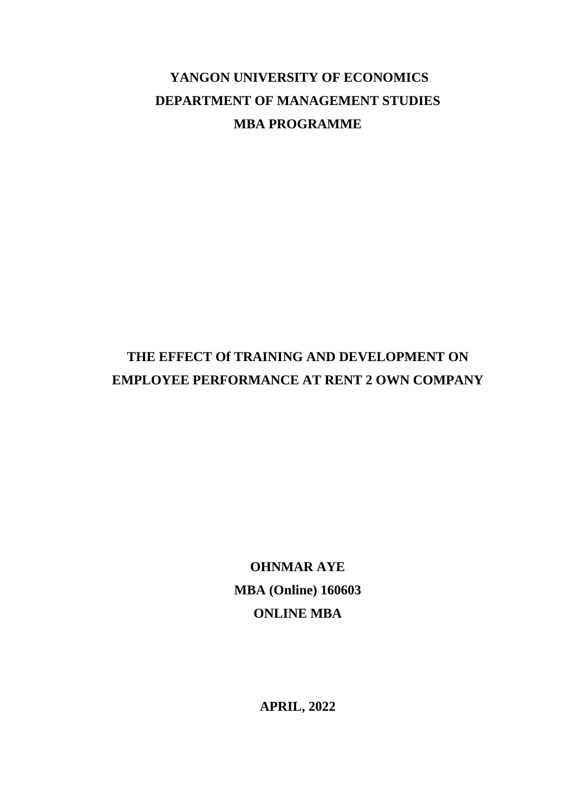# **YANGON UNIVERSITY OF ECONOMICS DEPARTMENT OF MANAGEMENT STUDIES MBA PROGRAMME**

# **THE EFFECT Of TRAINING AND DEVELOPMENT ON EMPLOYEE PERFORMANCE AT RENT 2 OWN COMPANY**

**OHNMAR AYE MBA (Online) 160603 ONLINE MBA**

**APRIL, 2022**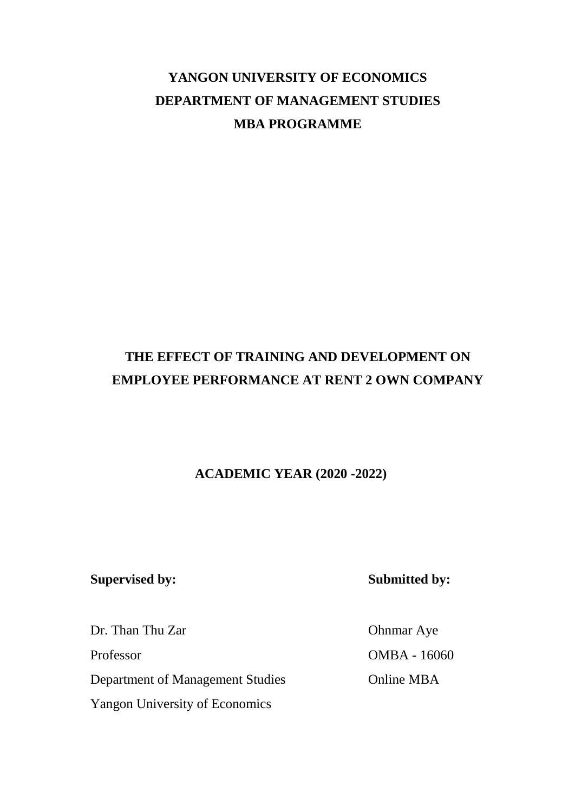# **YANGON UNIVERSITY OF ECONOMICS DEPARTMENT OF MANAGEMENT STUDIES MBA PROGRAMME**

# **THE EFFECT OF TRAINING AND DEVELOPMENT ON EMPLOYEE PERFORMANCE AT RENT 2 OWN COMPANY**

### **ACADEMIC YEAR (2020 -2022)**

Dr. Than Thu Zar Ohnmar Aye Professor OMBA - 16060 Department of Management Studies Online MBA Yangon University of Economics

**Supervised by: Submitted by:**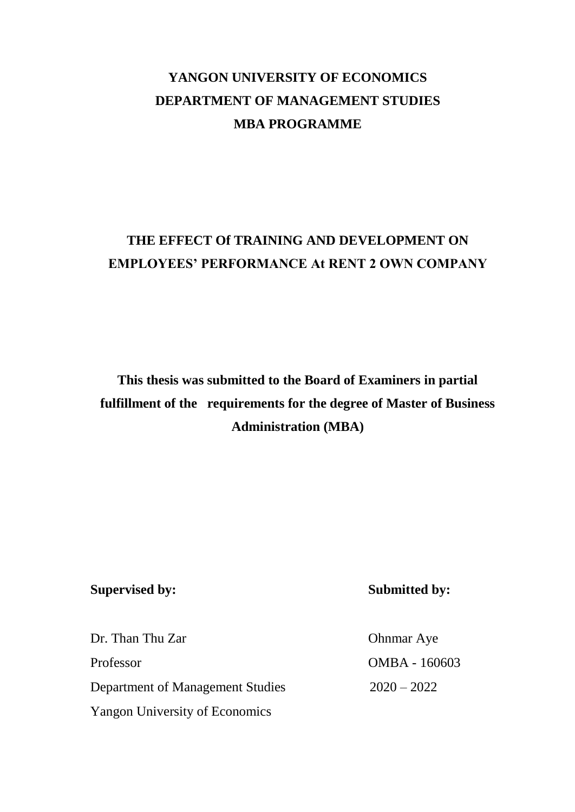# **YANGON UNIVERSITY OF ECONOMICS DEPARTMENT OF MANAGEMENT STUDIES MBA PROGRAMME**

# **THE EFFECT Of TRAINING AND DEVELOPMENT ON EMPLOYEES' PERFORMANCE At RENT 2 OWN COMPANY**

**This thesis was submitted to the Board of Examiners in partial fulfillment of the requirements for the degree of Master of Business Administration (MBA)**

### **Supervised by: Submitted by:**

| Dr. Than Thu Zar                      | <b>Ohnmar</b> Aye |
|---------------------------------------|-------------------|
| Professor                             | OMBA - 160603     |
| Department of Management Studies      | $2020 - 2022$     |
| <b>Yangon University of Economics</b> |                   |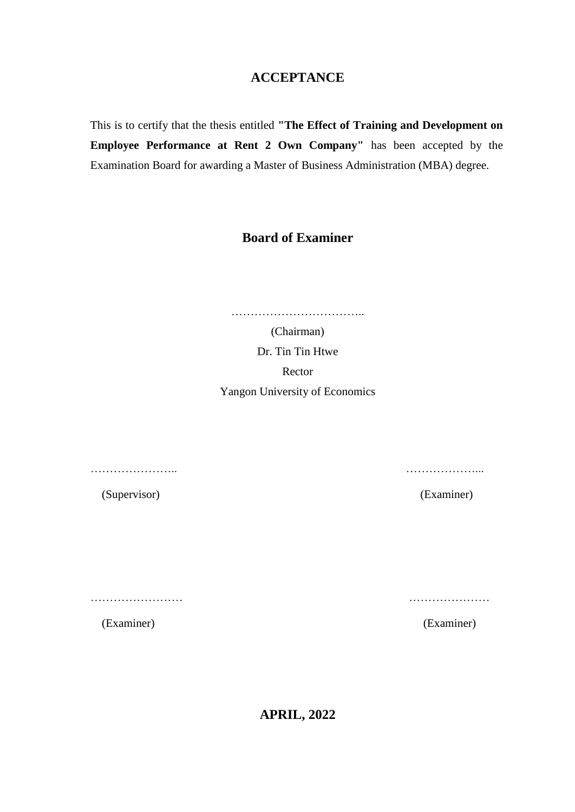### **ACCEPTANCE**

This is to certify that the thesis entitled **"The Effect of Training and Development on Employee Performance at Rent 2 Own Company"** has been accepted by the Examination Board for awarding a Master of Business Administration (MBA) degree.

### **Board of Examiner**

……………………………..

(Chairman) Dr. Tin Tin Htwe Rector Yangon University of Economics

………………….. ………………...

(Supervisor) (Examiner)

…………………… …………………

(Examiner) (Examiner)

**APRIL, 2022**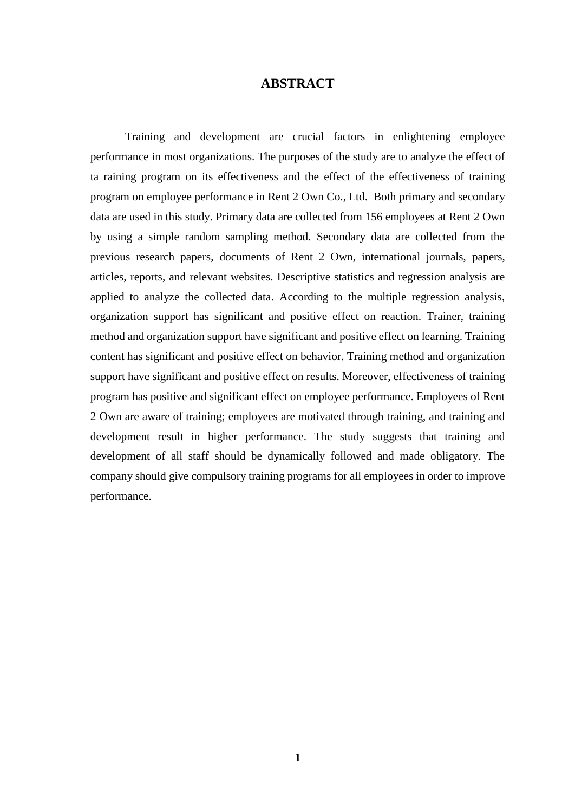### **ABSTRACT**

Training and development are crucial factors in enlightening employee performance in most organizations. The purposes of the study are to analyze the effect of ta raining program on its effectiveness and the effect of the effectiveness of training program on employee performance in Rent 2 Own Co., Ltd. Both primary and secondary data are used in this study. Primary data are collected from 156 employees at Rent 2 Own by using a simple random sampling method. Secondary data are collected from the previous research papers, documents of Rent 2 Own, international journals, papers, articles, reports, and relevant websites. Descriptive statistics and regression analysis are applied to analyze the collected data. According to the multiple regression analysis, organization support has significant and positive effect on reaction. Trainer, training method and organization support have significant and positive effect on learning. Training content has significant and positive effect on behavior. Training method and organization support have significant and positive effect on results. Moreover, effectiveness of training program has positive and significant effect on employee performance. Employees of Rent 2 Own are aware of training; employees are motivated through training, and training and development result in higher performance. The study suggests that training and development of all staff should be dynamically followed and made obligatory. The company should give compulsory training programs for all employees in order to improve performance.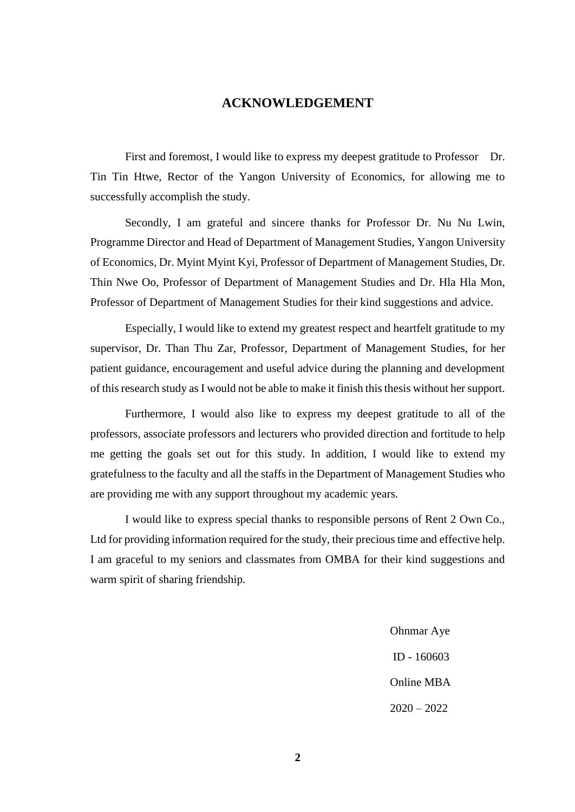#### **ACKNOWLEDGEMENT**

First and foremost, I would like to express my deepest gratitude to Professor Dr. Tin Tin Htwe, Rector of the Yangon University of Economics, for allowing me to successfully accomplish the study.

Secondly, I am grateful and sincere thanks for Professor Dr. Nu Nu Lwin, Programme Director and Head of Department of Management Studies, Yangon University of Economics, Dr. Myint Myint Kyi, Professor of Department of Management Studies, Dr. Thin Nwe Oo, Professor of Department of Management Studies and Dr. Hla Hla Mon, Professor of Department of Management Studies for their kind suggestions and advice.

Especially, I would like to extend my greatest respect and heartfelt gratitude to my supervisor, Dr. Than Thu Zar, Professor, Department of Management Studies, for her patient guidance, encouragement and useful advice during the planning and development of this research study as I would not be able to make it finish this thesis without her support.

Furthermore, I would also like to express my deepest gratitude to all of the professors, associate professors and lecturers who provided direction and fortitude to help me getting the goals set out for this study. In addition, I would like to extend my gratefulness to the faculty and all the staffs in the Department of Management Studies who are providing me with any support throughout my academic years.

I would like to express special thanks to responsible persons of Rent 2 Own Co., Ltd for providing information required for the study, their precious time and effective help. I am graceful to my seniors and classmates from OMBA for their kind suggestions and warm spirit of sharing friendship.

> Ohnmar Aye ID - 160603 Online MBA 2020 – 2022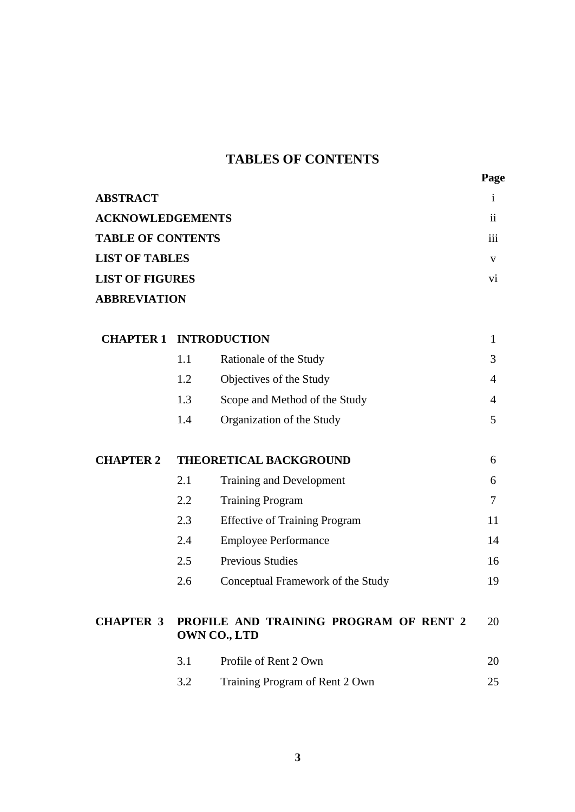## **TABLES OF CONTENTS**

| <b>ABSTRACT</b>          |                 |
|--------------------------|-----------------|
| <b>ACKNOWLEDGEMENTS</b>  | $\mathbf{ii}$   |
| <b>TABLE OF CONTENTS</b> | $\cdots$<br>111 |
| <b>LIST OF TABLES</b>    | v               |
| <b>LIST OF FIGURES</b>   | V1              |
| <b>ABBREVIATION</b>      |                 |

| <b>CHAPTER 1</b> |     | <b>INTRODUCTION</b>                                    | $\mathbf{1}$   |
|------------------|-----|--------------------------------------------------------|----------------|
|                  | 1.1 | Rationale of the Study                                 | 3              |
|                  | 1.2 | Objectives of the Study                                | 4              |
|                  | 1.3 | Scope and Method of the Study                          | 4              |
|                  | 1.4 | Organization of the Study                              | 5              |
| <b>CHAPTER 2</b> |     | <b>THEORETICAL BACKGROUND</b>                          | 6              |
|                  | 2.1 | Training and Development                               | 6              |
|                  | 2.2 | <b>Training Program</b>                                | $\overline{7}$ |
|                  | 2.3 | <b>Effective of Training Program</b>                   | 11             |
|                  | 2.4 | <b>Employee Performance</b>                            | 14             |
|                  | 2.5 | <b>Previous Studies</b>                                | 16             |
|                  | 2.6 | Conceptual Framework of the Study                      | 19             |
| <b>CHAPTER 3</b> |     | PROFILE AND TRAINING PROGRAM OF RENT 2<br>OWN CO., LTD | 20             |
|                  | 3.1 | Profile of Rent 2 Own                                  | 20             |
|                  | 3.2 | Training Program of Rent 2 Own                         | 25             |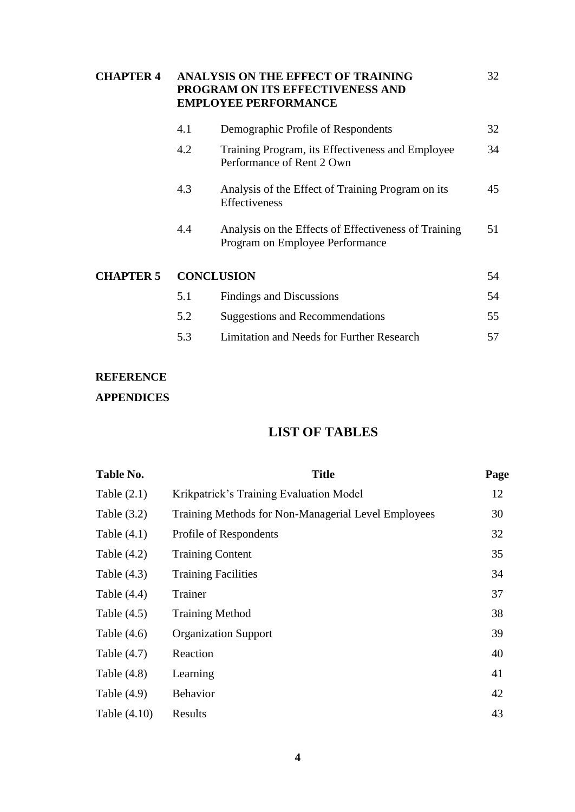| <b>CHAPTER 4</b> |     | ANALYSIS ON THE EFFECT OF TRAINING<br>PROGRAM ON ITS EFFECTIVENESS AND<br><b>EMPLOYEE PERFORMANCE</b> | 32 |
|------------------|-----|-------------------------------------------------------------------------------------------------------|----|
|                  | 4.1 | Demographic Profile of Respondents                                                                    | 32 |
|                  | 4.2 | Training Program, its Effectiveness and Employee<br>Performance of Rent 2 Own                         | 34 |
|                  | 4.3 | Analysis of the Effect of Training Program on its<br><b>Effectiveness</b>                             | 45 |
|                  | 4.4 | Analysis on the Effects of Effectiveness of Training<br>Program on Employee Performance               | 51 |
| <b>CHAPTER 5</b> |     | <b>CONCLUSION</b>                                                                                     | 54 |
|                  | 5.1 | Findings and Discussions                                                                              | 54 |
|                  | 5.2 | <b>Suggestions and Recommendations</b>                                                                | 55 |
|                  | 5.3 | Limitation and Needs for Further Research                                                             | 57 |

### **REFERENCE**

### **APPENDICES**

## **LIST OF TABLES**

| Table No.     | <b>Title</b>                                        | Page |
|---------------|-----------------------------------------------------|------|
| Table $(2.1)$ | Krikpatrick's Training Evaluation Model             | 12   |
| Table $(3.2)$ | Training Methods for Non-Managerial Level Employees | 30   |
| Table $(4.1)$ | Profile of Respondents                              | 32   |
| Table $(4.2)$ | <b>Training Content</b>                             | 35   |
| Table $(4.3)$ | <b>Training Facilities</b>                          | 34   |
| Table $(4.4)$ | Trainer                                             | 37   |
| Table $(4.5)$ | <b>Training Method</b>                              | 38   |
| Table $(4.6)$ | <b>Organization Support</b>                         | 39   |
| Table $(4.7)$ | Reaction                                            | 40   |
| Table $(4.8)$ | Learning                                            | 41   |
| Table $(4.9)$ | <b>Behavior</b>                                     | 42   |
| Table (4.10)  | Results                                             | 43   |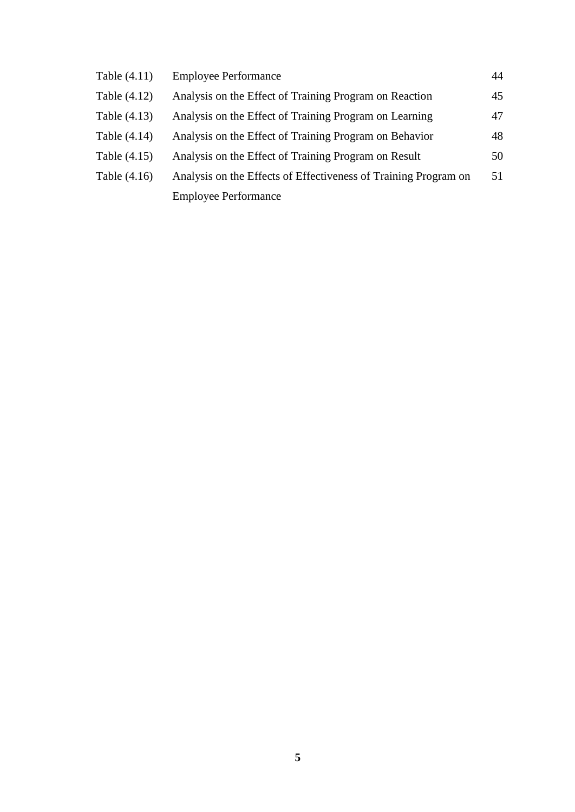| Table (4.11)   | <b>Employee Performance</b>                                     | 44 |
|----------------|-----------------------------------------------------------------|----|
| Table (4.12)   | Analysis on the Effect of Training Program on Reaction          | 45 |
| Table (4.13)   | Analysis on the Effect of Training Program on Learning          | 47 |
| Table (4.14)   | Analysis on the Effect of Training Program on Behavior          | 48 |
| Table (4.15)   | Analysis on the Effect of Training Program on Result            | 50 |
| Table $(4.16)$ | Analysis on the Effects of Effectiveness of Training Program on | 51 |
|                | <b>Employee Performance</b>                                     |    |
|                |                                                                 |    |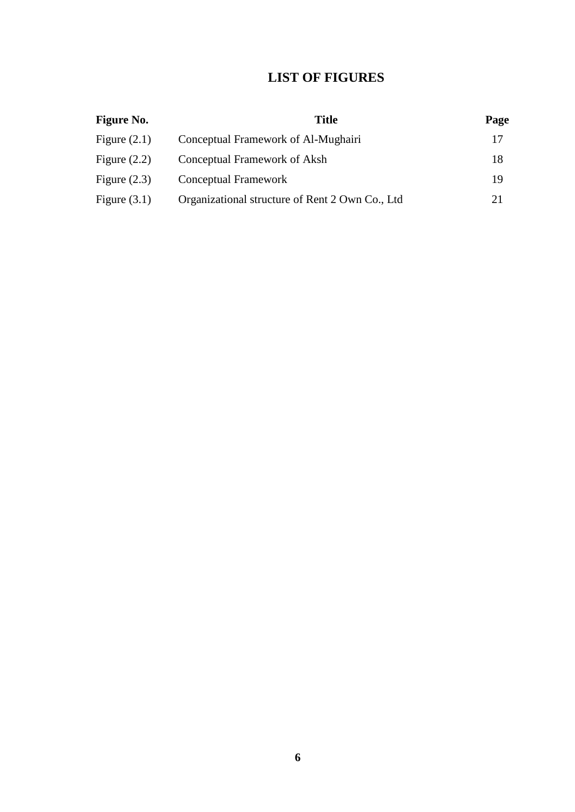### **LIST OF FIGURES**

| <b>Figure No.</b> | <b>Title</b>                                    | Page |
|-------------------|-------------------------------------------------|------|
| Figure $(2.1)$    | Conceptual Framework of Al-Mughairi             | 17   |
| Figure $(2.2)$    | Conceptual Framework of Aksh                    | 18   |
| Figure $(2.3)$    | Conceptual Framework                            | 19   |
| Figure $(3.1)$    | Organizational structure of Rent 2 Own Co., Ltd | 21   |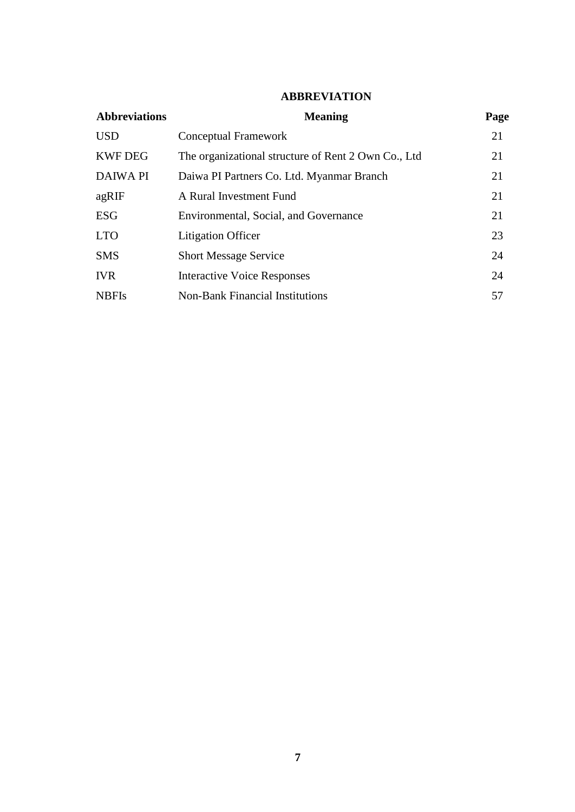#### **ABBREVIATION**

| <b>Abbreviations</b> | <b>Meaning</b>                                      | Page |
|----------------------|-----------------------------------------------------|------|
| <b>USD</b>           | Conceptual Framework                                | 21   |
| <b>KWF DEG</b>       | The organizational structure of Rent 2 Own Co., Ltd | 21   |
| <b>DAIWA PI</b>      | Daiwa PI Partners Co. Ltd. Myanmar Branch           | 21   |
| agRIF                | A Rural Investment Fund                             | 21   |
| <b>ESG</b>           | Environmental, Social, and Governance               | 21   |
| <b>LTO</b>           | <b>Litigation Officer</b>                           | 23   |
| <b>SMS</b>           | <b>Short Message Service</b>                        | 24   |
| <b>IVR</b>           | <b>Interactive Voice Responses</b>                  | 24   |
| <b>NBFIs</b>         | <b>Non-Bank Financial Institutions</b>              | 57   |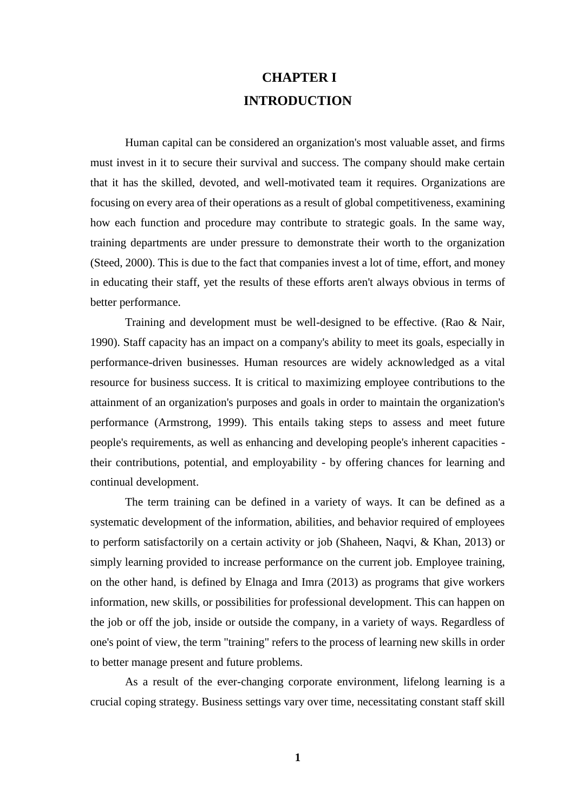# **CHAPTER I INTRODUCTION**

Human capital can be considered an organization's most valuable asset, and firms must invest in it to secure their survival and success. The company should make certain that it has the skilled, devoted, and well-motivated team it requires. Organizations are focusing on every area of their operations as a result of global competitiveness, examining how each function and procedure may contribute to strategic goals. In the same way, training departments are under pressure to demonstrate their worth to the organization (Steed, 2000). This is due to the fact that companies invest a lot of time, effort, and money in educating their staff, yet the results of these efforts aren't always obvious in terms of better performance.

Training and development must be well-designed to be effective. (Rao & Nair, 1990). Staff capacity has an impact on a company's ability to meet its goals, especially in performance-driven businesses. Human resources are widely acknowledged as a vital resource for business success. It is critical to maximizing employee contributions to the attainment of an organization's purposes and goals in order to maintain the organization's performance (Armstrong, 1999). This entails taking steps to assess and meet future people's requirements, as well as enhancing and developing people's inherent capacities their contributions, potential, and employability - by offering chances for learning and continual development.

The term training can be defined in a variety of ways. It can be defined as a systematic development of the information, abilities, and behavior required of employees to perform satisfactorily on a certain activity or job (Shaheen, Naqvi, & Khan, 2013) or simply learning provided to increase performance on the current job. Employee training, on the other hand, is defined by Elnaga and Imra (2013) as programs that give workers information, new skills, or possibilities for professional development. This can happen on the job or off the job, inside or outside the company, in a variety of ways. Regardless of one's point of view, the term "training" refers to the process of learning new skills in order to better manage present and future problems.

As a result of the ever-changing corporate environment, lifelong learning is a crucial coping strategy. Business settings vary over time, necessitating constant staff skill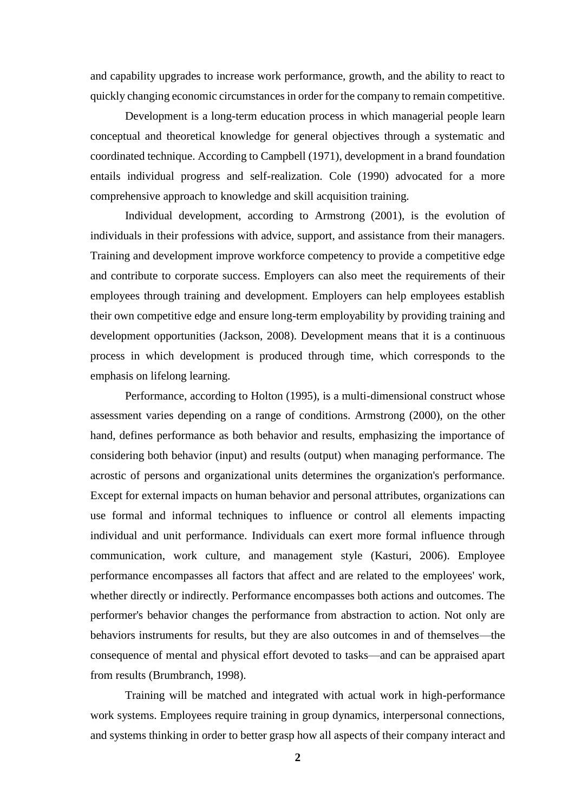and capability upgrades to increase work performance, growth, and the ability to react to quickly changing economic circumstances in order for the company to remain competitive.

Development is a long-term education process in which managerial people learn conceptual and theoretical knowledge for general objectives through a systematic and coordinated technique. According to Campbell (1971), development in a brand foundation entails individual progress and self-realization. Cole (1990) advocated for a more comprehensive approach to knowledge and skill acquisition training.

Individual development, according to Armstrong (2001), is the evolution of individuals in their professions with advice, support, and assistance from their managers. Training and development improve workforce competency to provide a competitive edge and contribute to corporate success. Employers can also meet the requirements of their employees through training and development. Employers can help employees establish their own competitive edge and ensure long-term employability by providing training and development opportunities (Jackson, 2008). Development means that it is a continuous process in which development is produced through time, which corresponds to the emphasis on lifelong learning.

Performance, according to Holton (1995), is a multi-dimensional construct whose assessment varies depending on a range of conditions. Armstrong (2000), on the other hand, defines performance as both behavior and results, emphasizing the importance of considering both behavior (input) and results (output) when managing performance. The acrostic of persons and organizational units determines the organization's performance. Except for external impacts on human behavior and personal attributes, organizations can use formal and informal techniques to influence or control all elements impacting individual and unit performance. Individuals can exert more formal influence through communication, work culture, and management style (Kasturi, 2006). Employee performance encompasses all factors that affect and are related to the employees' work, whether directly or indirectly. Performance encompasses both actions and outcomes. The performer's behavior changes the performance from abstraction to action. Not only are behaviors instruments for results, but they are also outcomes in and of themselves—the consequence of mental and physical effort devoted to tasks—and can be appraised apart from results (Brumbranch, 1998).

Training will be matched and integrated with actual work in high-performance work systems. Employees require training in group dynamics, interpersonal connections, and systems thinking in order to better grasp how all aspects of their company interact and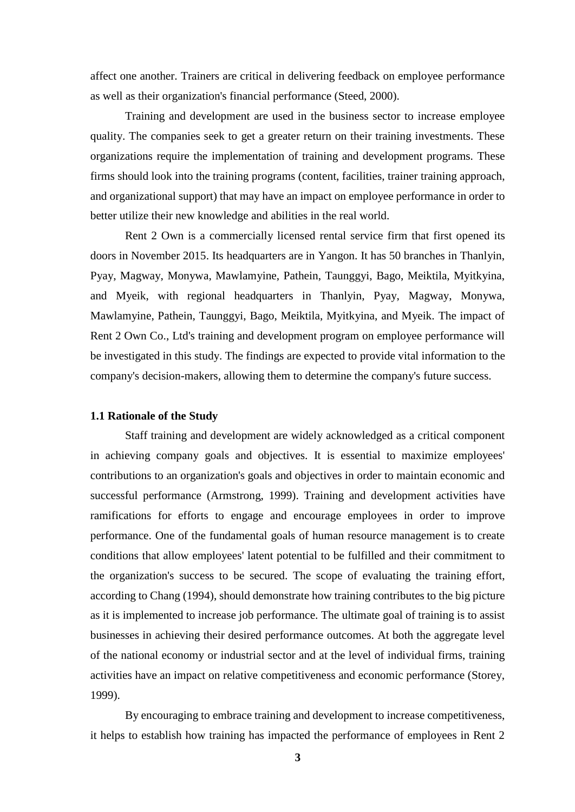affect one another. Trainers are critical in delivering feedback on employee performance as well as their organization's financial performance (Steed, 2000).

Training and development are used in the business sector to increase employee quality. The companies seek to get a greater return on their training investments. These organizations require the implementation of training and development programs. These firms should look into the training programs (content, facilities, trainer training approach, and organizational support) that may have an impact on employee performance in order to better utilize their new knowledge and abilities in the real world.

Rent 2 Own is a commercially licensed rental service firm that first opened its doors in November 2015. Its headquarters are in Yangon. It has 50 branches in Thanlyin, Pyay, Magway, Monywa, Mawlamyine, Pathein, Taunggyi, Bago, Meiktila, Myitkyina, and Myeik, with regional headquarters in Thanlyin, Pyay, Magway, Monywa, Mawlamyine, Pathein, Taunggyi, Bago, Meiktila, Myitkyina, and Myeik. The impact of Rent 2 Own Co., Ltd's training and development program on employee performance will be investigated in this study. The findings are expected to provide vital information to the company's decision-makers, allowing them to determine the company's future success.

#### **1.1 Rationale of the Study**

Staff training and development are widely acknowledged as a critical component in achieving company goals and objectives. It is essential to maximize employees' contributions to an organization's goals and objectives in order to maintain economic and successful performance (Armstrong, 1999). Training and development activities have ramifications for efforts to engage and encourage employees in order to improve performance. One of the fundamental goals of human resource management is to create conditions that allow employees' latent potential to be fulfilled and their commitment to the organization's success to be secured. The scope of evaluating the training effort, according to Chang (1994), should demonstrate how training contributes to the big picture as it is implemented to increase job performance. The ultimate goal of training is to assist businesses in achieving their desired performance outcomes. At both the aggregate level of the national economy or industrial sector and at the level of individual firms, training activities have an impact on relative competitiveness and economic performance (Storey, 1999).

By encouraging to embrace training and development to increase competitiveness, it helps to establish how training has impacted the performance of employees in Rent 2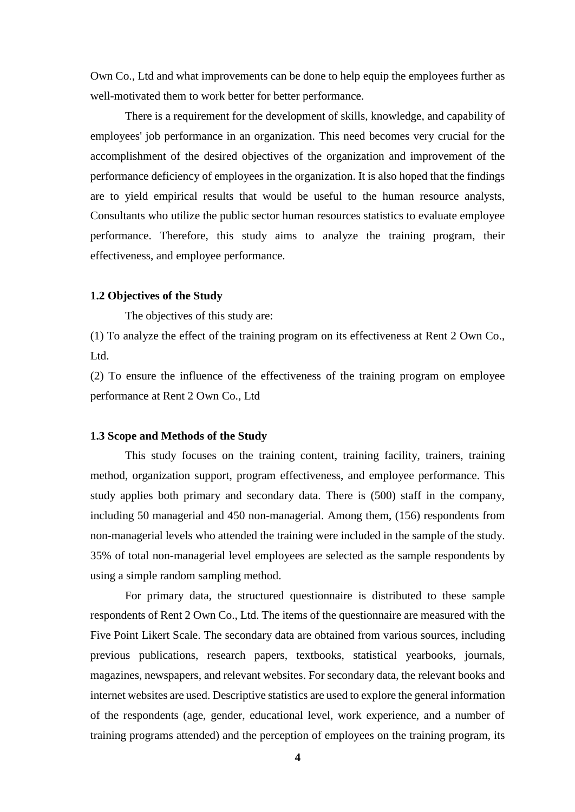Own Co., Ltd and what improvements can be done to help equip the employees further as well-motivated them to work better for better performance.

There is a requirement for the development of skills, knowledge, and capability of employees' job performance in an organization. This need becomes very crucial for the accomplishment of the desired objectives of the organization and improvement of the performance deficiency of employees in the organization. It is also hoped that the findings are to yield empirical results that would be useful to the human resource analysts, Consultants who utilize the public sector human resources statistics to evaluate employee performance. Therefore, this study aims to analyze the training program, their effectiveness, and employee performance.

#### **1.2 Objectives of the Study**

The objectives of this study are:

(1) To analyze the effect of the training program on its effectiveness at Rent 2 Own Co., Ltd.

(2) To ensure the influence of the effectiveness of the training program on employee performance at Rent 2 Own Co., Ltd

#### **1.3 Scope and Methods of the Study**

This study focuses on the training content, training facility, trainers, training method, organization support, program effectiveness, and employee performance. This study applies both primary and secondary data. There is (500) staff in the company, including 50 managerial and 450 non-managerial. Among them, (156) respondents from non-managerial levels who attended the training were included in the sample of the study. 35% of total non-managerial level employees are selected as the sample respondents by using a simple random sampling method.

For primary data, the structured questionnaire is distributed to these sample respondents of Rent 2 Own Co., Ltd. The items of the questionnaire are measured with the Five Point Likert Scale. The secondary data are obtained from various sources, including previous publications, research papers, textbooks, statistical yearbooks, journals, magazines, newspapers, and relevant websites. For secondary data, the relevant books and internet websites are used. Descriptive statistics are used to explore the general information of the respondents (age, gender, educational level, work experience, and a number of training programs attended) and the perception of employees on the training program, its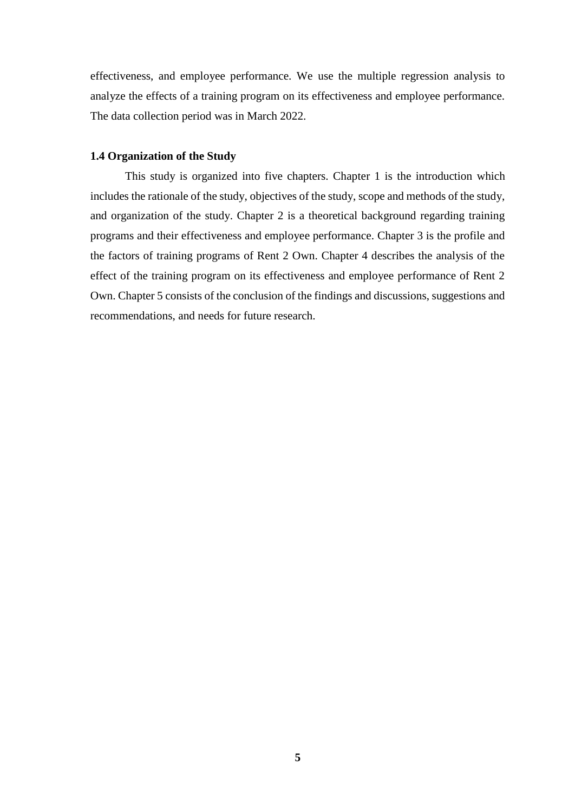effectiveness, and employee performance. We use the multiple regression analysis to analyze the effects of a training program on its effectiveness and employee performance. The data collection period was in March 2022.

#### **1.4 Organization of the Study**

This study is organized into five chapters. Chapter 1 is the introduction which includes the rationale of the study, objectives of the study, scope and methods of the study, and organization of the study. Chapter 2 is a theoretical background regarding training programs and their effectiveness and employee performance. Chapter 3 is the profile and the factors of training programs of Rent 2 Own. Chapter 4 describes the analysis of the effect of the training program on its effectiveness and employee performance of Rent 2 Own. Chapter 5 consists of the conclusion of the findings and discussions, suggestions and recommendations, and needs for future research.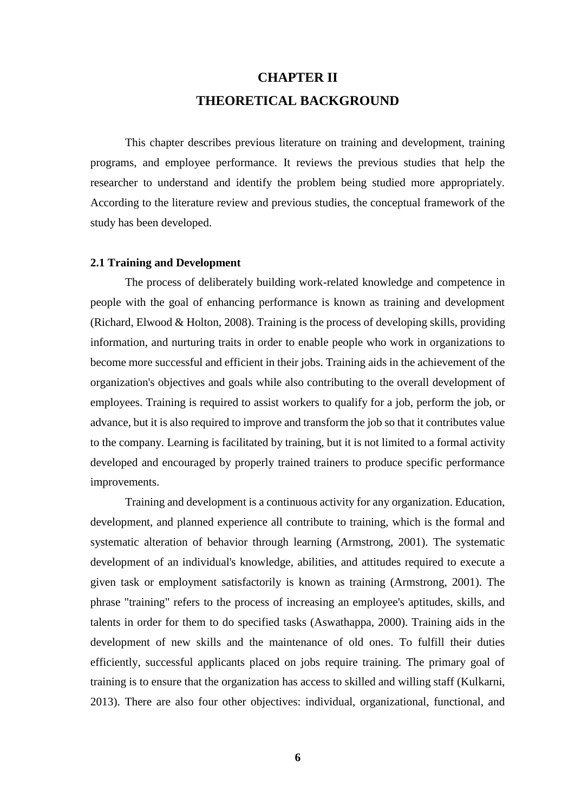# **CHAPTER II THEORETICAL BACKGROUND**

This chapter describes previous literature on training and development, training programs, and employee performance. It reviews the previous studies that help the researcher to understand and identify the problem being studied more appropriately. According to the literature review and previous studies, the conceptual framework of the study has been developed.

#### **2.1 Training and Development**

The process of deliberately building work-related knowledge and competence in people with the goal of enhancing performance is known as training and development (Richard, Elwood & Holton, 2008). Training is the process of developing skills, providing information, and nurturing traits in order to enable people who work in organizations to become more successful and efficient in their jobs. Training aids in the achievement of the organization's objectives and goals while also contributing to the overall development of employees. Training is required to assist workers to qualify for a job, perform the job, or advance, but it is also required to improve and transform the job so that it contributes value to the company. Learning is facilitated by training, but it is not limited to a formal activity developed and encouraged by properly trained trainers to produce specific performance improvements.

Training and development is a continuous activity for any organization. Education, development, and planned experience all contribute to training, which is the formal and systematic alteration of behavior through learning (Armstrong, 2001). The systematic development of an individual's knowledge, abilities, and attitudes required to execute a given task or employment satisfactorily is known as training (Armstrong, 2001). The phrase "training" refers to the process of increasing an employee's aptitudes, skills, and talents in order for them to do specified tasks (Aswathappa, 2000). Training aids in the development of new skills and the maintenance of old ones. To fulfill their duties efficiently, successful applicants placed on jobs require training. The primary goal of training is to ensure that the organization has access to skilled and willing staff (Kulkarni, 2013). There are also four other objectives: individual, organizational, functional, and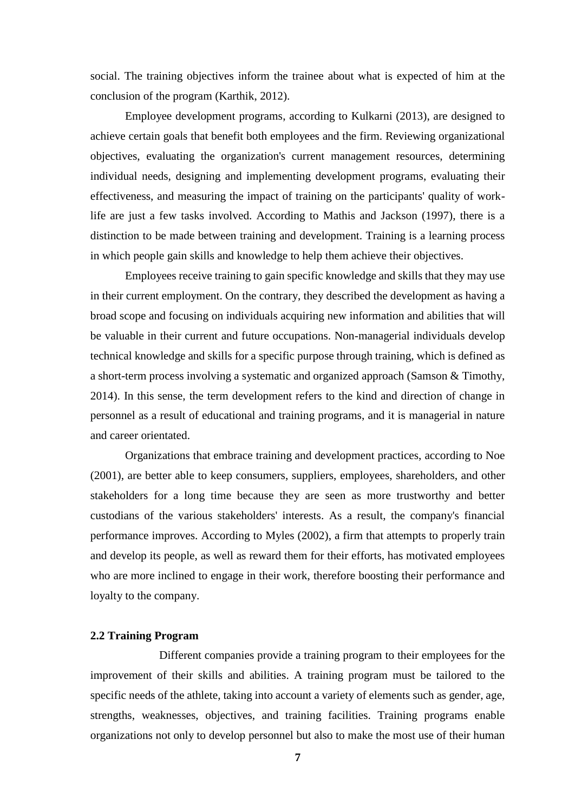social. The training objectives inform the trainee about what is expected of him at the conclusion of the program (Karthik, 2012).

Employee development programs, according to Kulkarni (2013), are designed to achieve certain goals that benefit both employees and the firm. Reviewing organizational objectives, evaluating the organization's current management resources, determining individual needs, designing and implementing development programs, evaluating their effectiveness, and measuring the impact of training on the participants' quality of worklife are just a few tasks involved. According to Mathis and Jackson (1997), there is a distinction to be made between training and development. Training is a learning process in which people gain skills and knowledge to help them achieve their objectives.

Employees receive training to gain specific knowledge and skills that they may use in their current employment. On the contrary, they described the development as having a broad scope and focusing on individuals acquiring new information and abilities that will be valuable in their current and future occupations. Non-managerial individuals develop technical knowledge and skills for a specific purpose through training, which is defined as a short-term process involving a systematic and organized approach (Samson & Timothy, 2014). In this sense, the term development refers to the kind and direction of change in personnel as a result of educational and training programs, and it is managerial in nature and career orientated.

Organizations that embrace training and development practices, according to Noe (2001), are better able to keep consumers, suppliers, employees, shareholders, and other stakeholders for a long time because they are seen as more trustworthy and better custodians of the various stakeholders' interests. As a result, the company's financial performance improves. According to Myles (2002), a firm that attempts to properly train and develop its people, as well as reward them for their efforts, has motivated employees who are more inclined to engage in their work, therefore boosting their performance and loyalty to the company.

#### **2.2 Training Program**

Different companies provide a training program to their employees for the improvement of their skills and abilities. A training program must be tailored to the specific needs of the athlete, taking into account a variety of elements such as gender, age, strengths, weaknesses, objectives, and training facilities. Training programs enable organizations not only to develop personnel but also to make the most use of their human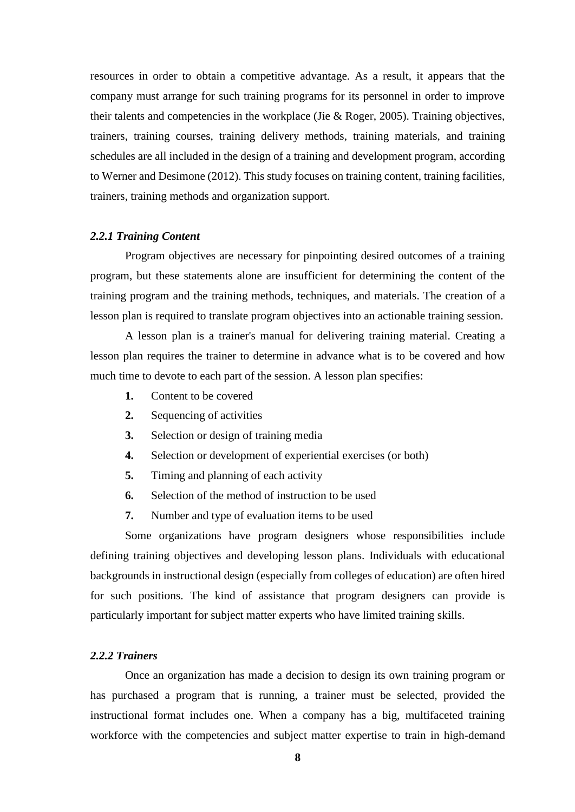resources in order to obtain a competitive advantage. As a result, it appears that the company must arrange for such training programs for its personnel in order to improve their talents and competencies in the workplace (Jie & Roger, 2005). Training objectives, trainers, training courses, training delivery methods, training materials, and training schedules are all included in the design of a training and development program, according to Werner and Desimone (2012). This study focuses on training content, training facilities, trainers, training methods and organization support.

#### *2.2.1 Training Content*

Program objectives are necessary for pinpointing desired outcomes of a training program, but these statements alone are insufficient for determining the content of the training program and the training methods, techniques, and materials. The creation of a lesson plan is required to translate program objectives into an actionable training session.

A lesson plan is a trainer's manual for delivering training material. Creating a lesson plan requires the trainer to determine in advance what is to be covered and how much time to devote to each part of the session. A lesson plan specifies:

- **1.** Content to be covered
- **2.** Sequencing of activities
- **3.** Selection or design of training media
- **4.** Selection or development of experiential exercises (or both)
- **5.** Timing and planning of each activity
- **6.** Selection of the method of instruction to be used
- **7.** Number and type of evaluation items to be used

Some organizations have program designers whose responsibilities include defining training objectives and developing lesson plans. Individuals with educational backgrounds in instructional design (especially from colleges of education) are often hired for such positions. The kind of assistance that program designers can provide is particularly important for subject matter experts who have limited training skills.

#### *2.2.2 Trainers*

Once an organization has made a decision to design its own training program or has purchased a program that is running, a trainer must be selected, provided the instructional format includes one. When a company has a big, multifaceted training workforce with the competencies and subject matter expertise to train in high-demand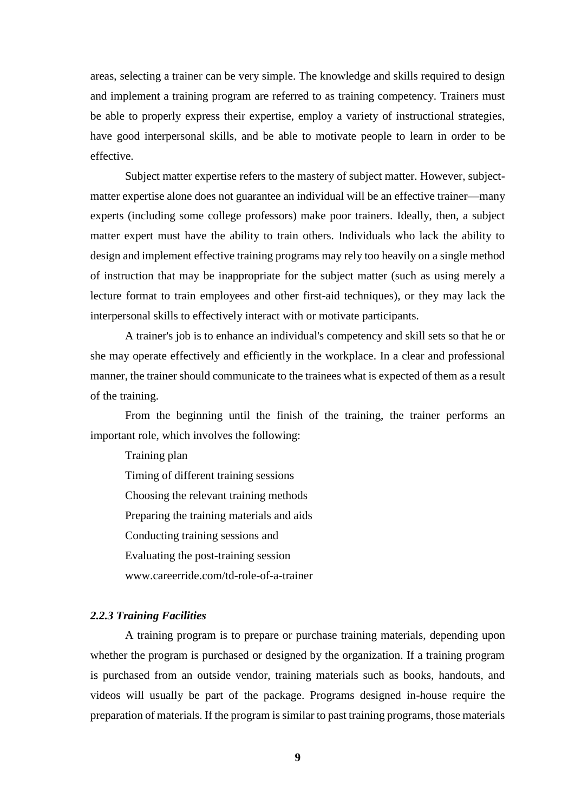areas, selecting a trainer can be very simple. The knowledge and skills required to design and implement a training program are referred to as training competency. Trainers must be able to properly express their expertise, employ a variety of instructional strategies, have good interpersonal skills, and be able to motivate people to learn in order to be effective.

Subject matter expertise refers to the mastery of subject matter. However, subjectmatter expertise alone does not guarantee an individual will be an effective trainer—many experts (including some college professors) make poor trainers. Ideally, then, a subject matter expert must have the ability to train others. Individuals who lack the ability to design and implement effective training programs may rely too heavily on a single method of instruction that may be inappropriate for the subject matter (such as using merely a lecture format to train employees and other first-aid techniques), or they may lack the interpersonal skills to effectively interact with or motivate participants.

A trainer's job is to enhance an individual's competency and skill sets so that he or she may operate effectively and efficiently in the workplace. In a clear and professional manner, the trainer should communicate to the trainees what is expected of them as a result of the training.

From the beginning until the finish of the training, the trainer performs an important role, which involves the following:

Training plan

Timing of different training sessions Choosing the relevant training methods

Preparing the training materials and aids

Conducting training sessions and

Evaluating the post-training session

[www.careerride.com/td-role-of-a-trainer](http://www.careerride.com/td-role-of-a-trainer)

#### *2.2.3 Training Facilities*

A training program is to prepare or purchase training materials, depending upon whether the program is purchased or designed by the organization. If a training program is purchased from an outside vendor, training materials such as books, handouts, and videos will usually be part of the package. Programs designed in-house require the preparation of materials. If the program is similar to past training programs, those materials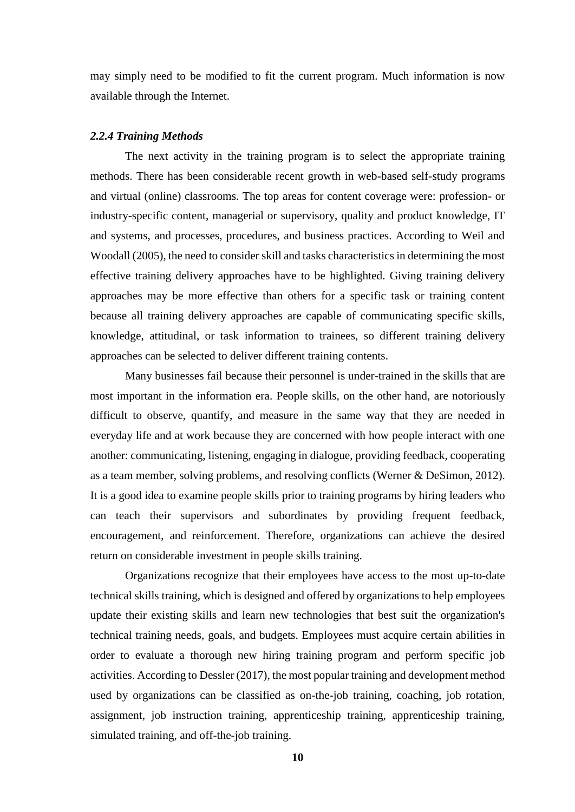may simply need to be modified to fit the current program. Much information is now available through the Internet.

#### *2.2.4 Training Methods*

The next activity in the training program is to select the appropriate training methods. There has been considerable recent growth in web-based self-study programs and virtual (online) classrooms. The top areas for content coverage were: profession- or industry-specific content, managerial or supervisory, quality and product knowledge, IT and systems, and processes, procedures, and business practices. According to Weil and Woodall (2005), the need to consider skill and tasks characteristics in determining the most effective training delivery approaches have to be highlighted. Giving training delivery approaches may be more effective than others for a specific task or training content because all training delivery approaches are capable of communicating specific skills, knowledge, attitudinal, or task information to trainees, so different training delivery approaches can be selected to deliver different training contents.

Many businesses fail because their personnel is under-trained in the skills that are most important in the information era. People skills, on the other hand, are notoriously difficult to observe, quantify, and measure in the same way that they are needed in everyday life and at work because they are concerned with how people interact with one another: communicating, listening, engaging in dialogue, providing feedback, cooperating as a team member, solving problems, and resolving conflicts (Werner & DeSimon, 2012). It is a good idea to examine people skills prior to training programs by hiring leaders who can teach their supervisors and subordinates by providing frequent feedback, encouragement, and reinforcement. Therefore, organizations can achieve the desired return on considerable investment in people skills training.

Organizations recognize that their employees have access to the most up-to-date technical skills training, which is designed and offered by organizations to help employees update their existing skills and learn new technologies that best suit the organization's technical training needs, goals, and budgets. Employees must acquire certain abilities in order to evaluate a thorough new hiring training program and perform specific job activities. According to Dessler (2017), the most popular training and development method used by organizations can be classified as on-the-job training, coaching, job rotation, assignment, job instruction training, apprenticeship training, apprenticeship training, simulated training, and off-the-job training.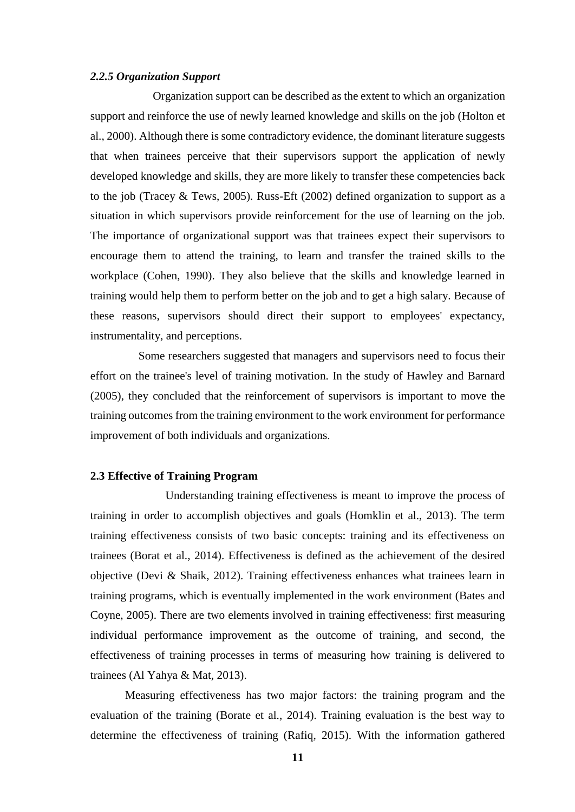#### *2.2.5 Organization Support*

Organization support can be described as the extent to which an organization support and reinforce the use of newly learned knowledge and skills on the job (Holton et al., 2000). Although there is some contradictory evidence, the dominant literature suggests that when trainees perceive that their supervisors support the application of newly developed knowledge and skills, they are more likely to transfer these competencies back to the job (Tracey & Tews, 2005). Russ-Eft (2002) defined organization to support as a situation in which supervisors provide reinforcement for the use of learning on the job. The importance of organizational support was that trainees expect their supervisors to encourage them to attend the training, to learn and transfer the trained skills to the workplace (Cohen, 1990). They also believe that the skills and knowledge learned in training would help them to perform better on the job and to get a high salary. Because of these reasons, supervisors should direct their support to employees' expectancy, instrumentality, and perceptions.

 Some researchers suggested that managers and supervisors need to focus their effort on the trainee's level of training motivation. In the study of Hawley and Barnard (2005), they concluded that the reinforcement of supervisors is important to move the training outcomes from the training environment to the work environment for performance improvement of both individuals and organizations.

#### **2.3 Effective of Training Program**

Understanding training effectiveness is meant to improve the process of training in order to accomplish objectives and goals (Homklin et al., 2013). The term training effectiveness consists of two basic concepts: training and its effectiveness on trainees (Borat et al., 2014). Effectiveness is defined as the achievement of the desired objective (Devi & Shaik, 2012). Training effectiveness enhances what trainees learn in training programs, which is eventually implemented in the work environment (Bates and Coyne, 2005). There are two elements involved in training effectiveness: first measuring individual performance improvement as the outcome of training, and second, the effectiveness of training processes in terms of measuring how training is delivered to trainees (Al Yahya & Mat, 2013).

Measuring effectiveness has two major factors: the training program and the evaluation of the training (Borate et al., 2014). Training evaluation is the best way to determine the effectiveness of training (Rafiq, 2015). With the information gathered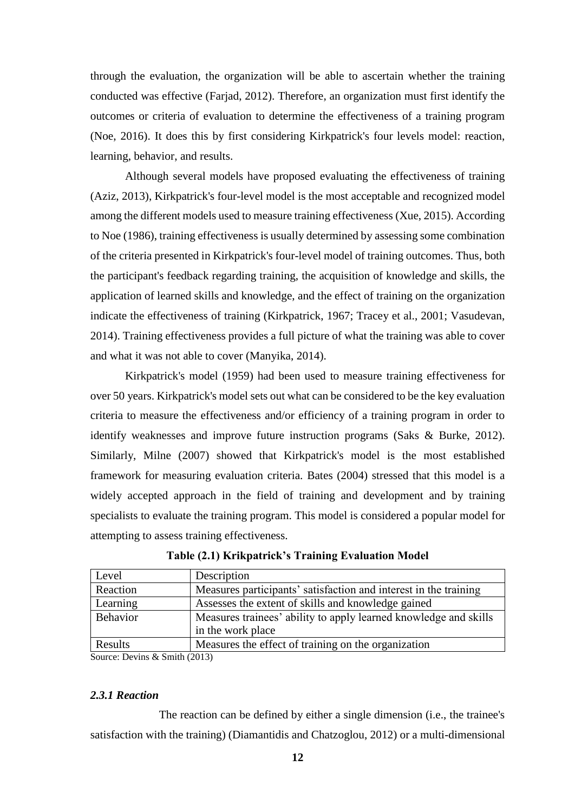through the evaluation, the organization will be able to ascertain whether the training conducted was effective (Farjad, 2012). Therefore, an organization must first identify the outcomes or criteria of evaluation to determine the effectiveness of a training program (Noe, 2016). It does this by first considering Kirkpatrick's four levels model: reaction, learning, behavior, and results.

Although several models have proposed evaluating the effectiveness of training (Aziz, 2013), Kirkpatrick's four-level model is the most acceptable and recognized model among the different models used to measure training effectiveness (Xue, 2015). According to Noe (1986), training effectiveness is usually determined by assessing some combination of the criteria presented in Kirkpatrick's four-level model of training outcomes. Thus, both the participant's feedback regarding training, the acquisition of knowledge and skills, the application of learned skills and knowledge, and the effect of training on the organization indicate the effectiveness of training (Kirkpatrick, 1967; Tracey et al., 2001; Vasudevan, 2014). Training effectiveness provides a full picture of what the training was able to cover and what it was not able to cover (Manyika, 2014).

Kirkpatrick's model (1959) had been used to measure training effectiveness for over 50 years. Kirkpatrick's model sets out what can be considered to be the key evaluation criteria to measure the effectiveness and/or efficiency of a training program in order to identify weaknesses and improve future instruction programs (Saks & Burke, 2012). Similarly, Milne (2007) showed that Kirkpatrick's model is the most established framework for measuring evaluation criteria. Bates (2004) stressed that this model is a widely accepted approach in the field of training and development and by training specialists to evaluate the training program. This model is considered a popular model for attempting to assess training effectiveness.

| Level    | Description                                                      |
|----------|------------------------------------------------------------------|
| Reaction | Measures participants' satisfaction and interest in the training |
| Learning | Assesses the extent of skills and knowledge gained               |
| Behavior | Measures trainees' ability to apply learned knowledge and skills |
|          | in the work place                                                |
| Results  | Measures the effect of training on the organization              |

**Table (2.1) Krikpatrick's Training Evaluation Model**

Source: Devins & Smith (2013)

### *2.3.1 Reaction*

The reaction can be defined by either a single dimension (i.e., the trainee's satisfaction with the training) (Diamantidis and Chatzoglou, 2012) or a multi-dimensional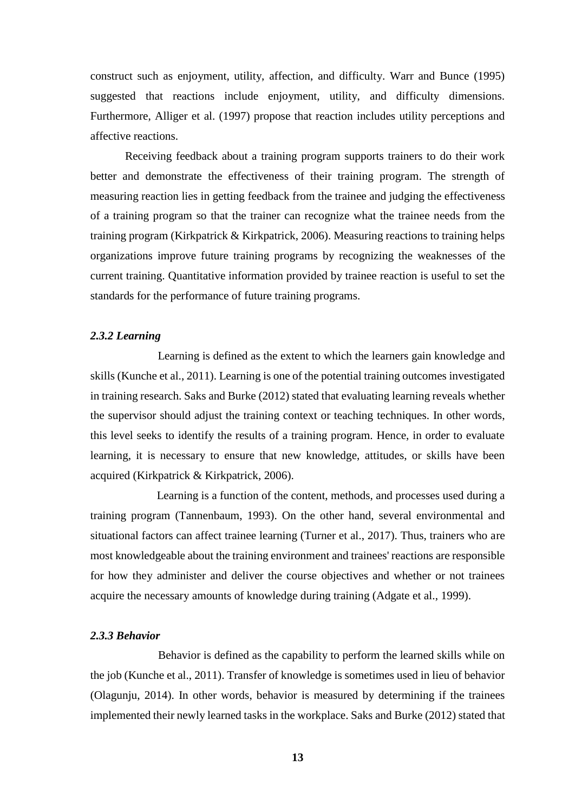construct such as enjoyment, utility, affection, and difficulty. Warr and Bunce (1995) suggested that reactions include enjoyment, utility, and difficulty dimensions. Furthermore, Alliger et al. (1997) propose that reaction includes utility perceptions and affective reactions.

Receiving feedback about a training program supports trainers to do their work better and demonstrate the effectiveness of their training program. The strength of measuring reaction lies in getting feedback from the trainee and judging the effectiveness of a training program so that the trainer can recognize what the trainee needs from the training program (Kirkpatrick & Kirkpatrick, 2006). Measuring reactions to training helps organizations improve future training programs by recognizing the weaknesses of the current training. Quantitative information provided by trainee reaction is useful to set the standards for the performance of future training programs.

#### *2.3.2 Learning*

Learning is defined as the extent to which the learners gain knowledge and skills (Kunche et al., 2011). Learning is one of the potential training outcomes investigated in training research. Saks and Burke (2012) stated that evaluating learning reveals whether the supervisor should adjust the training context or teaching techniques. In other words, this level seeks to identify the results of a training program. Hence, in order to evaluate learning, it is necessary to ensure that new knowledge, attitudes, or skills have been acquired (Kirkpatrick & Kirkpatrick, 2006).

Learning is a function of the content, methods, and processes used during a training program (Tannenbaum, 1993). On the other hand, several environmental and situational factors can affect trainee learning (Turner et al., 2017). Thus, trainers who are most knowledgeable about the training environment and trainees' reactions are responsible for how they administer and deliver the course objectives and whether or not trainees acquire the necessary amounts of knowledge during training (Adgate et al., 1999).

#### *2.3.3 Behavior*

Behavior is defined as the capability to perform the learned skills while on the job (Kunche et al., 2011). Transfer of knowledge is sometimes used in lieu of behavior (Olagunju, 2014). In other words, behavior is measured by determining if the trainees implemented their newly learned tasks in the workplace. Saks and Burke (2012) stated that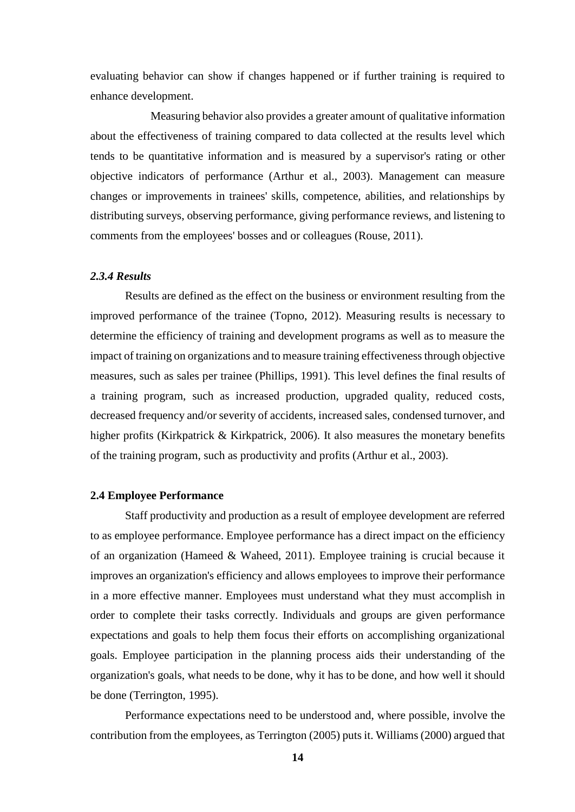evaluating behavior can show if changes happened or if further training is required to enhance development.

Measuring behavior also provides a greater amount of qualitative information about the effectiveness of training compared to data collected at the results level which tends to be quantitative information and is measured by a supervisor's rating or other objective indicators of performance (Arthur et al., 2003). Management can measure changes or improvements in trainees' skills, competence, abilities, and relationships by distributing surveys, observing performance, giving performance reviews, and listening to comments from the employees' bosses and or colleagues (Rouse, 2011).

#### *2.3.4 Results*

Results are defined as the effect on the business or environment resulting from the improved performance of the trainee (Topno, 2012). Measuring results is necessary to determine the efficiency of training and development programs as well as to measure the impact of training on organizations and to measure training effectiveness through objective measures, such as sales per trainee (Phillips, 1991). This level defines the final results of a training program, such as increased production, upgraded quality, reduced costs, decreased frequency and/or severity of accidents, increased sales, condensed turnover, and higher profits (Kirkpatrick & Kirkpatrick, 2006). It also measures the monetary benefits of the training program, such as productivity and profits (Arthur et al., 2003).

#### **2.4 Employee Performance**

Staff productivity and production as a result of employee development are referred to as employee performance. Employee performance has a direct impact on the efficiency of an organization (Hameed & Waheed, 2011). Employee training is crucial because it improves an organization's efficiency and allows employees to improve their performance in a more effective manner. Employees must understand what they must accomplish in order to complete their tasks correctly. Individuals and groups are given performance expectations and goals to help them focus their efforts on accomplishing organizational goals. Employee participation in the planning process aids their understanding of the organization's goals, what needs to be done, why it has to be done, and how well it should be done (Terrington, 1995).

Performance expectations need to be understood and, where possible, involve the contribution from the employees, as Terrington (2005) puts it. Williams (2000) argued that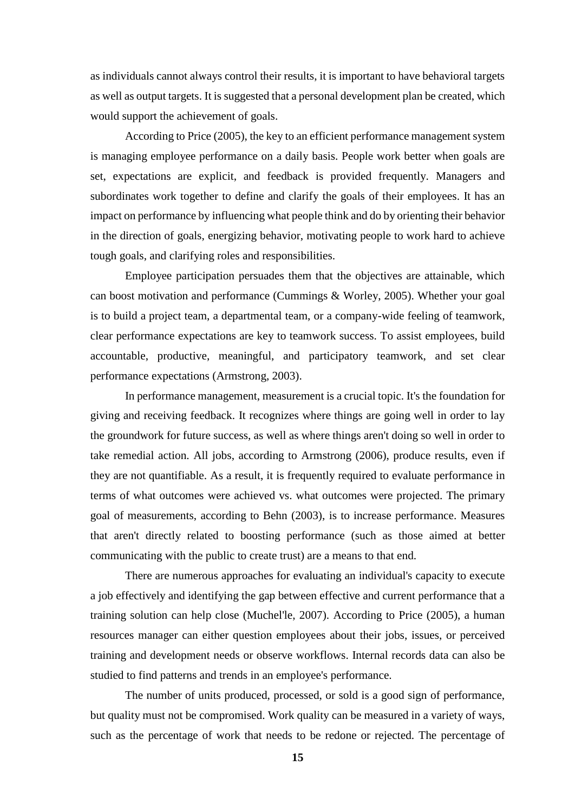as individuals cannot always control their results, it is important to have behavioral targets as well as output targets. It is suggested that a personal development plan be created, which would support the achievement of goals.

According to Price (2005), the key to an efficient performance management system is managing employee performance on a daily basis. People work better when goals are set, expectations are explicit, and feedback is provided frequently. Managers and subordinates work together to define and clarify the goals of their employees. It has an impact on performance by influencing what people think and do by orienting their behavior in the direction of goals, energizing behavior, motivating people to work hard to achieve tough goals, and clarifying roles and responsibilities.

Employee participation persuades them that the objectives are attainable, which can boost motivation and performance (Cummings & Worley, 2005). Whether your goal is to build a project team, a departmental team, or a company-wide feeling of teamwork, clear performance expectations are key to teamwork success. To assist employees, build accountable, productive, meaningful, and participatory teamwork, and set clear performance expectations (Armstrong, 2003).

In performance management, measurement is a crucial topic. It's the foundation for giving and receiving feedback. It recognizes where things are going well in order to lay the groundwork for future success, as well as where things aren't doing so well in order to take remedial action. All jobs, according to Armstrong (2006), produce results, even if they are not quantifiable. As a result, it is frequently required to evaluate performance in terms of what outcomes were achieved vs. what outcomes were projected. The primary goal of measurements, according to Behn (2003), is to increase performance. Measures that aren't directly related to boosting performance (such as those aimed at better communicating with the public to create trust) are a means to that end.

There are numerous approaches for evaluating an individual's capacity to execute a job effectively and identifying the gap between effective and current performance that a training solution can help close (Muchel'le, 2007). According to Price (2005), a human resources manager can either question employees about their jobs, issues, or perceived training and development needs or observe workflows. Internal records data can also be studied to find patterns and trends in an employee's performance.

The number of units produced, processed, or sold is a good sign of performance, but quality must not be compromised. Work quality can be measured in a variety of ways, such as the percentage of work that needs to be redone or rejected. The percentage of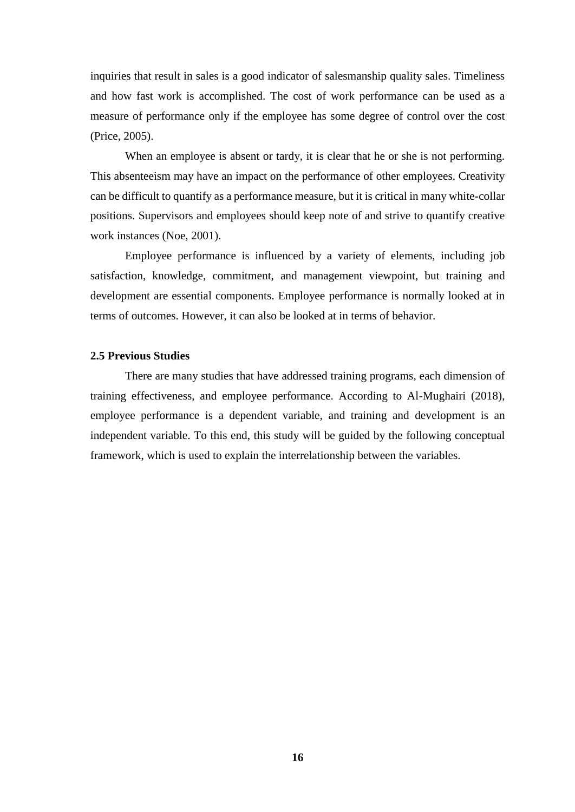inquiries that result in sales is a good indicator of salesmanship quality sales. Timeliness and how fast work is accomplished. The cost of work performance can be used as a measure of performance only if the employee has some degree of control over the cost (Price, 2005).

When an employee is absent or tardy, it is clear that he or she is not performing. This absenteeism may have an impact on the performance of other employees. Creativity can be difficult to quantify as a performance measure, but it is critical in many white-collar positions. Supervisors and employees should keep note of and strive to quantify creative work instances (Noe, 2001).

Employee performance is influenced by a variety of elements, including job satisfaction, knowledge, commitment, and management viewpoint, but training and development are essential components. Employee performance is normally looked at in terms of outcomes. However, it can also be looked at in terms of behavior.

#### **2.5 Previous Studies**

There are many studies that have addressed training programs, each dimension of training effectiveness, and employee performance. According to Al-Mughairi (2018), employee performance is a dependent variable, and training and development is an independent variable. To this end, this study will be guided by the following conceptual framework, which is used to explain the interrelationship between the variables.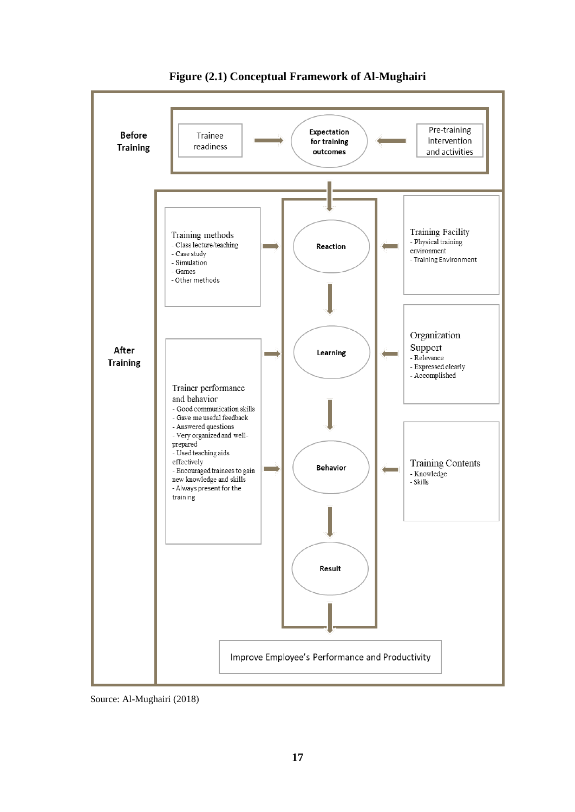

**Figure (2.1) Conceptual Framework of Al-Mughairi** 

Source: Al-Mughairi (2018)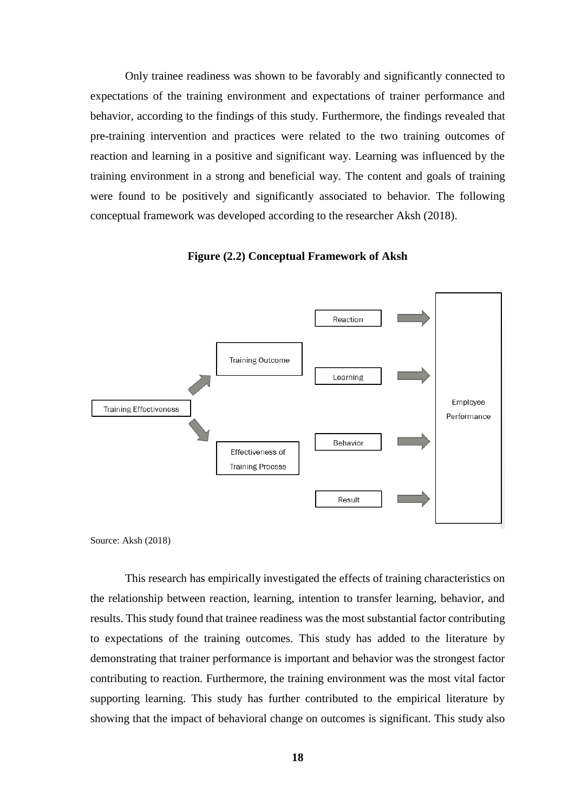Only trainee readiness was shown to be favorably and significantly connected to expectations of the training environment and expectations of trainer performance and behavior, according to the findings of this study. Furthermore, the findings revealed that pre-training intervention and practices were related to the two training outcomes of reaction and learning in a positive and significant way. Learning was influenced by the training environment in a strong and beneficial way. The content and goals of training were found to be positively and significantly associated to behavior. The following conceptual framework was developed according to the researcher Aksh (2018).

**Figure (2.2) Conceptual Framework of Aksh**



Source: Aksh (2018)

This research has empirically investigated the effects of training characteristics on the relationship between reaction, learning, intention to transfer learning, behavior, and results. This study found that trainee readiness was the most substantial factor contributing to expectations of the training outcomes. This study has added to the literature by demonstrating that trainer performance is important and behavior was the strongest factor contributing to reaction. Furthermore, the training environment was the most vital factor supporting learning. This study has further contributed to the empirical literature by showing that the impact of behavioral change on outcomes is significant. This study also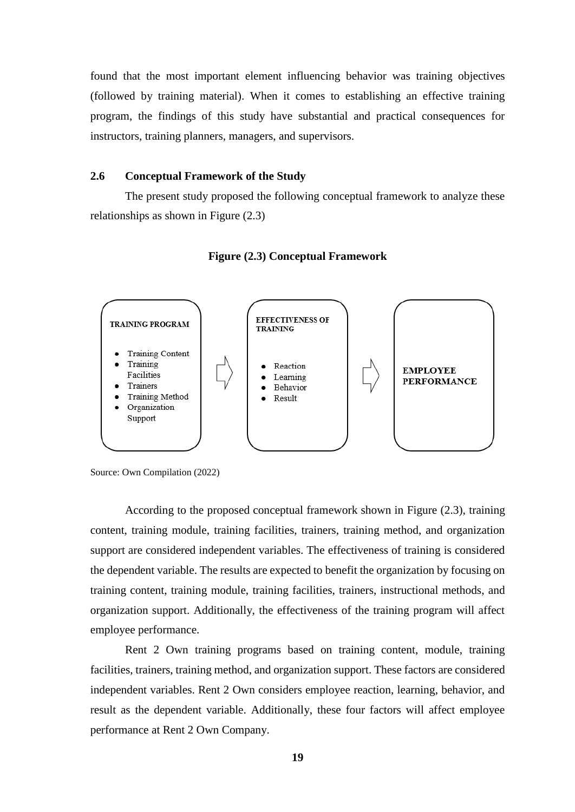found that the most important element influencing behavior was training objectives (followed by training material). When it comes to establishing an effective training program, the findings of this study have substantial and practical consequences for instructors, training planners, managers, and supervisors.

#### **2.6 Conceptual Framework of the Study**

The present study proposed the following conceptual framework to analyze these relationships as shown in Figure (2.3)





According to the proposed conceptual framework shown in Figure (2.3), training content, training module, training facilities, trainers, training method, and organization support are considered independent variables. The effectiveness of training is considered the dependent variable. The results are expected to benefit the organization by focusing on training content, training module, training facilities, trainers, instructional methods, and organization support. Additionally, the effectiveness of the training program will affect employee performance.

Rent 2 Own training programs based on training content, module, training facilities, trainers, training method, and organization support. These factors are considered independent variables. Rent 2 Own considers employee reaction, learning, behavior, and result as the dependent variable. Additionally, these four factors will affect employee performance at Rent 2 Own Company.

Source: Own Compilation (2022)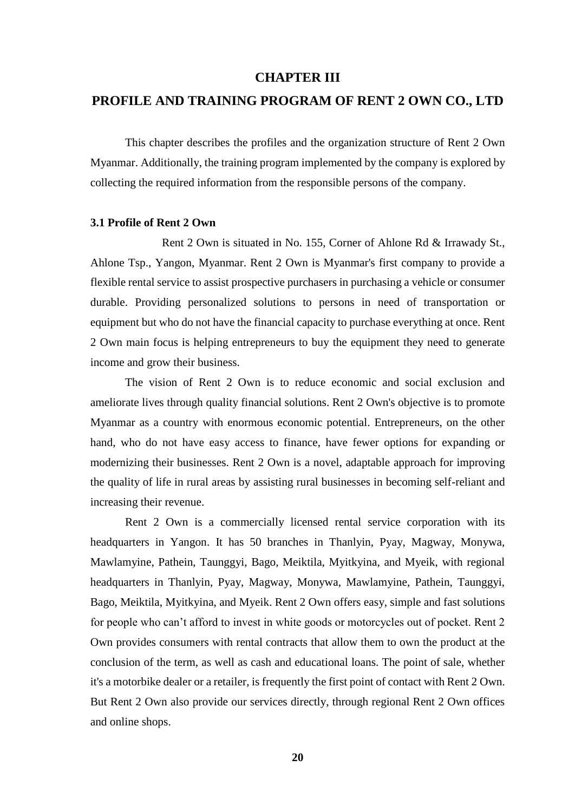#### **CHAPTER III**

### **PROFILE AND TRAINING PROGRAM OF RENT 2 OWN CO., LTD**

This chapter describes the profiles and the organization structure of Rent 2 Own Myanmar. Additionally, the training program implemented by the company is explored by collecting the required information from the responsible persons of the company.

#### **3.1 Profile of Rent 2 Own**

Rent 2 Own is situated in No. 155, Corner of Ahlone Rd & Irrawady St., Ahlone Tsp., Yangon, Myanmar. Rent 2 Own is Myanmar's first company to provide a flexible rental service to assist prospective purchasers in purchasing a vehicle or consumer durable. Providing personalized solutions to persons in need of transportation or equipment but who do not have the financial capacity to purchase everything at once. Rent 2 Own main focus is helping entrepreneurs to buy the equipment they need to generate income and grow their business.

The vision of Rent 2 Own is to reduce economic and social exclusion and ameliorate lives through quality financial solutions. Rent 2 Own's objective is to promote Myanmar as a country with enormous economic potential. Entrepreneurs, on the other hand, who do not have easy access to finance, have fewer options for expanding or modernizing their businesses. Rent 2 Own is a novel, adaptable approach for improving the quality of life in rural areas by assisting rural businesses in becoming self-reliant and increasing their revenue.

Rent 2 Own is a commercially licensed rental service corporation with its headquarters in Yangon. It has 50 branches in Thanlyin, Pyay, Magway, Monywa, Mawlamyine, Pathein, Taunggyi, Bago, Meiktila, Myitkyina, and Myeik, with regional headquarters in Thanlyin, Pyay, Magway, Monywa, Mawlamyine, Pathein, Taunggyi, Bago, Meiktila, Myitkyina, and Myeik. Rent 2 Own offers easy, simple and fast solutions for people who can't afford to invest in white goods or motorcycles out of pocket. Rent 2 Own provides consumers with rental contracts that allow them to own the product at the conclusion of the term, as well as cash and educational loans. The point of sale, whether it's a motorbike dealer or a retailer, is frequently the first point of contact with Rent 2 Own. But Rent 2 Own also provide our services directly, through regional Rent 2 Own offices and online shops.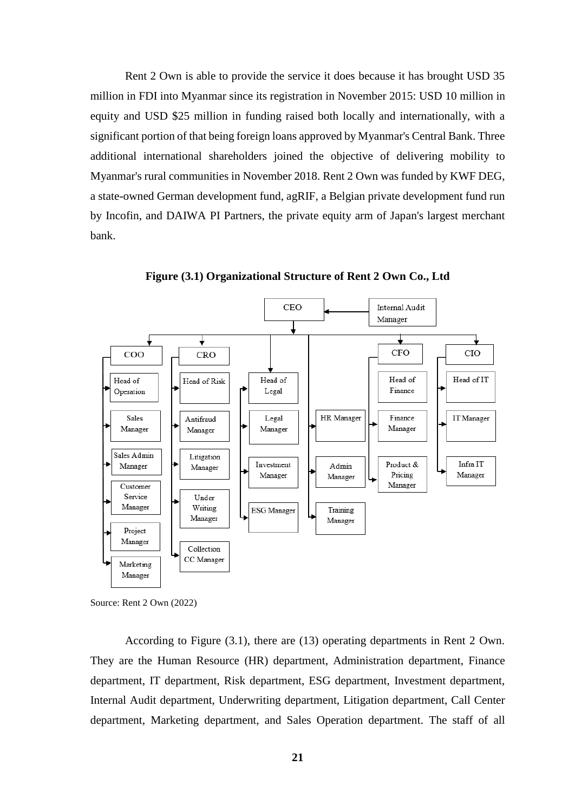Rent 2 Own is able to provide the service it does because it has brought USD 35 million in FDI into Myanmar since its registration in November 2015: USD 10 million in equity and USD \$25 million in funding raised both locally and internationally, with a significant portion of that being foreign loans approved by Myanmar's Central Bank. Three additional international shareholders joined the objective of delivering mobility to Myanmar's rural communities in November 2018. Rent 2 Own was funded by KWF DEG, a state-owned German development fund, agRIF, a Belgian private development fund run by Incofin, and DAIWA PI Partners, the private equity arm of Japan's largest merchant bank.



**Figure (3.1) Organizational Structure of Rent 2 Own Co., Ltd**

According to Figure (3.1), there are (13) operating departments in Rent 2 Own. They are the Human Resource (HR) department, Administration department, Finance department, IT department, Risk department, ESG department, Investment department, Internal Audit department, Underwriting department, Litigation department, Call Center department, Marketing department, and Sales Operation department. The staff of all

Source: Rent 2 Own (2022)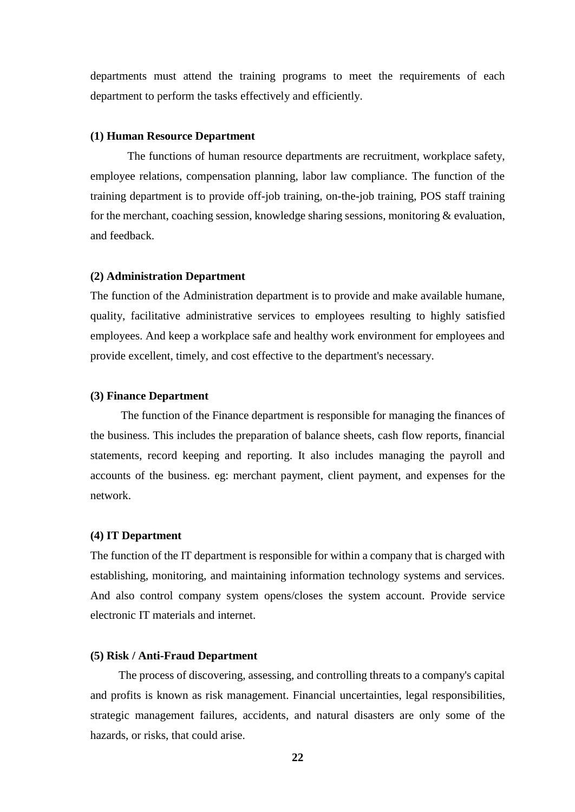departments must attend the training programs to meet the requirements of each department to perform the tasks effectively and efficiently.

#### **(1) Human Resource Department**

The functions of human resource departments are recruitment, workplace safety, employee relations, compensation planning, labor law compliance. The function of the training department is to provide off-job training, on-the-job training, POS staff training for the merchant, coaching session, knowledge sharing sessions, monitoring & evaluation, and feedback.

#### **(2) Administration Department**

The function of the Administration department is to provide and make available humane, quality, facilitative administrative services to employees resulting to highly satisfied employees. And keep a workplace safe and healthy work environment for employees and provide excellent, timely, and cost effective to the department's necessary.

#### **(3) Finance Department**

The function of the Finance department is responsible for managing the finances of the business. This includes the preparation of balance sheets, cash flow reports, financial statements, record keeping and reporting. It also includes managing the payroll and accounts of the business. eg: merchant payment, client payment, and expenses for the network.

#### **(4) IT Department**

The function of the IT department is responsible for within a company that is charged with establishing, monitoring, and maintaining information technology systems and services. And also control company system opens/closes the system account. Provide service electronic IT materials and internet.

#### **(5) Risk / Anti-Fraud Department**

The process of discovering, assessing, and controlling threats to a company's capital and profits is known as risk management. Financial uncertainties, legal responsibilities, strategic management failures, accidents, and natural disasters are only some of the hazards, or risks, that could arise.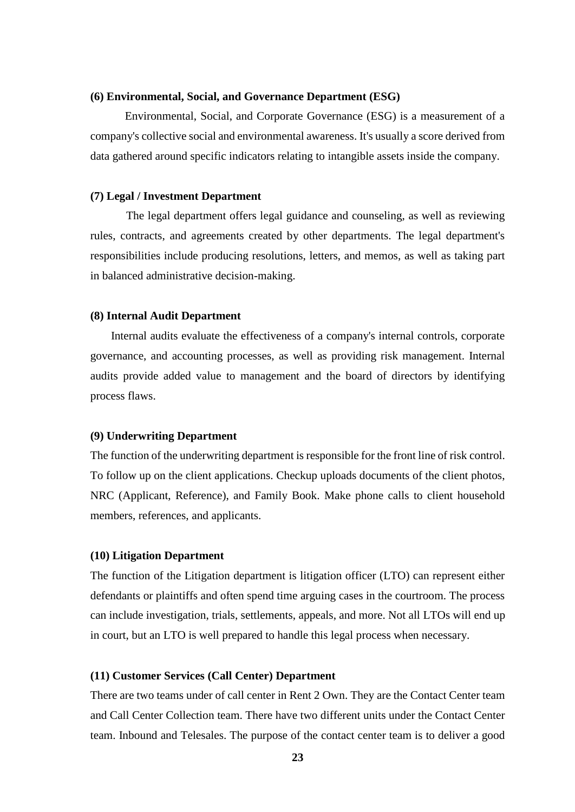#### **(6) Environmental, Social, and Governance Department (ESG)**

Environmental, Social, and Corporate Governance (ESG) is a measurement of a company's collective social and environmental awareness. It's usually a score derived from data gathered around specific indicators relating to intangible assets inside the company.

#### **(7) Legal / Investment Department**

 The legal department offers legal guidance and counseling, as well as reviewing rules, contracts, and agreements created by other departments. The legal department's responsibilities include producing resolutions, letters, and memos, as well as taking part in balanced administrative decision-making.

#### **(8) Internal Audit Department**

 Internal audits evaluate the effectiveness of a company's internal controls, corporate governance, and accounting processes, as well as providing risk management. Internal audits provide added value to management and the board of directors by identifying process flaws.

#### **(9) Underwriting Department**

The function of the underwriting department is responsible for the front line of risk control. To follow up on the client applications. Checkup uploads documents of the client photos, NRC (Applicant, Reference), and Family Book. Make phone calls to client household members, references, and applicants.

#### **(10) Litigation Department**

The function of the Litigation department is litigation officer (LTO) can represent either defendants or plaintiffs and often spend time arguing cases in the courtroom. The process can include investigation, trials, settlements, appeals, and more. Not all LTOs will end up in court, but an LTO is well prepared to handle this legal process when necessary.

#### **(11) Customer Services (Call Center) Department**

There are two teams under of call center in Rent 2 Own. They are the Contact Center team and Call Center Collection team. There have two different units under the Contact Center team. Inbound and Telesales. The purpose of the contact center team is to deliver a good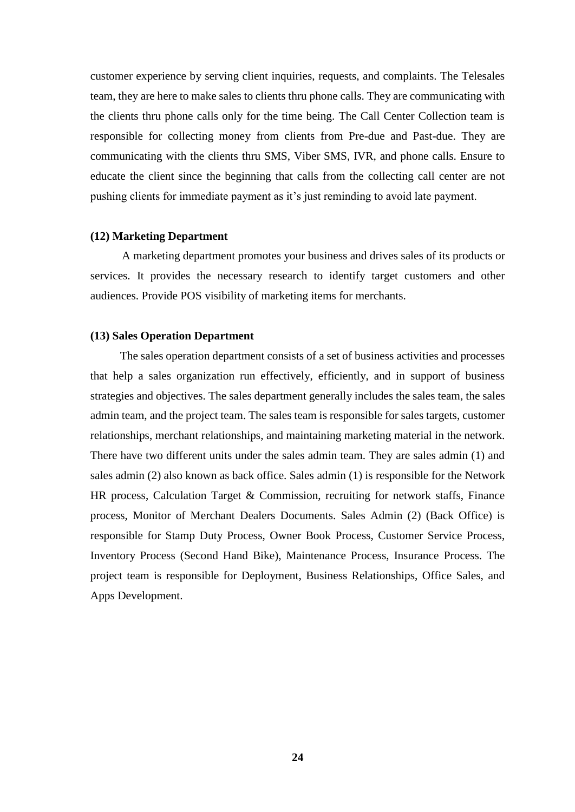customer experience by serving client inquiries, requests, and complaints. The Telesales team, they are here to make sales to clients thru phone calls. They are communicating with the clients thru phone calls only for the time being. The Call Center Collection team is responsible for collecting money from clients from Pre-due and Past-due. They are communicating with the clients thru SMS, Viber SMS, IVR, and phone calls. Ensure to educate the client since the beginning that calls from the collecting call center are not pushing clients for immediate payment as it's just reminding to avoid late payment.

#### **(12) Marketing Department**

A marketing department promotes your business and drives sales of its products or services. It provides the necessary research to identify target customers and other audiences. Provide POS visibility of marketing items for merchants.

#### **(13) Sales Operation Department**

The sales operation department consists of a set of business activities and processes that help a sales organization run effectively, efficiently, and in support of business strategies and objectives. The sales department generally includes the sales team, the sales admin team, and the project team. The sales team is responsible for sales targets, customer relationships, merchant relationships, and maintaining marketing material in the network. There have two different units under the sales admin team. They are sales admin (1) and sales admin (2) also known as back office. Sales admin (1) is responsible for the Network HR process, Calculation Target & Commission, recruiting for network staffs, Finance process, Monitor of Merchant Dealers Documents. Sales Admin (2) (Back Office) is responsible for Stamp Duty Process, Owner Book Process, Customer Service Process, Inventory Process (Second Hand Bike), Maintenance Process, Insurance Process. The project team is responsible for Deployment, Business Relationships, Office Sales, and Apps Development.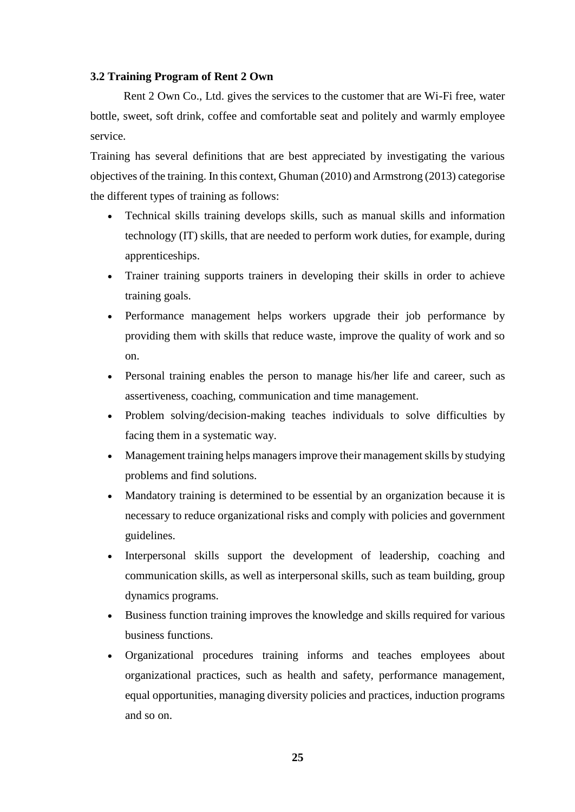#### **3.2 Training Program of Rent 2 Own**

Rent 2 Own Co., Ltd. gives the services to the customer that are Wi-Fi free, water bottle, sweet, soft drink, coffee and comfortable seat and politely and warmly employee service.

Training has several definitions that are best appreciated by investigating the various objectives of the training. In this context, Ghuman (2010) and Armstrong (2013) categorise the different types of training as follows:

- Technical skills training develops skills, such as manual skills and information technology (IT) skills, that are needed to perform work duties, for example, during apprenticeships.
- Trainer training supports trainers in developing their skills in order to achieve training goals.
- Performance management helps workers upgrade their job performance by providing them with skills that reduce waste, improve the quality of work and so on.
- Personal training enables the person to manage his/her life and career, such as assertiveness, coaching, communication and time management.
- Problem solving/decision-making teaches individuals to solve difficulties by facing them in a systematic way.
- Management training helps managers improve their management skills by studying problems and find solutions.
- Mandatory training is determined to be essential by an organization because it is necessary to reduce organizational risks and comply with policies and government guidelines.
- Interpersonal skills support the development of leadership, coaching and communication skills, as well as interpersonal skills, such as team building, group dynamics programs.
- Business function training improves the knowledge and skills required for various business functions.
- Organizational procedures training informs and teaches employees about organizational practices, such as health and safety, performance management, equal opportunities, managing diversity policies and practices, induction programs and so on.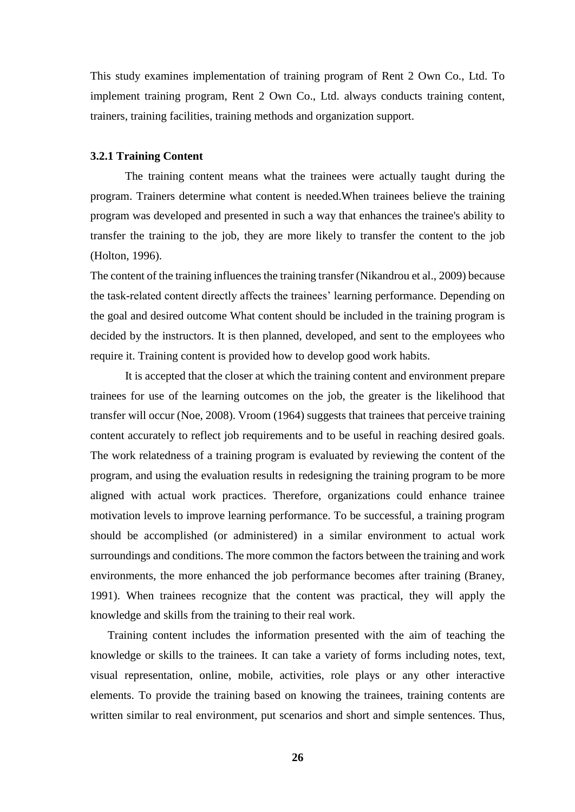This study examines implementation of training program of Rent 2 Own Co., Ltd. To implement training program, Rent 2 Own Co., Ltd. always conducts training content, trainers, training facilities, training methods and organization support.

#### **3.2.1 Training Content**

The training content means what the trainees were actually taught during the program. Trainers determine what content is needed.When trainees believe the training program was developed and presented in such a way that enhances the trainee's ability to transfer the training to the job, they are more likely to transfer the content to the job (Holton, 1996).

The content of the training influences the training transfer (Nikandrou et al., 2009) because the task-related content directly affects the trainees' learning performance. Depending on the goal and desired outcome What content should be included in the training program is decided by the instructors. It is then planned, developed, and sent to the employees who require it. Training content is provided how to develop good work habits.

It is accepted that the closer at which the training content and environment prepare trainees for use of the learning outcomes on the job, the greater is the likelihood that transfer will occur (Noe, 2008). Vroom (1964) suggests that trainees that perceive training content accurately to reflect job requirements and to be useful in reaching desired goals. The work relatedness of a training program is evaluated by reviewing the content of the program, and using the evaluation results in redesigning the training program to be more aligned with actual work practices. Therefore, organizations could enhance trainee motivation levels to improve learning performance. To be successful, a training program should be accomplished (or administered) in a similar environment to actual work surroundings and conditions. The more common the factors between the training and work environments, the more enhanced the job performance becomes after training (Braney, 1991). When trainees recognize that the content was practical, they will apply the knowledge and skills from the training to their real work.

Training content includes the information presented with the aim of teaching the knowledge or skills to the trainees. It can take a variety of forms including notes, text, visual representation, online, mobile, activities, role plays or any other interactive elements. To provide the training based on knowing the trainees, training contents are written similar to real environment, put scenarios and short and simple sentences. Thus,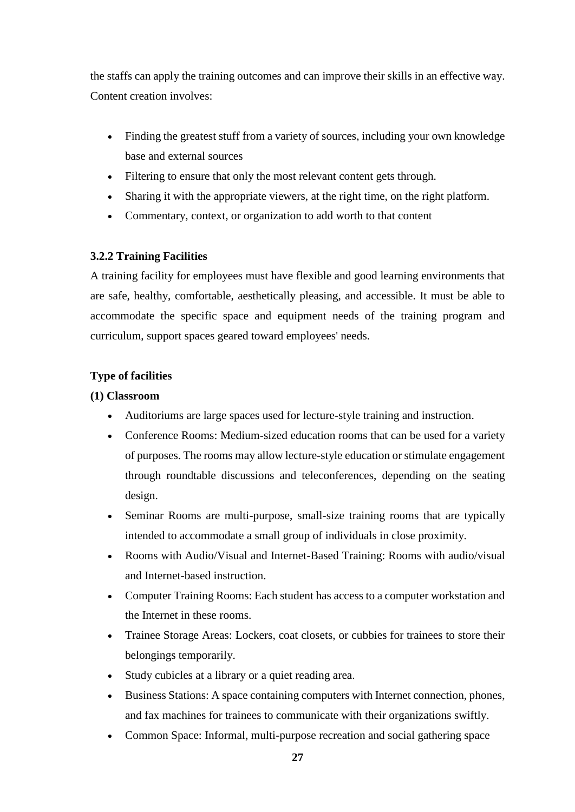the staffs can apply the training outcomes and can improve their skills in an effective way. Content creation involves:

- Finding the greatest stuff from a variety of sources, including your own knowledge base and external sources
- Filtering to ensure that only the most relevant content gets through.
- Sharing it with the appropriate viewers, at the right time, on the right platform.
- Commentary, context, or organization to add worth to that content

# **3.2.2 Training Facilities**

A training facility for employees must have flexible and good learning environments that are safe, healthy, comfortable, aesthetically pleasing, and accessible. It must be able to accommodate the specific space and equipment needs of the training program and curriculum, support spaces geared toward employees' needs.

# **Type of facilities**

# **(1) Classroom**

- Auditoriums are large spaces used for lecture-style training and instruction.
- Conference Rooms: Medium-sized education rooms that can be used for a variety of purposes. The rooms may allow lecture-style education or stimulate engagement through roundtable discussions and teleconferences, depending on the seating design.
- Seminar Rooms are multi-purpose, small-size training rooms that are typically intended to accommodate a small group of individuals in close proximity.
- Rooms with Audio/Visual and Internet-Based Training: Rooms with audio/visual and Internet-based instruction.
- Computer Training Rooms: Each student has access to a computer workstation and the Internet in these rooms.
- Trainee Storage Areas: Lockers, coat closets, or cubbies for trainees to store their belongings temporarily.
- Study cubicles at a library or a quiet reading area.
- Business Stations: A space containing computers with Internet connection, phones, and fax machines for trainees to communicate with their organizations swiftly.
- Common Space: Informal, multi-purpose recreation and social gathering space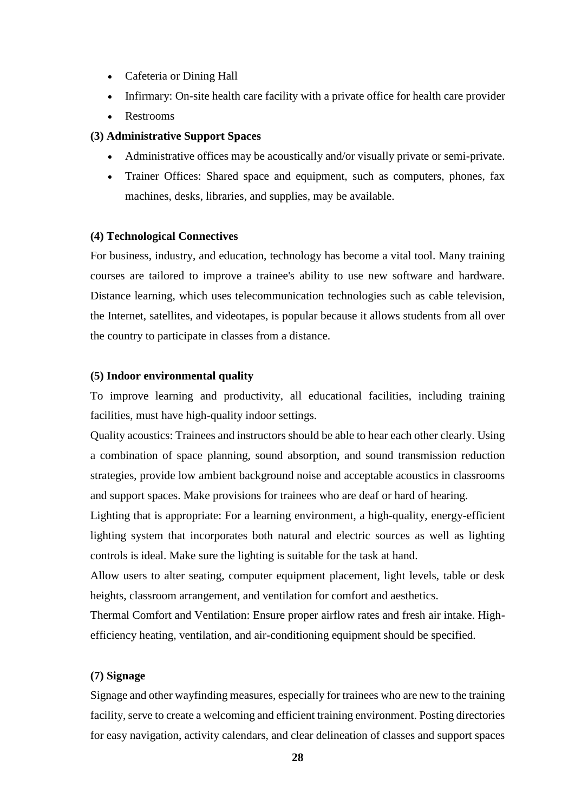- Cafeteria or Dining Hall
- Infirmary: On-site health care facility with a private office for health care provider
- Restrooms

#### **(3) Administrative Support Spaces**

- Administrative offices may be acoustically and/or visually private or semi-private.
- Trainer Offices: Shared space and equipment, such as computers, phones, fax machines, desks, libraries, and supplies, may be available.

#### **(4) Technological Connectives**

For business, industry, and education, technology has become a vital tool. Many training courses are tailored to improve a trainee's ability to use new software and hardware. Distance learning, which uses telecommunication technologies such as cable television, the Internet, satellites, and videotapes, is popular because it allows students from all over the country to participate in classes from a distance.

#### **(5) Indoor environmental quality**

To improve learning and productivity, all educational facilities, including training facilities, must have high-quality indoor settings.

Quality acoustics: Trainees and instructors should be able to hear each other clearly. Using a combination of space planning, sound absorption, and sound transmission reduction strategies, provide low ambient background noise and acceptable acoustics in classrooms and support spaces. Make provisions for trainees who are deaf or hard of hearing.

Lighting that is appropriate: For a learning environment, a high-quality, energy-efficient lighting system that incorporates both natural and electric sources as well as lighting controls is ideal. Make sure the lighting is suitable for the task at hand.

Allow users to alter seating, computer equipment placement, light levels, table or desk heights, classroom arrangement, and ventilation for comfort and aesthetics.

Thermal Comfort and Ventilation: Ensure proper airflow rates and fresh air intake. Highefficiency heating, ventilation, and air-conditioning equipment should be specified.

#### **(7) Signage**

Signage and other wayfinding measures, especially for trainees who are new to the training facility, serve to create a welcoming and efficient training environment. Posting directories for easy navigation, activity calendars, and clear delineation of classes and support spaces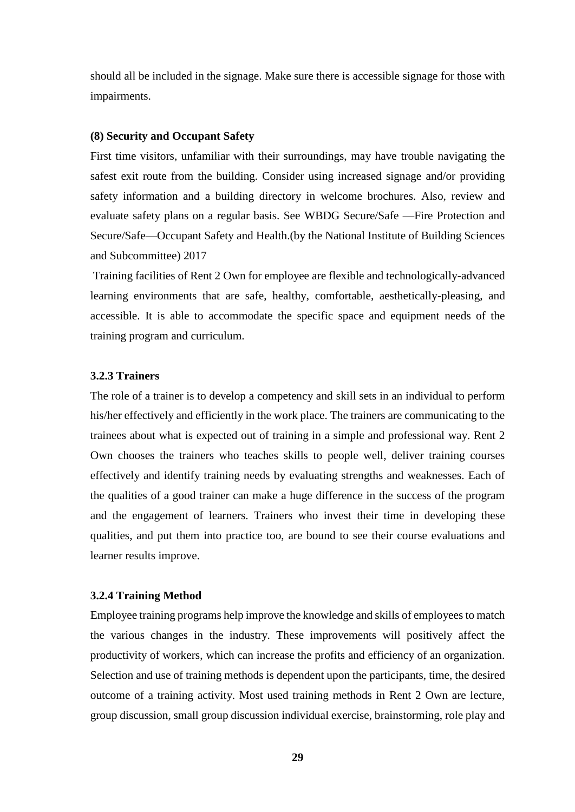should all be included in the signage. Make sure there is accessible signage for those with impairments.

#### **(8) Security and Occupant Safety**

First time visitors, unfamiliar with their surroundings, may have trouble navigating the safest exit route from the building. Consider using increased signage and/or providing safety information and a building directory in welcome brochures. Also, review and evaluate safety plans on a regular basis. See WBDG Secure/Safe —Fire Protection and Secure/Safe—Occupant Safety and Health.(by the National Institute of Building Sciences and Subcommittee) 2017

Training facilities of Rent 2 Own for employee are flexible and technologically-advanced learning environments that are safe, healthy, comfortable, aesthetically-pleasing, and accessible. It is able to accommodate the specific space and equipment needs of the training program and curriculum.

## **3.2.3 Trainers**

The role of a trainer is to develop a competency and skill sets in an individual to perform his/her effectively and efficiently in the work place. The trainers are communicating to the trainees about what is expected out of training in a simple and professional way. Rent 2 Own chooses the trainers who teaches skills to people well, deliver training courses effectively and identify training needs by evaluating strengths and weaknesses. Each of the qualities of a good trainer can make a huge difference in the success of the program and the engagement of learners. Trainers who invest their time in developing these qualities, and put them into practice too, are bound to see their course evaluations and learner results improve.

#### **3.2.4 Training Method**

Employee training programs help improve the knowledge and skills of employees to match the various changes in the industry. These improvements will positively affect the productivity of workers, which can increase the profits and efficiency of an organization. Selection and use of training methods is dependent upon the participants, time, the desired outcome of a training activity. Most used training methods in Rent 2 Own are lecture, group discussion, small group discussion individual exercise, brainstorming, role play and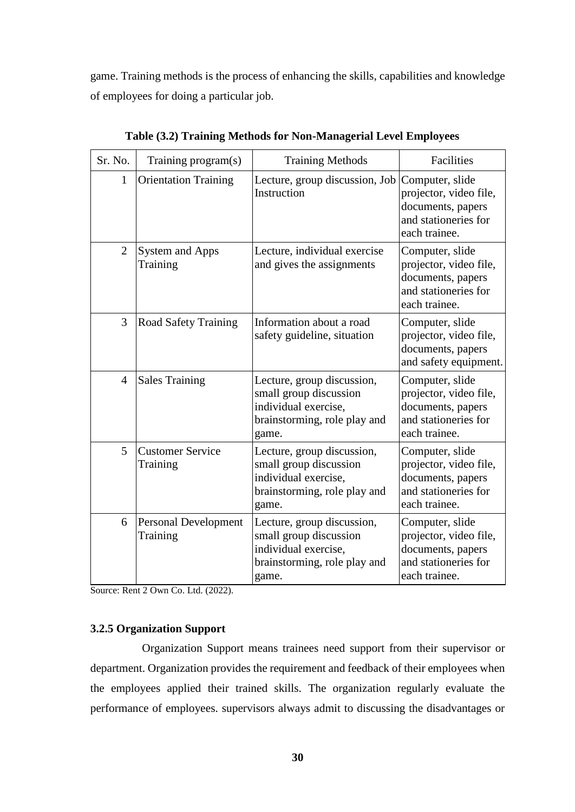game. Training methods is the process of enhancing the skills, capabilities and knowledge of employees for doing a particular job.

| Sr. No.        | Training program(s)                     | <b>Training Methods</b>                                                                                               | Facilities                                                                                              |
|----------------|-----------------------------------------|-----------------------------------------------------------------------------------------------------------------------|---------------------------------------------------------------------------------------------------------|
| 1              | <b>Orientation Training</b>             | Lecture, group discussion, Job<br>Instruction                                                                         | Computer, slide<br>projector, video file,<br>documents, papers<br>and stationeries for<br>each trainee. |
| 2              | <b>System and Apps</b><br>Training      | Lecture, individual exercise<br>and gives the assignments                                                             | Computer, slide<br>projector, video file,<br>documents, papers<br>and stationeries for<br>each trainee. |
| 3              | Road Safety Training                    | Information about a road<br>safety guideline, situation                                                               | Computer, slide<br>projector, video file,<br>documents, papers<br>and safety equipment.                 |
| $\overline{4}$ | <b>Sales Training</b>                   | Lecture, group discussion,<br>small group discussion<br>individual exercise,<br>brainstorming, role play and<br>game. | Computer, slide<br>projector, video file,<br>documents, papers<br>and stationeries for<br>each trainee. |
| 5              | <b>Customer Service</b><br>Training     | Lecture, group discussion,<br>small group discussion<br>individual exercise,<br>brainstorming, role play and<br>game. | Computer, slide<br>projector, video file,<br>documents, papers<br>and stationeries for<br>each trainee. |
| 6              | <b>Personal Development</b><br>Training | Lecture, group discussion,<br>small group discussion<br>individual exercise,<br>brainstorming, role play and<br>game. | Computer, slide<br>projector, video file,<br>documents, papers<br>and stationeries for<br>each trainee. |

**Table (3.2) Training Methods for Non-Managerial Level Employees**

Source: Rent 2 Own Co. Ltd. (2022).

# **3.2.5 Organization Support**

Organization Support means trainees need support from their supervisor or department. Organization provides the requirement and feedback of their employees when the employees applied their trained skills. The organization regularly evaluate the performance of employees. supervisors always admit to discussing the disadvantages or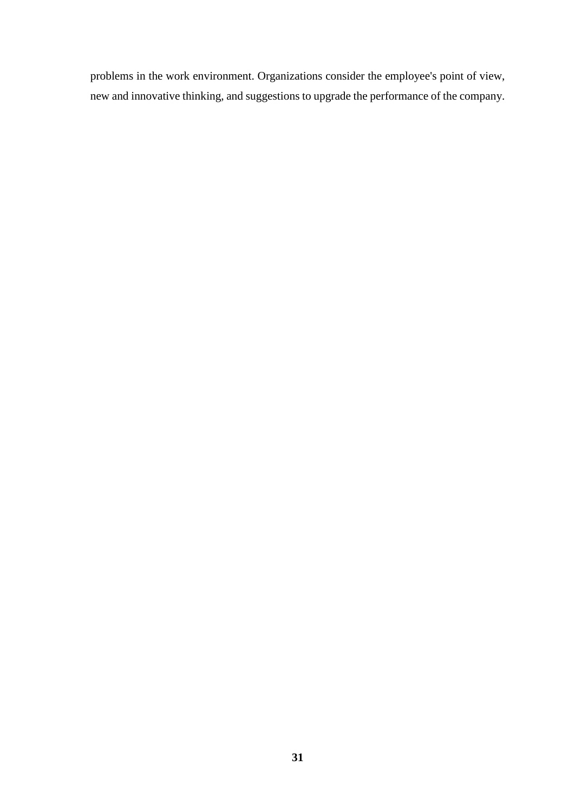problems in the work environment. Organizations consider the employee's point of view, new and innovative thinking, and suggestions to upgrade the performance of the company.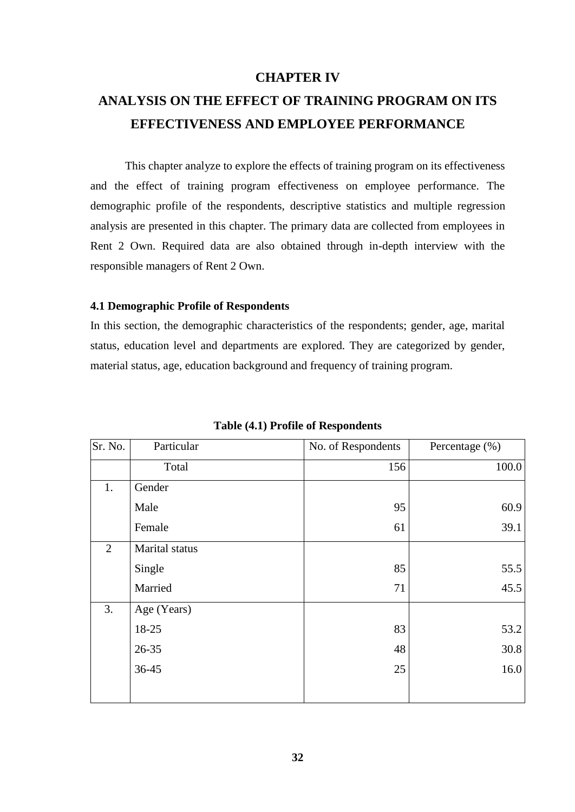# **CHAPTER IV**

# **ANALYSIS ON THE EFFECT OF TRAINING PROGRAM ON ITS EFFECTIVENESS AND EMPLOYEE PERFORMANCE**

This chapter analyze to explore the effects of training program on its effectiveness and the effect of training program effectiveness on employee performance. The demographic profile of the respondents, descriptive statistics and multiple regression analysis are presented in this chapter. The primary data are collected from employees in Rent 2 Own. Required data are also obtained through in-depth interview with the responsible managers of Rent 2 Own.

#### **4.1 Demographic Profile of Respondents**

In this section, the demographic characteristics of the respondents; gender, age, marital status, education level and departments are explored. They are categorized by gender, material status, age, education background and frequency of training program.

| Sr. No.        | Particular     | No. of Respondents | Percentage (%) |
|----------------|----------------|--------------------|----------------|
|                | Total          | 156                | 100.0          |
| 1.             | Gender         |                    |                |
|                | Male           | 95                 | 60.9           |
|                | Female         | 61                 | 39.1           |
| $\overline{2}$ | Marital status |                    |                |
|                | Single         | 85                 | 55.5           |
|                | Married        | 71                 | 45.5           |
| 3.             | Age (Years)    |                    |                |
|                | 18-25          | 83                 | 53.2           |
|                | 26-35          | 48                 | 30.8           |
|                | 36-45          | 25                 | 16.0           |
|                |                |                    |                |

**Table (4.1) Profile of Respondents**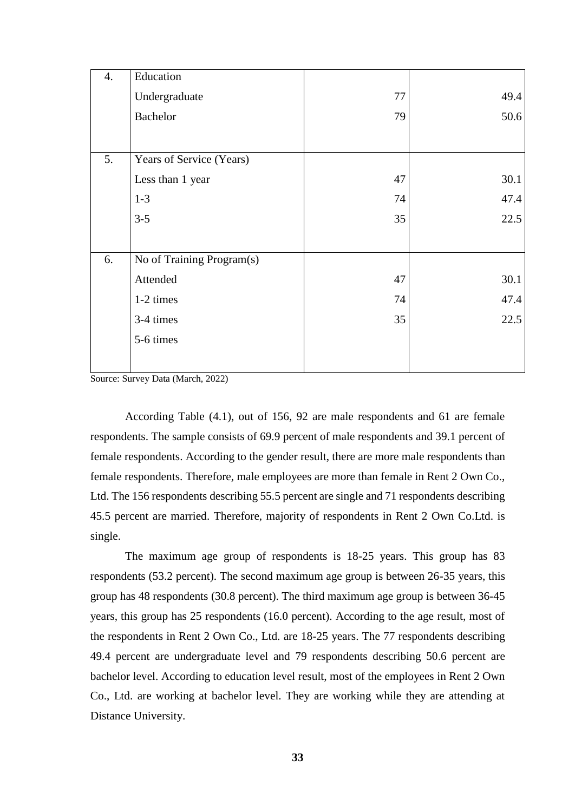| 4. | Education                 |    |      |
|----|---------------------------|----|------|
|    | Undergraduate             | 77 | 49.4 |
|    | <b>Bachelor</b>           | 79 | 50.6 |
|    |                           |    |      |
| 5. | Years of Service (Years)  |    |      |
|    | Less than 1 year          | 47 | 30.1 |
|    | $1-3$                     | 74 | 47.4 |
|    | $3 - 5$                   | 35 | 22.5 |
|    |                           |    |      |
| 6. | No of Training Program(s) |    |      |
|    | Attended                  | 47 | 30.1 |
|    | 1-2 times                 | 74 | 47.4 |
|    | 3-4 times                 | 35 | 22.5 |
|    | 5-6 times                 |    |      |
|    |                           |    |      |
|    |                           |    |      |

Source: Survey Data (March, 2022)

According Table (4.1), out of 156, 92 are male respondents and 61 are female respondents. The sample consists of 69.9 percent of male respondents and 39.1 percent of female respondents. According to the gender result, there are more male respondents than female respondents. Therefore, male employees are more than female in Rent 2 Own Co., Ltd. The 156 respondents describing 55.5 percent are single and 71 respondents describing 45.5 percent are married. Therefore, majority of respondents in Rent 2 Own Co.Ltd. is single.

The maximum age group of respondents is 18-25 years. This group has 83 respondents (53.2 percent). The second maximum age group is between 26-35 years, this group has 48 respondents (30.8 percent). The third maximum age group is between 36-45 years, this group has 25 respondents (16.0 percent). According to the age result, most of the respondents in Rent 2 Own Co., Ltd. are 18-25 years. The 77 respondents describing 49.4 percent are undergraduate level and 79 respondents describing 50.6 percent are bachelor level. According to education level result, most of the employees in Rent 2 Own Co., Ltd. are working at bachelor level. They are working while they are attending at Distance University.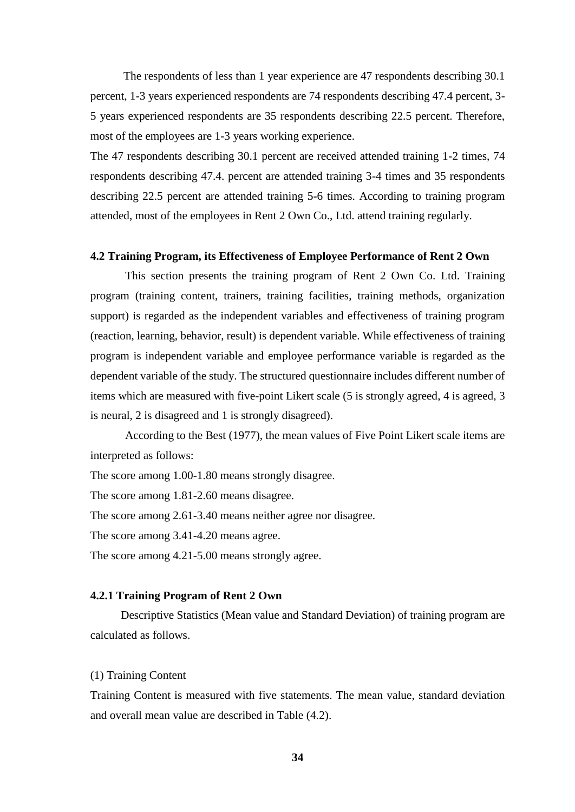The respondents of less than 1 year experience are 47 respondents describing 30.1 percent, 1-3 years experienced respondents are 74 respondents describing 47.4 percent, 3- 5 years experienced respondents are 35 respondents describing 22.5 percent. Therefore, most of the employees are 1-3 years working experience.

The 47 respondents describing 30.1 percent are received attended training 1-2 times, 74 respondents describing 47.4. percent are attended training 3-4 times and 35 respondents describing 22.5 percent are attended training 5-6 times. According to training program attended, most of the employees in Rent 2 Own Co., Ltd. attend training regularly.

#### **4.2 Training Program, its Effectiveness of Employee Performance of Rent 2 Own**

This section presents the training program of Rent 2 Own Co. Ltd. Training program (training content, trainers, training facilities, training methods, organization support) is regarded as the independent variables and effectiveness of training program (reaction, learning, behavior, result) is dependent variable. While effectiveness of training program is independent variable and employee performance variable is regarded as the dependent variable of the study. The structured questionnaire includes different number of items which are measured with five-point Likert scale (5 is strongly agreed, 4 is agreed, 3 is neural, 2 is disagreed and 1 is strongly disagreed).

According to the Best (1977), the mean values of Five Point Likert scale items are interpreted as follows:

The score among 1.00-1.80 means strongly disagree.

The score among 1.81-2.60 means disagree.

The score among 2.61-3.40 means neither agree nor disagree.

The score among 3.41-4.20 means agree.

The score among 4.21-5.00 means strongly agree.

#### **4.2.1 Training Program of Rent 2 Own**

Descriptive Statistics (Mean value and Standard Deviation) of training program are calculated as follows.

#### (1) Training Content

Training Content is measured with five statements. The mean value, standard deviation and overall mean value are described in Table (4.2).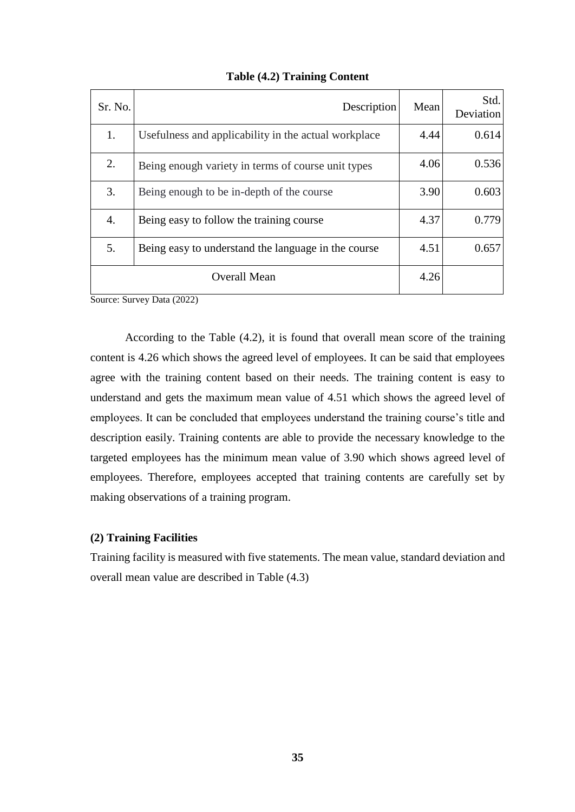| Sr. No.      | Description                                          | Mean | Std.<br>Deviation |
|--------------|------------------------------------------------------|------|-------------------|
| 1.           | Usefulness and applicability in the actual workplace | 4.44 | 0.614             |
| 2.           | Being enough variety in terms of course unit types   | 4.06 | 0.536             |
| 3.           | Being enough to be in-depth of the course            | 3.90 | 0.603             |
| 4.           | Being easy to follow the training course             | 4.37 | 0.779             |
| 5.           | Being easy to understand the language in the course  | 4.51 | 0.657             |
| Overall Mean |                                                      | 4.26 |                   |

**Table (4.2) Training Content**

According to the Table (4.2), it is found that overall mean score of the training content is 4.26 which shows the agreed level of employees. It can be said that employees agree with the training content based on their needs. The training content is easy to understand and gets the maximum mean value of 4.51 which shows the agreed level of employees. It can be concluded that employees understand the training course's title and description easily. Training contents are able to provide the necessary knowledge to the targeted employees has the minimum mean value of 3.90 which shows agreed level of employees. Therefore, employees accepted that training contents are carefully set by making observations of a training program.

#### **(2) Training Facilities**

Training facility is measured with five statements. The mean value, standard deviation and overall mean value are described in Table (4.3)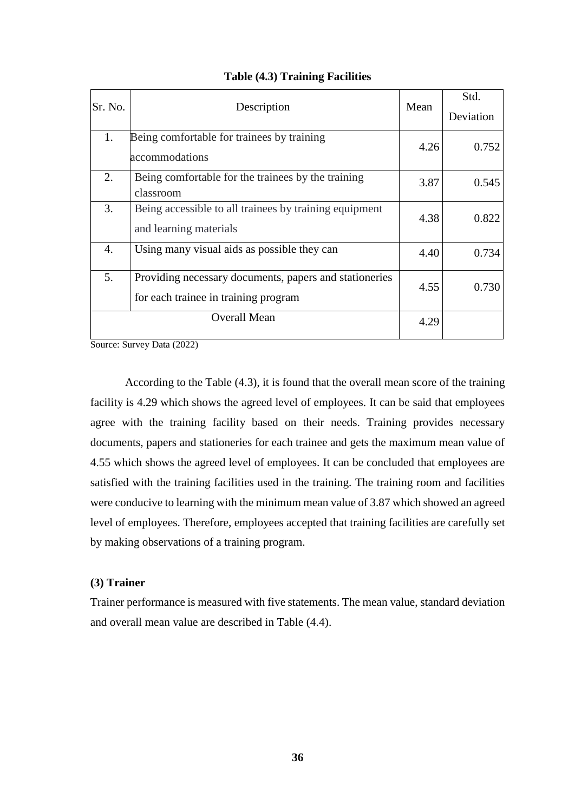| Sr. No. | Description                                                                                    | Mean | Std.<br>Deviation |
|---------|------------------------------------------------------------------------------------------------|------|-------------------|
| 1.      | Being comfortable for trainees by training<br>accommodations                                   | 4.26 | 0.752             |
| 2.      | Being comfortable for the trainees by the training<br>classroom                                | 3.87 | 0.545             |
| 3.      | Being accessible to all trainees by training equipment<br>and learning materials               | 4.38 | 0.822             |
| 4.      | Using many visual aids as possible they can                                                    | 4.40 | 0.734             |
| 5.      | Providing necessary documents, papers and stationeries<br>for each trainee in training program | 4.55 | 0.730             |
|         | <b>Overall Mean</b>                                                                            | 4.29 |                   |

**Table (4.3) Training Facilities**

According to the Table (4.3), it is found that the overall mean score of the training facility is 4.29 which shows the agreed level of employees. It can be said that employees agree with the training facility based on their needs. Training provides necessary documents, papers and stationeries for each trainee and gets the maximum mean value of 4.55 which shows the agreed level of employees. It can be concluded that employees are satisfied with the training facilities used in the training. The training room and facilities were conducive to learning with the minimum mean value of 3.87 which showed an agreed level of employees. Therefore, employees accepted that training facilities are carefully set by making observations of a training program.

#### **(3) Trainer**

Trainer performance is measured with five statements. The mean value, standard deviation and overall mean value are described in Table (4.4).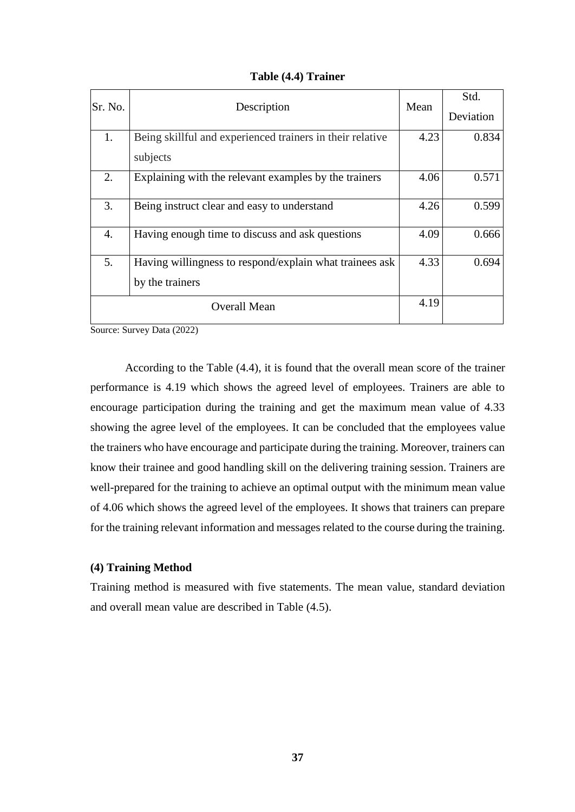|  |  | Table (4.4) Trainer |
|--|--|---------------------|
|--|--|---------------------|

| lSr. No. | Description                                               | Mean | Std.      |
|----------|-----------------------------------------------------------|------|-----------|
|          |                                                           |      | Deviation |
| 1.       | Being skillful and experienced trainers in their relative | 4.23 | 0.834     |
|          | subjects                                                  |      |           |
| 2.       | Explaining with the relevant examples by the trainers     | 4.06 | 0.571     |
| 3.       | Being instruct clear and easy to understand               | 4.26 | 0.599     |
| 4.       | Having enough time to discuss and ask questions           | 4.09 | 0.666     |
| 5.       | Having willingness to respond/explain what trainees ask   | 4.33 | 0.694     |
|          | by the trainers                                           |      |           |
|          | Overall Mean                                              | 4.19 |           |

According to the Table (4.4), it is found that the overall mean score of the trainer performance is 4.19 which shows the agreed level of employees. Trainers are able to encourage participation during the training and get the maximum mean value of 4.33 showing the agree level of the employees. It can be concluded that the employees value the trainers who have encourage and participate during the training. Moreover, trainers can know their trainee and good handling skill on the delivering training session. Trainers are well-prepared for the training to achieve an optimal output with the minimum mean value of 4.06 which shows the agreed level of the employees. It shows that trainers can prepare for the training relevant information and messages related to the course during the training.

#### **(4) Training Method**

Training method is measured with five statements. The mean value, standard deviation and overall mean value are described in Table (4.5).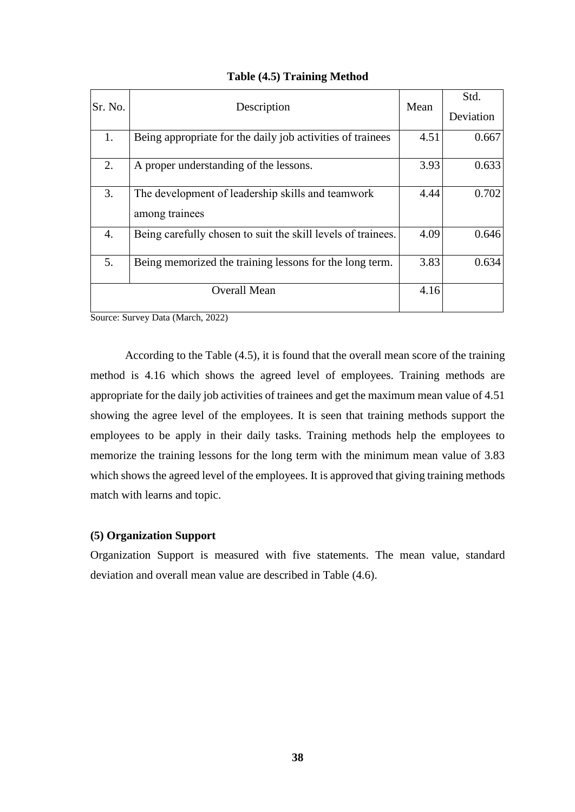| Sr. No. | Description                                                         | Mean | Std.      |
|---------|---------------------------------------------------------------------|------|-----------|
|         |                                                                     |      | Deviation |
| 1.      | Being appropriate for the daily job activities of trainees          | 4.51 | 0.667     |
| 2.      | A proper understanding of the lessons.                              | 3.93 | 0.633     |
| 3.      | The development of leadership skills and teamwork<br>among trainees | 4.44 | 0.702     |
| 4.      | Being carefully chosen to suit the skill levels of trainees.        | 4.09 | 0.646     |
| 5.      | Being memorized the training lessons for the long term.             | 3.83 | 0.634     |
|         | <b>Overall Mean</b>                                                 | 4.16 |           |

# **Table (4.5) Training Method**

Source: Survey Data (March, 2022)

According to the Table (4.5), it is found that the overall mean score of the training method is 4.16 which shows the agreed level of employees. Training methods are appropriate for the daily job activities of trainees and get the maximum mean value of 4.51 showing the agree level of the employees. It is seen that training methods support the employees to be apply in their daily tasks. Training methods help the employees to memorize the training lessons for the long term with the minimum mean value of 3.83 which shows the agreed level of the employees. It is approved that giving training methods match with learns and topic.

## **(5) Organization Support**

Organization Support is measured with five statements. The mean value, standard deviation and overall mean value are described in Table (4.6).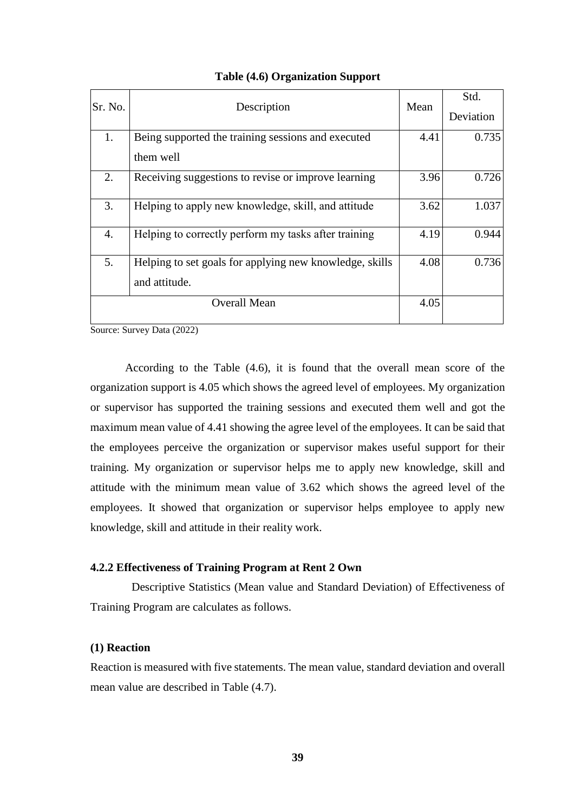| Sr. No.          | Description                                             | Mean | Std.      |
|------------------|---------------------------------------------------------|------|-----------|
|                  |                                                         |      | Deviation |
| 1.               | Being supported the training sessions and executed      | 4.41 | 0.735     |
|                  | them well                                               |      |           |
| 2.               | Receiving suggestions to revise or improve learning     | 3.96 | 0.726     |
| 3.               | Helping to apply new knowledge, skill, and attitude     | 3.62 | 1.037     |
| $\overline{4}$ . | Helping to correctly perform my tasks after training    | 4.19 | 0.944     |
| 5.               | Helping to set goals for applying new knowledge, skills | 4.08 | 0.736     |
|                  | and attitude.                                           |      |           |
|                  | <b>Overall Mean</b>                                     | 4.05 |           |

#### **Table (4.6) Organization Support**

Source: Survey Data (2022)

According to the Table (4.6), it is found that the overall mean score of the organization support is 4.05 which shows the agreed level of employees. My organization or supervisor has supported the training sessions and executed them well and got the maximum mean value of 4.41 showing the agree level of the employees. It can be said that the employees perceive the organization or supervisor makes useful support for their training. My organization or supervisor helps me to apply new knowledge, skill and attitude with the minimum mean value of 3.62 which shows the agreed level of the employees. It showed that organization or supervisor helps employee to apply new knowledge, skill and attitude in their reality work.

#### **4.2.2 Effectiveness of Training Program at Rent 2 Own**

Descriptive Statistics (Mean value and Standard Deviation) of Effectiveness of Training Program are calculates as follows.

#### **(1) Reaction**

Reaction is measured with five statements. The mean value, standard deviation and overall mean value are described in Table (4.7).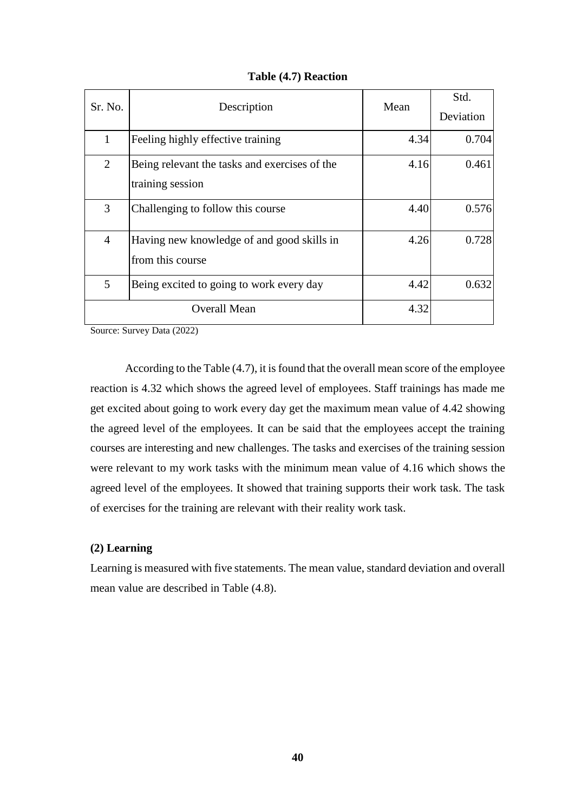| Sr. No.        | Description                                   | Mean | Std.      |
|----------------|-----------------------------------------------|------|-----------|
|                |                                               |      | Deviation |
| 1              | Feeling highly effective training             | 4.34 | 0.704     |
| $\overline{2}$ | Being relevant the tasks and exercises of the | 4.16 | 0.461     |
|                | training session                              |      |           |
| 3              | Challenging to follow this course             | 4.40 | 0.576     |
| $\overline{4}$ | Having new knowledge of and good skills in    | 4.26 | 0.728     |
|                | from this course                              |      |           |
| 5              | Being excited to going to work every day      | 4.42 | 0.632     |
|                | <b>Overall Mean</b>                           | 4.32 |           |

According to the Table (4.7), it is found that the overall mean score of the employee reaction is 4.32 which shows the agreed level of employees. Staff trainings has made me get excited about going to work every day get the maximum mean value of 4.42 showing the agreed level of the employees. It can be said that the employees accept the training courses are interesting and new challenges. The tasks and exercises of the training session were relevant to my work tasks with the minimum mean value of 4.16 which shows the agreed level of the employees. It showed that training supports their work task. The task of exercises for the training are relevant with their reality work task.

#### **(2) Learning**

Learning is measured with five statements. The mean value, standard deviation and overall mean value are described in Table (4.8).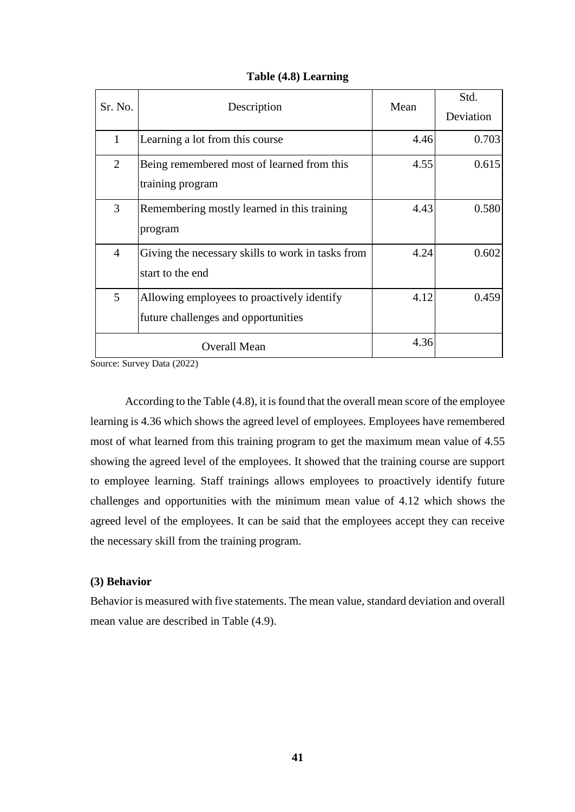| Sr. No.        | Description                                                                       | Mean | Std.<br>Deviation |
|----------------|-----------------------------------------------------------------------------------|------|-------------------|
| $\mathbf{1}$   | Learning a lot from this course                                                   | 4.46 | 0.703             |
| 2              | Being remembered most of learned from this<br>training program                    | 4.55 | 0.615             |
| 3              | Remembering mostly learned in this training<br>program                            | 4.43 | 0.580             |
| $\overline{4}$ | Giving the necessary skills to work in tasks from<br>start to the end             | 4.24 | 0.602             |
| 5              | Allowing employees to proactively identify<br>future challenges and opportunities | 4.12 | 0.459             |
|                | <b>Overall Mean</b>                                                               | 4.36 |                   |

## **Table (4.8) Learning**

Source: Survey Data (2022)

According to the Table (4.8), it is found that the overall mean score of the employee learning is 4.36 which shows the agreed level of employees. Employees have remembered most of what learned from this training program to get the maximum mean value of 4.55 showing the agreed level of the employees. It showed that the training course are support to employee learning. Staff trainings allows employees to proactively identify future challenges and opportunities with the minimum mean value of 4.12 which shows the agreed level of the employees. It can be said that the employees accept they can receive the necessary skill from the training program.

#### **(3) Behavior**

Behavior is measured with five statements. The mean value, standard deviation and overall mean value are described in Table (4.9).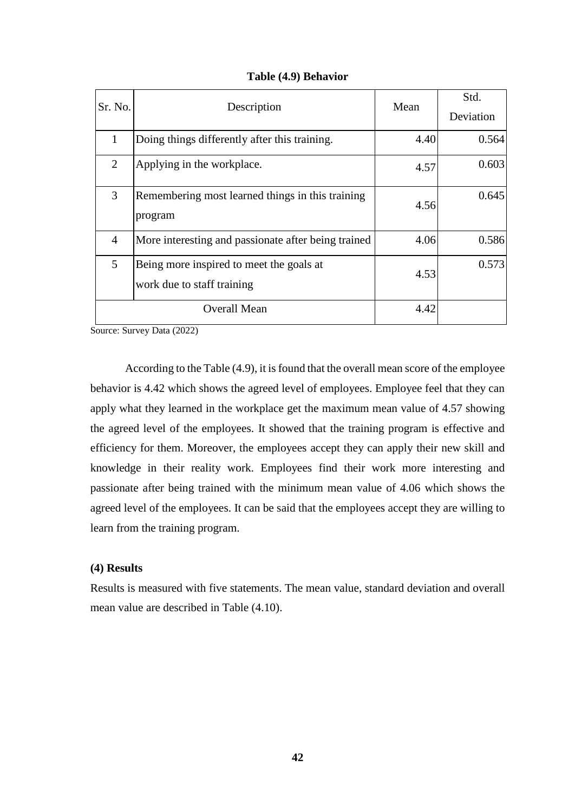|  |  | Table (4.9) Behavior |
|--|--|----------------------|
|--|--|----------------------|

| Sr. No.        | Description                                                            | Mean | Std.<br>Deviation |
|----------------|------------------------------------------------------------------------|------|-------------------|
| $\mathbf{1}$   | Doing things differently after this training.                          | 4.40 | 0.564             |
| 2              | Applying in the workplace.                                             | 4.57 | 0.603             |
| 3              | Remembering most learned things in this training<br>program            | 4.56 | 0.645             |
| $\overline{4}$ | More interesting and passionate after being trained                    | 4.06 | 0.586             |
| 5              | Being more inspired to meet the goals at<br>work due to staff training | 4.53 | 0.573             |
|                | <b>Overall Mean</b>                                                    | 4.42 |                   |

According to the Table (4.9), it is found that the overall mean score of the employee behavior is 4.42 which shows the agreed level of employees. Employee feel that they can apply what they learned in the workplace get the maximum mean value of 4.57 showing the agreed level of the employees. It showed that the training program is effective and efficiency for them. Moreover, the employees accept they can apply their new skill and knowledge in their reality work. Employees find their work more interesting and passionate after being trained with the minimum mean value of 4.06 which shows the agreed level of the employees. It can be said that the employees accept they are willing to learn from the training program.

#### **(4) Results**

Results is measured with five statements. The mean value, standard deviation and overall mean value are described in Table (4.10).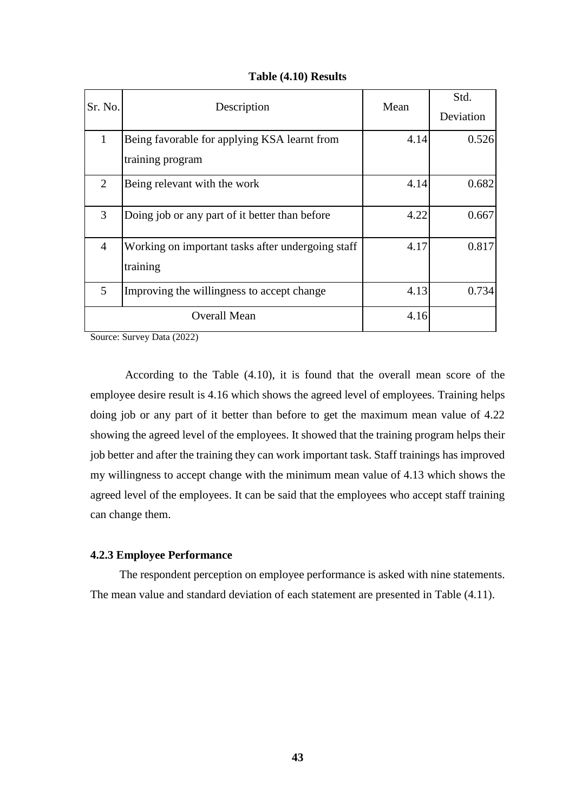|  |  | Table (4.10) Results |
|--|--|----------------------|
|--|--|----------------------|

| Sr. No.        | Description                                       | Mean | Std.      |
|----------------|---------------------------------------------------|------|-----------|
|                |                                                   |      | Deviation |
| $\mathbf{1}$   | Being favorable for applying KSA learnt from      | 4.14 | 0.526     |
|                | training program                                  |      |           |
| 2              | Being relevant with the work                      | 4.14 | 0.682     |
| 3              | Doing job or any part of it better than before    | 4.22 | 0.667     |
| $\overline{4}$ | Working on important tasks after undergoing staff | 4.17 | 0.817     |
|                | training                                          |      |           |
| 5              | Improving the willingness to accept change        | 4.13 | 0.734     |
|                | <b>Overall Mean</b>                               | 4.16 |           |

According to the Table (4.10), it is found that the overall mean score of the employee desire result is 4.16 which shows the agreed level of employees. Training helps doing job or any part of it better than before to get the maximum mean value of 4.22 showing the agreed level of the employees. It showed that the training program helps their job better and after the training they can work important task. Staff trainings has improved my willingness to accept change with the minimum mean value of 4.13 which shows the agreed level of the employees. It can be said that the employees who accept staff training can change them.

## **4.2.3 Employee Performance**

The respondent perception on employee performance is asked with nine statements. The mean value and standard deviation of each statement are presented in Table (4.11).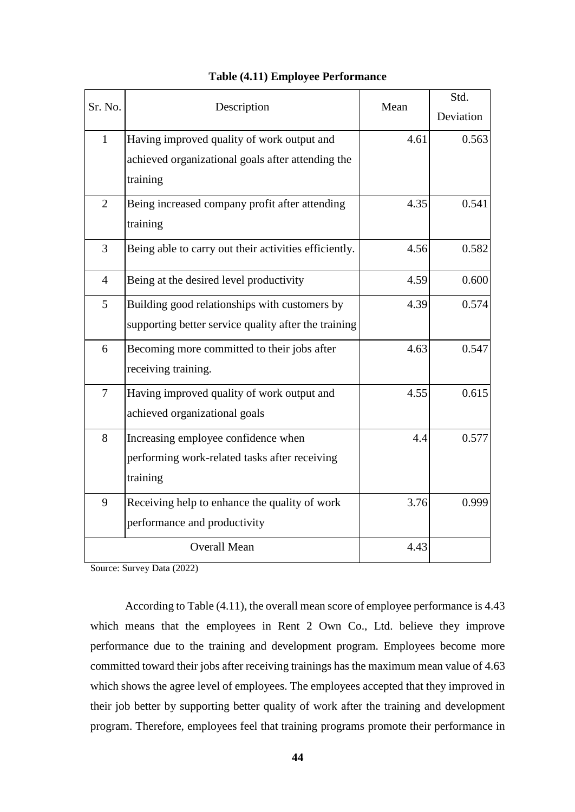|                |                                                       | Mean | Std.      |
|----------------|-------------------------------------------------------|------|-----------|
| Sr. No.        | Description                                           |      | Deviation |
| $\mathbf{1}$   | Having improved quality of work output and            | 4.61 | 0.563     |
|                | achieved organizational goals after attending the     |      |           |
|                | training                                              |      |           |
| $\overline{2}$ | Being increased company profit after attending        | 4.35 | 0.541     |
|                | training                                              |      |           |
| $\overline{3}$ | Being able to carry out their activities efficiently. | 4.56 | 0.582     |
| $\overline{4}$ | Being at the desired level productivity               | 4.59 | 0.600     |
| 5              | Building good relationships with customers by         | 4.39 | 0.574     |
|                | supporting better service quality after the training  |      |           |
| 6              | Becoming more committed to their jobs after           | 4.63 | 0.547     |
|                | receiving training.                                   |      |           |
| $\tau$         | Having improved quality of work output and            | 4.55 | 0.615     |
|                | achieved organizational goals                         |      |           |
| 8              | Increasing employee confidence when                   | 4.4  | 0.577     |
|                | performing work-related tasks after receiving         |      |           |
|                | training                                              |      |           |
| 9              | Receiving help to enhance the quality of work         | 3.76 | 0.999     |
|                | performance and productivity                          |      |           |
|                | <b>Overall Mean</b>                                   | 4.43 |           |

# **Table (4.11) Employee Performance**

Source: Survey Data (2022)

According to Table (4.11), the overall mean score of employee performance is 4.43 which means that the employees in Rent 2 Own Co., Ltd. believe they improve performance due to the training and development program. Employees become more committed toward their jobs after receiving trainings has the maximum mean value of 4.63 which shows the agree level of employees. The employees accepted that they improved in their job better by supporting better quality of work after the training and development program. Therefore, employees feel that training programs promote their performance in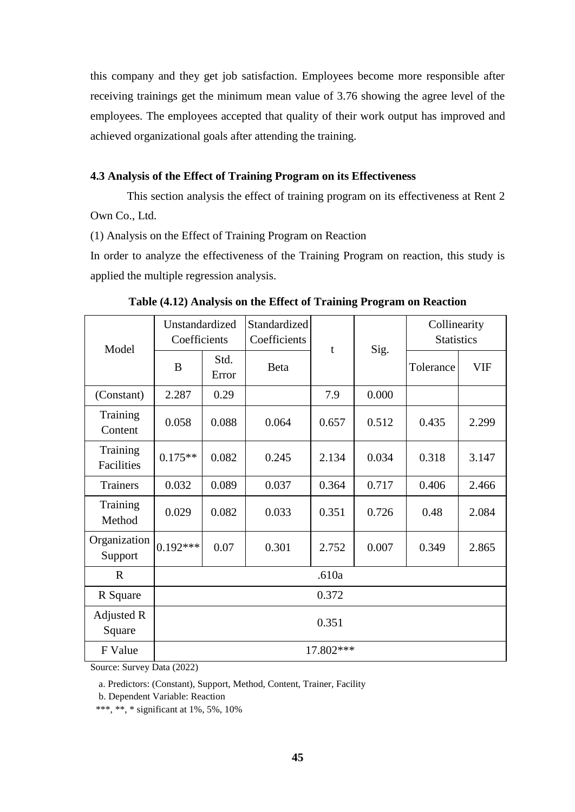this company and they get job satisfaction. Employees become more responsible after receiving trainings get the minimum mean value of 3.76 showing the agree level of the employees. The employees accepted that quality of their work output has improved and achieved organizational goals after attending the training.

# **4.3 Analysis of the Effect of Training Program on its Effectiveness**

This section analysis the effect of training program on its effectiveness at Rent 2 Own Co., Ltd.

(1) Analysis on the Effect of Training Program on Reaction

In order to analyze the effectiveness of the Training Program on reaction, this study is applied the multiple regression analysis.

| Model                         | Unstandardized<br>Coefficients |                                                   | Standardized<br>Coefficients | t         | Sig.  | Collinearity<br><b>Statistics</b> |            |  |  |
|-------------------------------|--------------------------------|---------------------------------------------------|------------------------------|-----------|-------|-----------------------------------|------------|--|--|
|                               | B                              | Std.<br>Error                                     | <b>Beta</b>                  |           |       | Tolerance                         | <b>VIF</b> |  |  |
| (Constant)                    | 2.287                          | 0.29                                              |                              | 7.9       | 0.000 |                                   |            |  |  |
| Training<br>Content           | 0.058                          | 0.088                                             | 0.064                        | 0.657     | 0.512 | 0.435                             | 2.299      |  |  |
| <b>Training</b><br>Facilities | $0.175**$                      | 0.082                                             | 0.245                        | 2.134     | 0.034 | 0.318                             | 3.147      |  |  |
| <b>Trainers</b>               | 0.032                          | 0.089                                             | 0.037                        | 0.364     | 0.717 | 0.406                             | 2.466      |  |  |
| <b>Training</b><br>Method     | 0.029                          | 0.082                                             | 0.033                        | 0.351     | 0.726 | 0.48                              | 2.084      |  |  |
| Organization<br>Support       | $0.192***$                     | 0.07<br>0.301<br>0.007<br>0.349<br>2.865<br>2.752 |                              |           |       |                                   |            |  |  |
| $\mathbf{R}$                  | .610a                          |                                                   |                              |           |       |                                   |            |  |  |
| R Square                      | 0.372                          |                                                   |                              |           |       |                                   |            |  |  |
| Adjusted R<br>Square          |                                | 0.351                                             |                              |           |       |                                   |            |  |  |
| F Value                       |                                |                                                   |                              | 17.802*** |       |                                   |            |  |  |

|  |  |  |  |  |  |  |  |  | Table (4.12) Analysis on the Effect of Training Program on Reaction |  |  |
|--|--|--|--|--|--|--|--|--|---------------------------------------------------------------------|--|--|
|--|--|--|--|--|--|--|--|--|---------------------------------------------------------------------|--|--|

Source: Survey Data (2022)

a. Predictors: (Constant), Support, Method, Content, Trainer, Facility

b. Dependent Variable: Reaction

\*\*\*, \*\*, \* significant at 1%, 5%, 10%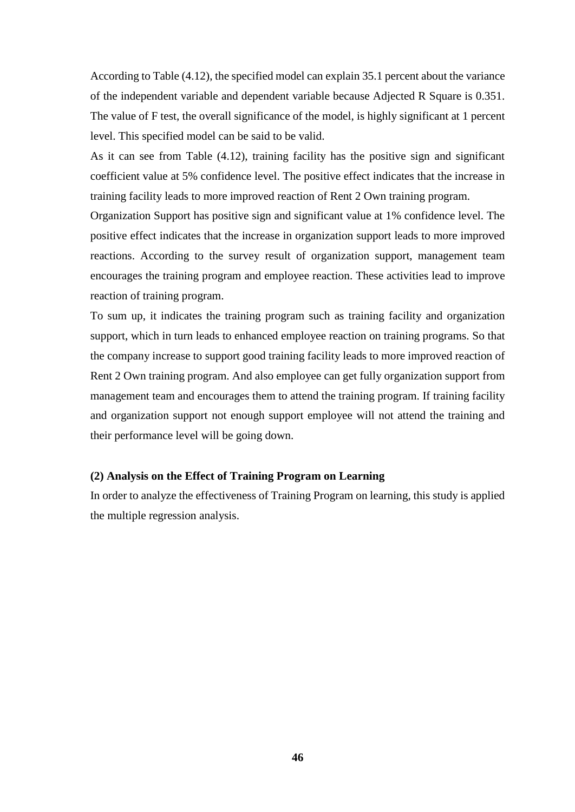According to Table (4.12), the specified model can explain 35.1 percent about the variance of the independent variable and dependent variable because Adjected R Square is 0.351. The value of F test, the overall significance of the model, is highly significant at 1 percent level. This specified model can be said to be valid.

As it can see from Table (4.12), training facility has the positive sign and significant coefficient value at 5% confidence level. The positive effect indicates that the increase in training facility leads to more improved reaction of Rent 2 Own training program.

Organization Support has positive sign and significant value at 1% confidence level. The positive effect indicates that the increase in organization support leads to more improved reactions. According to the survey result of organization support, management team encourages the training program and employee reaction. These activities lead to improve reaction of training program.

To sum up, it indicates the training program such as training facility and organization support, which in turn leads to enhanced employee reaction on training programs. So that the company increase to support good training facility leads to more improved reaction of Rent 2 Own training program. And also employee can get fully organization support from management team and encourages them to attend the training program. If training facility and organization support not enough support employee will not attend the training and their performance level will be going down.

#### **(2) Analysis on the Effect of Training Program on Learning**

In order to analyze the effectiveness of Training Program on learning, this study is applied the multiple regression analysis.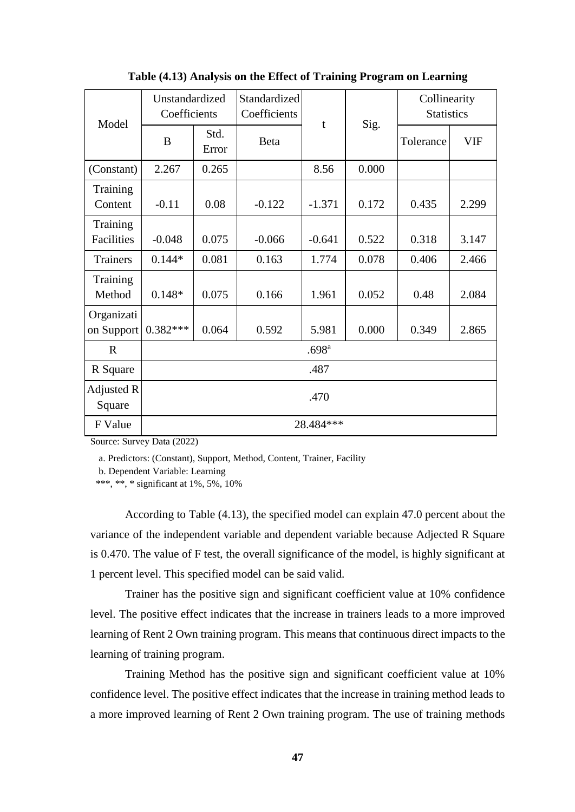| Model                    | Unstandardized<br>Coefficients |                                                    | Standardized<br>Coefficients | t         |       | Collinearity<br><b>Statistics</b> |            |  |  |
|--------------------------|--------------------------------|----------------------------------------------------|------------------------------|-----------|-------|-----------------------------------|------------|--|--|
|                          | B                              | Std.<br>Error                                      | Beta                         |           | Sig.  | Tolerance                         | <b>VIF</b> |  |  |
| (Constant)               | 2.267                          | 0.265                                              |                              | 8.56      | 0.000 |                                   |            |  |  |
| Training<br>Content      | $-0.11$                        | 0.08                                               | $-0.122$                     | $-1.371$  | 0.172 | 0.435                             | 2.299      |  |  |
| Training<br>Facilities   | $-0.048$                       | 0.075                                              | $-0.066$                     | $-0.641$  | 0.522 | 0.318                             | 3.147      |  |  |
| <b>Trainers</b>          | $0.144*$                       | 0.081                                              | 0.163                        | 1.774     | 0.078 | 0.406                             | 2.466      |  |  |
| Training<br>Method       | $0.148*$                       | 0.075                                              | 0.166                        | 1.961     | 0.052 | 0.48                              | 2.084      |  |  |
| Organizati<br>on Support | $0.382***$                     | 0.000<br>0.064<br>0.592<br>0.349<br>2.865<br>5.981 |                              |           |       |                                   |            |  |  |
| $\mathbf{R}$             | .698 <sup>a</sup>              |                                                    |                              |           |       |                                   |            |  |  |
| R Square                 | .487                           |                                                    |                              |           |       |                                   |            |  |  |
| Adjusted R<br>Square     |                                | .470                                               |                              |           |       |                                   |            |  |  |
| F Value                  |                                |                                                    |                              | 28.484*** |       |                                   |            |  |  |

**Table (4.13) Analysis on the Effect of Training Program on Learning**

a. Predictors: (Constant), Support, Method, Content, Trainer, Facility

b. Dependent Variable: Learning

\*\*\*, \*\*, \* significant at  $1\%$ , 5%, 10%

According to Table (4.13), the specified model can explain 47.0 percent about the variance of the independent variable and dependent variable because Adjected R Square is 0.470. The value of F test, the overall significance of the model, is highly significant at 1 percent level. This specified model can be said valid.

Trainer has the positive sign and significant coefficient value at 10% confidence level. The positive effect indicates that the increase in trainers leads to a more improved learning of Rent 2 Own training program. This means that continuous direct impacts to the learning of training program.

Training Method has the positive sign and significant coefficient value at 10% confidence level. The positive effect indicates that the increase in training method leads to a more improved learning of Rent 2 Own training program. The use of training methods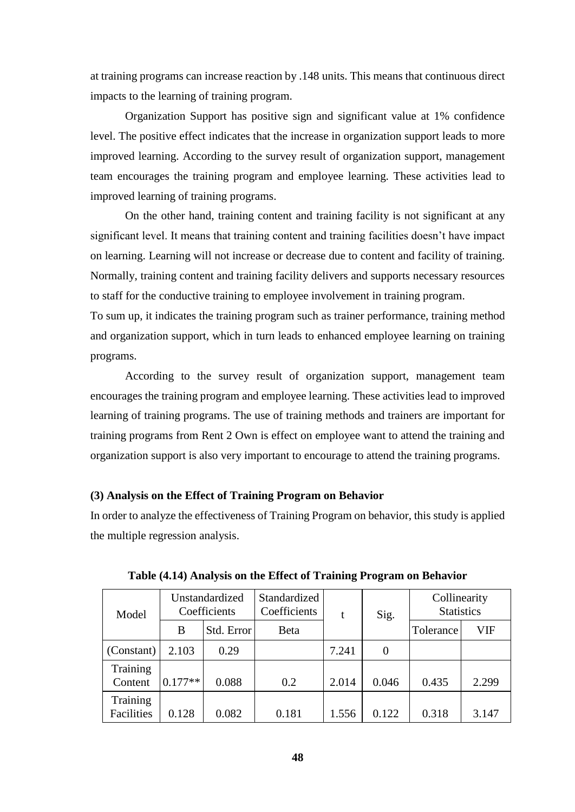at training programs can increase reaction by .148 units. This means that continuous direct impacts to the learning of training program.

Organization Support has positive sign and significant value at 1% confidence level. The positive effect indicates that the increase in organization support leads to more improved learning. According to the survey result of organization support, management team encourages the training program and employee learning. These activities lead to improved learning of training programs.

On the other hand, training content and training facility is not significant at any significant level. It means that training content and training facilities doesn't have impact on learning. Learning will not increase or decrease due to content and facility of training. Normally, training content and training facility delivers and supports necessary resources to staff for the conductive training to employee involvement in training program.

To sum up, it indicates the training program such as trainer performance, training method and organization support, which in turn leads to enhanced employee learning on training programs.

According to the survey result of organization support, management team encourages the training program and employee learning. These activities lead to improved learning of training programs. The use of training methods and trainers are important for training programs from Rent 2 Own is effect on employee want to attend the training and organization support is also very important to encourage to attend the training programs.

#### **(3) Analysis on the Effect of Training Program on Behavior**

In order to analyze the effectiveness of Training Program on behavior, this study is applied the multiple regression analysis.

| Model                  |           | Unstandardized<br>Coefficients | Standardized<br>Coefficients | t     | Sig.     | Collinearity<br><b>Statistics</b> |       |
|------------------------|-----------|--------------------------------|------------------------------|-------|----------|-----------------------------------|-------|
|                        | B         | Std. Error                     | Beta                         |       |          | Tolerance                         | VIF   |
| (Constant)             | 2.103     | 0.29                           |                              | 7.241 | $\Omega$ |                                   |       |
| Training<br>Content    | $0.177**$ | 0.088                          | 0.2                          | 2.014 | 0.046    | 0.435                             | 2.299 |
| Training<br>Facilities | 0.128     | 0.082                          | 0.181                        | 1.556 | 0.122    | 0.318                             | 3.147 |

**Table (4.14) Analysis on the Effect of Training Program on Behavior**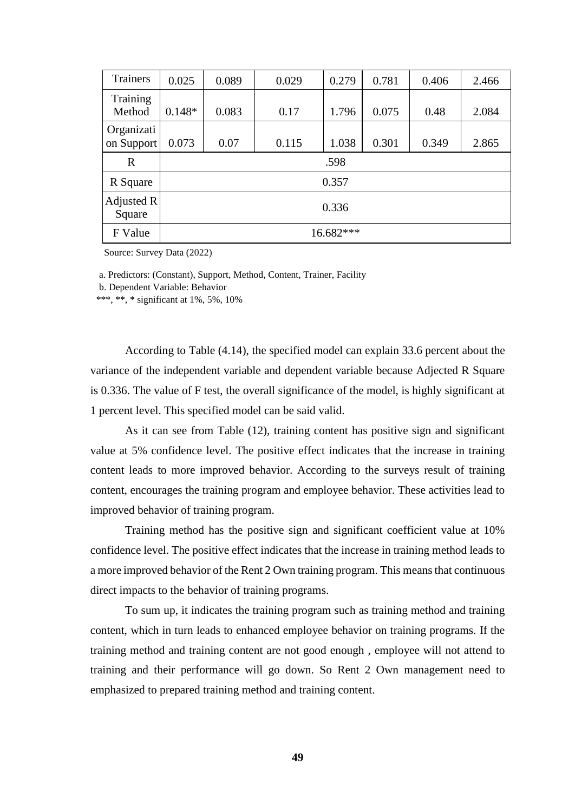| <b>Trainers</b>          | 0.025    | 0.089     | 0.029 | 0.279 | 0.781 | 0.406 | 2.466 |  |
|--------------------------|----------|-----------|-------|-------|-------|-------|-------|--|
| Training<br>Method       | $0.148*$ | 0.083     | 0.17  | 1.796 | 0.075 | 0.48  | 2.084 |  |
| Organizati<br>on Support | 0.073    | 0.07      | 0.115 | 1.038 | 0.301 | 0.349 | 2.865 |  |
| $\mathbf R$              |          | .598      |       |       |       |       |       |  |
| R Square                 |          | 0.357     |       |       |       |       |       |  |
| Adjusted $R$<br>Square   |          | 0.336     |       |       |       |       |       |  |
| F Value                  |          | 16.682*** |       |       |       |       |       |  |

a. Predictors: (Constant), Support, Method, Content, Trainer, Facility

b. Dependent Variable: Behavior

\*\*\*, \*\*, \* significant at 1%, 5%, 10%

According to Table (4.14), the specified model can explain 33.6 percent about the variance of the independent variable and dependent variable because Adjected R Square is 0.336. The value of F test, the overall significance of the model, is highly significant at 1 percent level. This specified model can be said valid.

As it can see from Table (12), training content has positive sign and significant value at 5% confidence level. The positive effect indicates that the increase in training content leads to more improved behavior. According to the surveys result of training content, encourages the training program and employee behavior. These activities lead to improved behavior of training program.

Training method has the positive sign and significant coefficient value at 10% confidence level. The positive effect indicates that the increase in training method leads to a more improved behavior of the Rent 2 Own training program. This means that continuous direct impacts to the behavior of training programs.

To sum up, it indicates the training program such as training method and training content, which in turn leads to enhanced employee behavior on training programs. If the training method and training content are not good enough , employee will not attend to training and their performance will go down. So Rent 2 Own management need to emphasized to prepared training method and training content.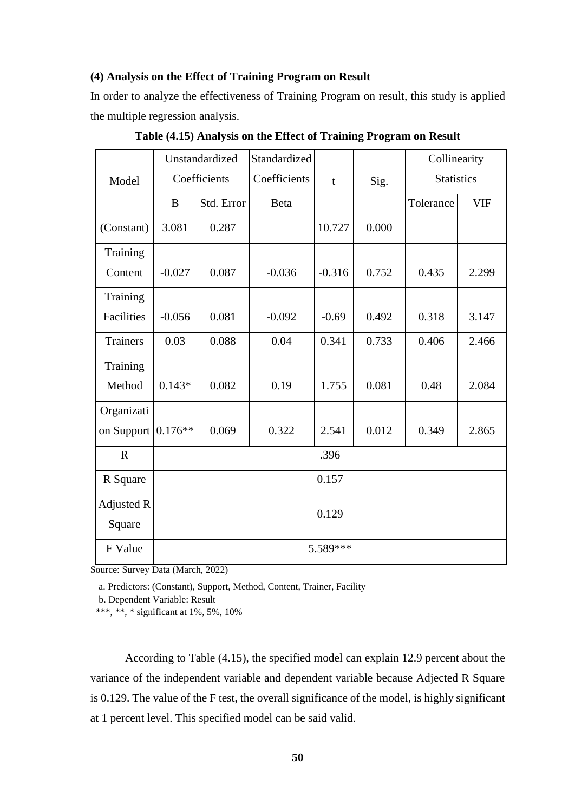#### **(4) Analysis on the Effect of Training Program on Result**

In order to analyze the effectiveness of Training Program on result, this study is applied the multiple regression analysis.

|                   |           | Unstandardized | Standardized |          |       | Collinearity      |            |
|-------------------|-----------|----------------|--------------|----------|-------|-------------------|------------|
| Model             |           | Coefficients   | Coefficients | t        | Sig.  | <b>Statistics</b> |            |
|                   | B         | Std. Error     | Beta         |          |       | Tolerance         | <b>VIF</b> |
| (Constant)        | 3.081     | 0.287          |              | 10.727   | 0.000 |                   |            |
| Training          |           |                |              |          |       |                   |            |
| Content           | $-0.027$  | 0.087          | $-0.036$     | $-0.316$ | 0.752 | 0.435             | 2.299      |
| Training          |           |                |              |          |       |                   |            |
| Facilities        | $-0.056$  | 0.081          | $-0.092$     | $-0.69$  | 0.492 | 0.318             | 3.147      |
| <b>Trainers</b>   | 0.03      | 0.088          | 0.04         | 0.341    | 0.733 | 0.406             | 2.466      |
| Training          |           |                |              |          |       |                   |            |
| Method            | $0.143*$  | 0.082          | 0.19         | 1.755    | 0.081 | 0.48              | 2.084      |
| Organizati        |           |                |              |          |       |                   |            |
| on Support        | $0.176**$ | 0.069          | 0.322        | 2.541    | 0.012 | 0.349             | 2.865      |
| $\mathbb{R}$      |           |                |              | .396     |       |                   |            |
| R Square          | 0.157     |                |              |          |       |                   |            |
| <b>Adjusted R</b> |           |                |              | 0.129    |       |                   |            |
| Square            |           |                |              |          |       |                   |            |
| F Value           |           |                |              | 5.589*** |       |                   |            |

**Table (4.15) Analysis on the Effect of Training Program on Result**

Source: Survey Data (March, 2022)

a. Predictors: (Constant), Support, Method, Content, Trainer, Facility

b. Dependent Variable: Result

\*\*\*, \*\*, \* significant at 1%, 5%, 10%

According to Table (4.15), the specified model can explain 12.9 percent about the variance of the independent variable and dependent variable because Adjected R Square is 0.129. The value of the F test, the overall significance of the model, is highly significant at 1 percent level. This specified model can be said valid.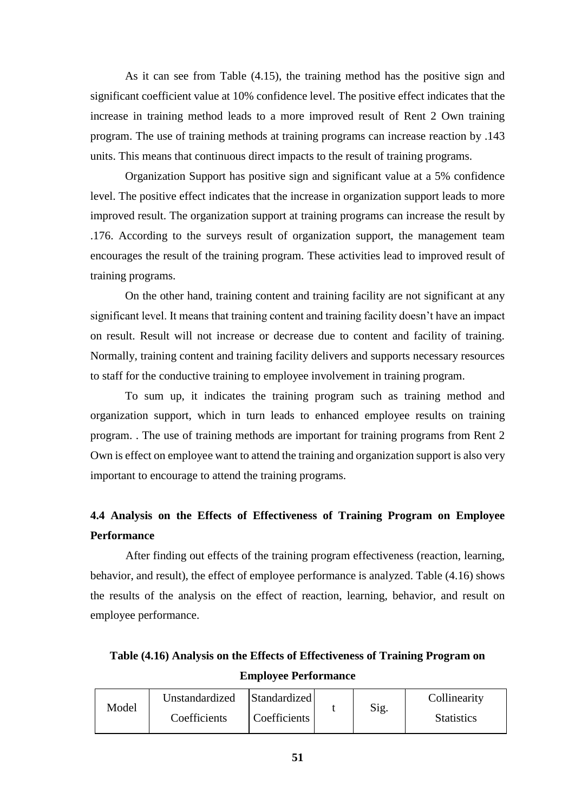As it can see from Table (4.15), the training method has the positive sign and significant coefficient value at 10% confidence level. The positive effect indicates that the increase in training method leads to a more improved result of Rent 2 Own training program. The use of training methods at training programs can increase reaction by .143 units. This means that continuous direct impacts to the result of training programs.

Organization Support has positive sign and significant value at a 5% confidence level. The positive effect indicates that the increase in organization support leads to more improved result. The organization support at training programs can increase the result by .176. According to the surveys result of organization support, the management team encourages the result of the training program. These activities lead to improved result of training programs.

On the other hand, training content and training facility are not significant at any significant level. It means that training content and training facility doesn't have an impact on result. Result will not increase or decrease due to content and facility of training. Normally, training content and training facility delivers and supports necessary resources to staff for the conductive training to employee involvement in training program.

To sum up, it indicates the training program such as training method and organization support, which in turn leads to enhanced employee results on training program. . The use of training methods are important for training programs from Rent 2 Own is effect on employee want to attend the training and organization support is also very important to encourage to attend the training programs.

# **4.4 Analysis on the Effects of Effectiveness of Training Program on Employee Performance**

After finding out effects of the training program effectiveness (reaction, learning, behavior, and result), the effect of employee performance is analyzed. Table (4.16) shows the results of the analysis on the effect of reaction, learning, behavior, and result on employee performance.

**Table (4.16) Analysis on the Effects of Effectiveness of Training Program on Employee Performance**

|       | Unstandardized | Standardized |      | Collinearity      |
|-------|----------------|--------------|------|-------------------|
| Model | Coefficients   | Coefficients | Sig. | <b>Statistics</b> |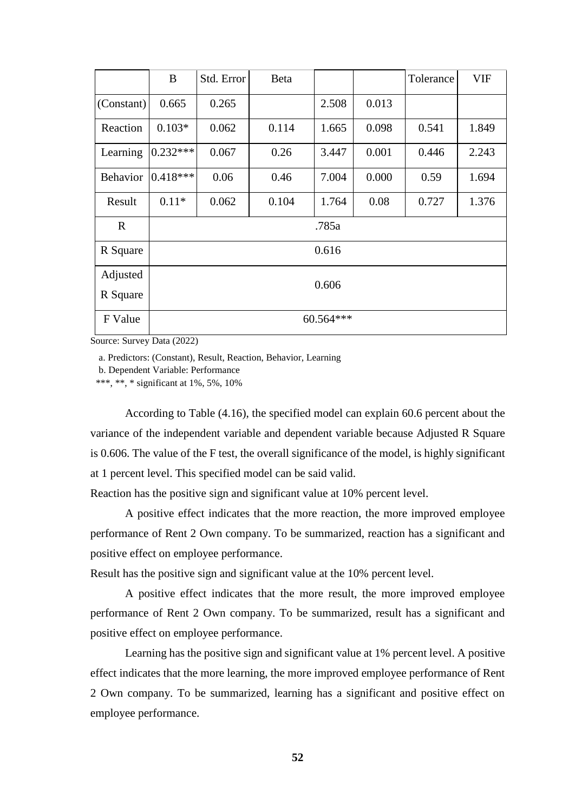|                 | B          | Std. Error | Beta  |       |       | Tolerance | <b>VIF</b> |  |  |  |  |
|-----------------|------------|------------|-------|-------|-------|-----------|------------|--|--|--|--|
| (Constant)      | 0.665      | 0.265      |       | 2.508 | 0.013 |           |            |  |  |  |  |
| Reaction        | $0.103*$   | 0.062      | 0.114 | 1.665 | 0.098 | 0.541     | 1.849      |  |  |  |  |
| Learning        | $0.232***$ | 0.067      | 0.26  | 3.447 | 0.001 | 0.446     | 2.243      |  |  |  |  |
| <b>Behavior</b> | $0.418***$ | 0.06       | 0.46  | 7.004 | 0.000 | 0.59      | 1.694      |  |  |  |  |
| Result          | $0.11*$    | 0.062      | 0.104 | 1.764 | 0.08  | 0.727     | 1.376      |  |  |  |  |
| $\mathbf{R}$    | .785a      |            |       |       |       |           |            |  |  |  |  |
| R Square        | 0.616      |            |       |       |       |           |            |  |  |  |  |
| Adjusted        | 0.606      |            |       |       |       |           |            |  |  |  |  |
| R Square        |            |            |       |       |       |           |            |  |  |  |  |
| F Value         | 60.564 *** |            |       |       |       |           |            |  |  |  |  |

a. Predictors: (Constant), Result, Reaction, Behavior, Learning

b. Dependent Variable: Performance

\*\*\*, \*\*, \* significant at 1%, 5%, 10%

According to Table (4.16), the specified model can explain 60.6 percent about the variance of the independent variable and dependent variable because Adjusted R Square is 0.606. The value of the F test, the overall significance of the model, is highly significant at 1 percent level. This specified model can be said valid.

Reaction has the positive sign and significant value at 10% percent level.

A positive effect indicates that the more reaction, the more improved employee performance of Rent 2 Own company. To be summarized, reaction has a significant and positive effect on employee performance.

Result has the positive sign and significant value at the 10% percent level.

A positive effect indicates that the more result, the more improved employee performance of Rent 2 Own company. To be summarized, result has a significant and positive effect on employee performance.

Learning has the positive sign and significant value at 1% percent level. A positive effect indicates that the more learning, the more improved employee performance of Rent 2 Own company. To be summarized, learning has a significant and positive effect on employee performance.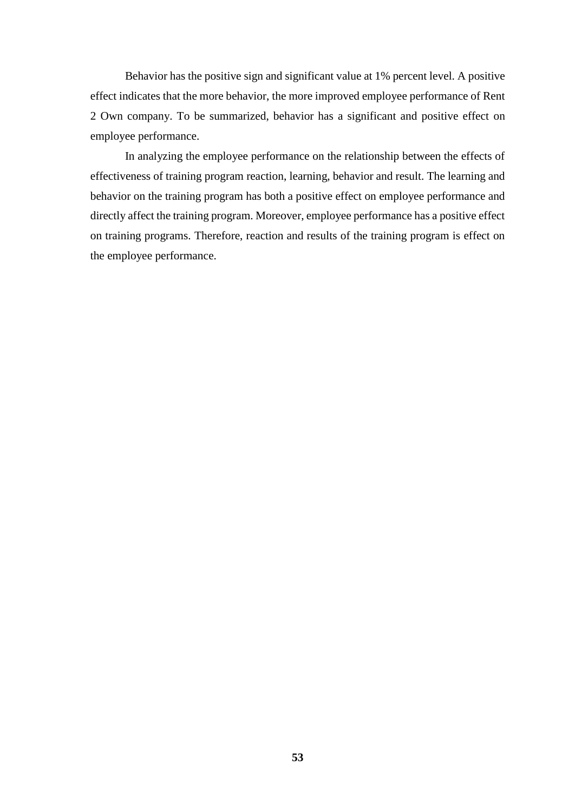Behavior has the positive sign and significant value at 1% percent level. A positive effect indicates that the more behavior, the more improved employee performance of Rent 2 Own company. To be summarized, behavior has a significant and positive effect on employee performance.

In analyzing the employee performance on the relationship between the effects of effectiveness of training program reaction, learning, behavior and result. The learning and behavior on the training program has both a positive effect on employee performance and directly affect the training program. Moreover, employee performance has a positive effect on training programs. Therefore, reaction and results of the training program is effect on the employee performance.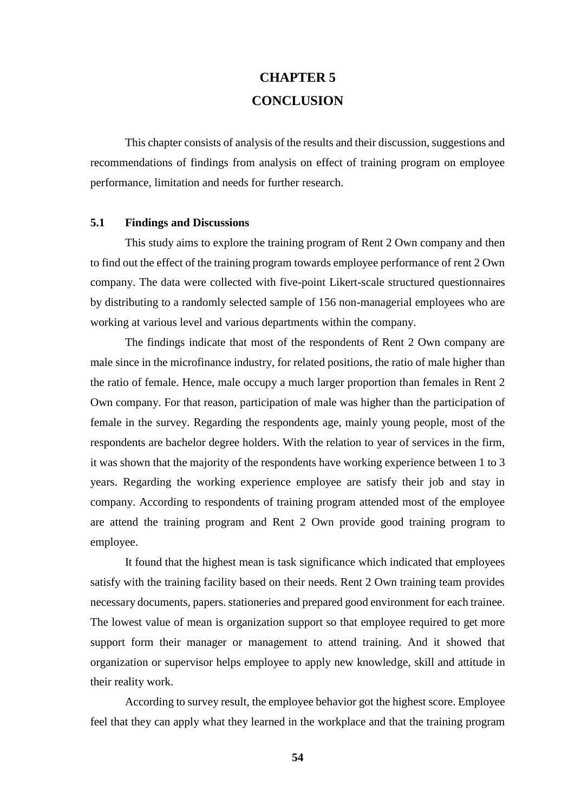# **CHAPTER 5 CONCLUSION**

This chapter consists of analysis of the results and their discussion, suggestions and recommendations of findings from analysis on effect of training program on employee performance, limitation and needs for further research.

#### **5.1 Findings and Discussions**

This study aims to explore the training program of Rent 2 Own company and then to find out the effect of the training program towards employee performance of rent 2 Own company. The data were collected with five-point Likert-scale structured questionnaires by distributing to a randomly selected sample of 156 non-managerial employees who are working at various level and various departments within the company.

The findings indicate that most of the respondents of Rent 2 Own company are male since in the microfinance industry, for related positions, the ratio of male higher than the ratio of female. Hence, male occupy a much larger proportion than females in Rent 2 Own company. For that reason, participation of male was higher than the participation of female in the survey. Regarding the respondents age, mainly young people, most of the respondents are bachelor degree holders. With the relation to year of services in the firm, it was shown that the majority of the respondents have working experience between 1 to 3 years. Regarding the working experience employee are satisfy their job and stay in company. According to respondents of training program attended most of the employee are attend the training program and Rent 2 Own provide good training program to employee.

It found that the highest mean is task significance which indicated that employees satisfy with the training facility based on their needs. Rent 2 Own training team provides necessary documents, papers. stationeries and prepared good environment for each trainee. The lowest value of mean is organization support so that employee required to get more support form their manager or management to attend training. And it showed that organization or supervisor helps employee to apply new knowledge, skill and attitude in their reality work.

According to survey result, the employee behavior got the highest score. Employee feel that they can apply what they learned in the workplace and that the training program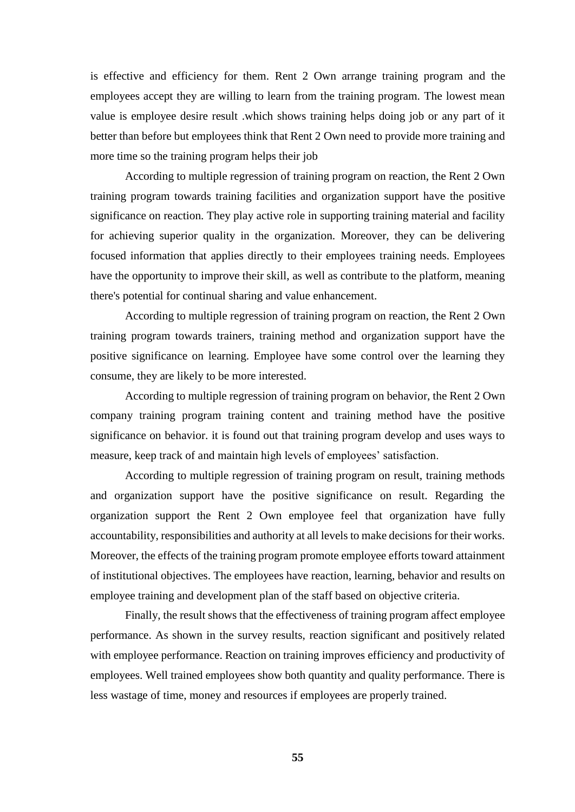is effective and efficiency for them. Rent 2 Own arrange training program and the employees accept they are willing to learn from the training program. The lowest mean value is employee desire result .which shows training helps doing job or any part of it better than before but employees think that Rent 2 Own need to provide more training and more time so the training program helps their job

According to multiple regression of training program on reaction, the Rent 2 Own training program towards training facilities and organization support have the positive significance on reaction. They play active role in supporting training material and facility for achieving superior quality in the organization. Moreover, they can be delivering focused information that applies directly to their employees training needs. Employees have the opportunity to improve their skill, as well as contribute to the platform, meaning there's potential for continual sharing and value enhancement.

According to multiple regression of training program on reaction, the Rent 2 Own training program towards trainers, training method and organization support have the positive significance on learning. Employee have some control over the learning they consume, they are likely to be more interested.

According to multiple regression of training program on behavior, the Rent 2 Own company training program training content and training method have the positive significance on behavior. it is found out that training program develop and uses ways to measure, keep track of and maintain high levels of employees' satisfaction.

According to multiple regression of training program on result, training methods and organization support have the positive significance on result. Regarding the organization support the Rent 2 Own employee feel that organization have fully accountability, responsibilities and authority at all levels to make decisions for their works. Moreover, the effects of the training program promote employee efforts toward attainment of institutional objectives. The employees have reaction, learning, behavior and results on employee training and development plan of the staff based on objective criteria.

Finally, the result shows that the effectiveness of training program affect employee performance. As shown in the survey results, reaction significant and positively related with employee performance. Reaction on training improves efficiency and productivity of employees. Well trained employees show both quantity and quality performance. There is less wastage of time, money and resources if employees are properly trained.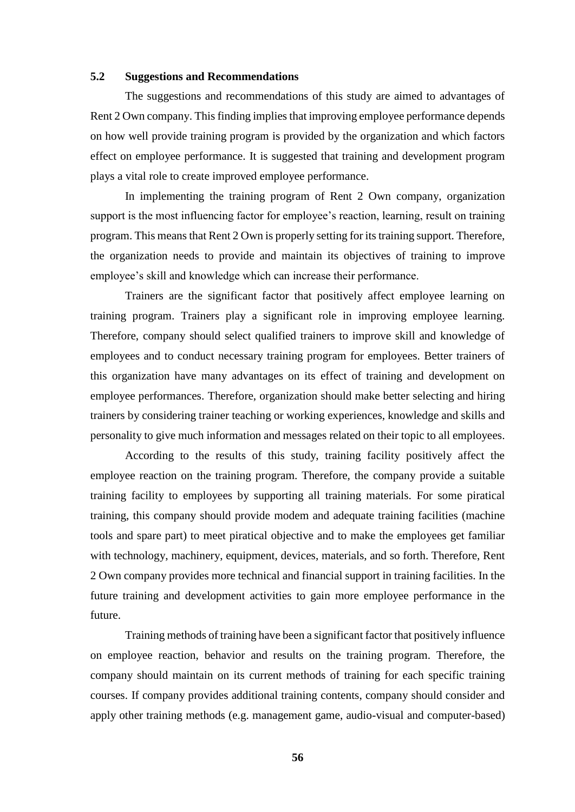#### **5.2 Suggestions and Recommendations**

The suggestions and recommendations of this study are aimed to advantages of Rent 2 Own company. This finding implies that improving employee performance depends on how well provide training program is provided by the organization and which factors effect on employee performance. It is suggested that training and development program plays a vital role to create improved employee performance.

In implementing the training program of Rent 2 Own company, organization support is the most influencing factor for employee's reaction, learning, result on training program. This means that Rent 2 Own is properly setting for its training support. Therefore, the organization needs to provide and maintain its objectives of training to improve employee's skill and knowledge which can increase their performance.

Trainers are the significant factor that positively affect employee learning on training program. Trainers play a significant role in improving employee learning. Therefore, company should select qualified trainers to improve skill and knowledge of employees and to conduct necessary training program for employees. Better trainers of this organization have many advantages on its effect of training and development on employee performances. Therefore, organization should make better selecting and hiring trainers by considering trainer teaching or working experiences, knowledge and skills and personality to give much information and messages related on their topic to all employees.

According to the results of this study, training facility positively affect the employee reaction on the training program. Therefore, the company provide a suitable training facility to employees by supporting all training materials. For some piratical training, this company should provide modem and adequate training facilities (machine tools and spare part) to meet piratical objective and to make the employees get familiar with technology, machinery, equipment, devices, materials, and so forth. Therefore, Rent 2 Own company provides more technical and financial support in training facilities. In the future training and development activities to gain more employee performance in the future.

Training methods of training have been a significant factor that positively influence on employee reaction, behavior and results on the training program. Therefore, the company should maintain on its current methods of training for each specific training courses. If company provides additional training contents, company should consider and apply other training methods (e.g. management game, audio-visual and computer-based)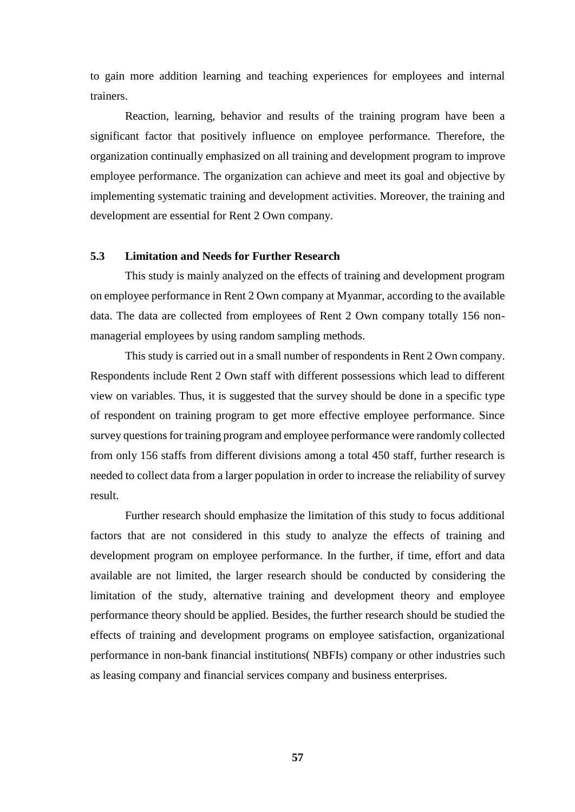to gain more addition learning and teaching experiences for employees and internal trainers.

Reaction, learning, behavior and results of the training program have been a significant factor that positively influence on employee performance. Therefore, the organization continually emphasized on all training and development program to improve employee performance. The organization can achieve and meet its goal and objective by implementing systematic training and development activities. Moreover, the training and development are essential for Rent 2 Own company.

#### **5.3 Limitation and Needs for Further Research**

This study is mainly analyzed on the effects of training and development program on employee performance in Rent 2 Own company at Myanmar, according to the available data. The data are collected from employees of Rent 2 Own company totally 156 nonmanagerial employees by using random sampling methods.

This study is carried out in a small number of respondents in Rent 2 Own company. Respondents include Rent 2 Own staff with different possessions which lead to different view on variables. Thus, it is suggested that the survey should be done in a specific type of respondent on training program to get more effective employee performance. Since survey questions for training program and employee performance were randomly collected from only 156 staffs from different divisions among a total 450 staff, further research is needed to collect data from a larger population in order to increase the reliability of survey result.

Further research should emphasize the limitation of this study to focus additional factors that are not considered in this study to analyze the effects of training and development program on employee performance. In the further, if time, effort and data available are not limited, the larger research should be conducted by considering the limitation of the study, alternative training and development theory and employee performance theory should be applied. Besides, the further research should be studied the effects of training and development programs on employee satisfaction, organizational performance in non-bank financial institutions( NBFIs) company or other industries such as leasing company and financial services company and business enterprises.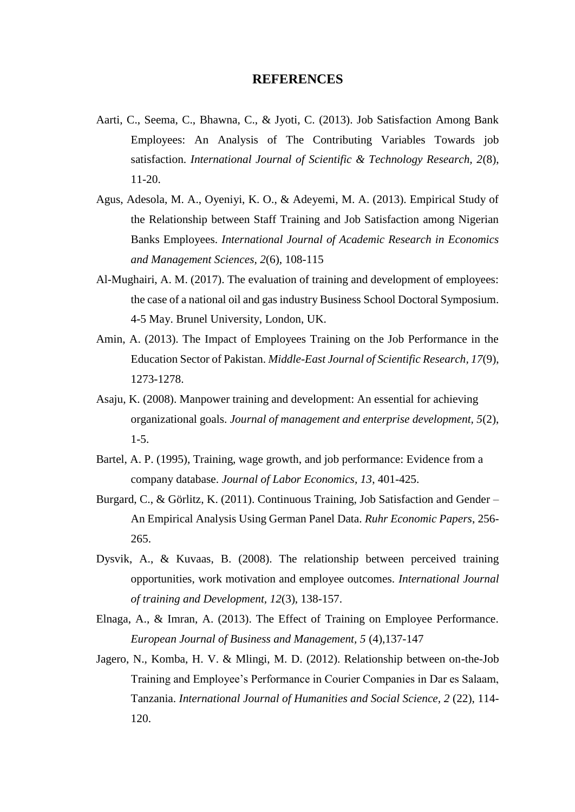# **REFERENCES**

- Aarti, C., Seema, C., Bhawna, C., & Jyoti, C. (2013). Job Satisfaction Among Bank Employees: An Analysis of The Contributing Variables Towards job satisfaction. *International Journal of Scientific & Technology Research, 2*(8), 11-20.
- Agus, Adesola, M. A., Oyeniyi, K. O., & Adeyemi, M. A. (2013). Empirical Study of the Relationship between Staff Training and Job Satisfaction among Nigerian Banks Employees. *International Journal of Academic Research in Economics and Management Sciences, 2*(6), 108-115
- Al-Mughairi, A. M. (2017). The evaluation of training and development of employees: the case of a national oil and gas industry Business School Doctoral Symposium. 4-5 May. Brunel University, London, UK.
- Amin, A. (2013). The Impact of Employees Training on the Job Performance in the Education Sector of Pakistan. *Middle-East Journal of Scientific Research, 17*(9), 1273-1278.
- Asaju, K. (2008). Manpower training and development: An essential for achieving organizational goals. *Journal of management and enterprise development, 5*(2), 1-5.
- Bartel, A. P. (1995), Training, wage growth, and job performance: Evidence from a company database. *Journal of Labor Economics, 13*, 401-425.
- Burgard, C., & Görlitz, K. (2011). Continuous Training, Job Satisfaction and Gender An Empirical Analysis Using German Panel Data. *Ruhr Economic Papers*, 256- 265.
- Dysvik, A., & Kuvaas, B. (2008). The relationship between perceived training opportunities, work motivation and employee outcomes. *International Journal of training and Development, 12*(3), 138-157.
- Elnaga, A., & Imran, A. (2013). The Effect of Training on Employee Performance. *European Journal of Business and Management, 5* (4),137-147
- Jagero, N., Komba, H. V. & Mlingi, M. D. (2012). Relationship between on-the-Job Training and Employee's Performance in Courier Companies in Dar es Salaam, Tanzania. *International Journal of Humanities and Social Science, 2* (22), 114- 120.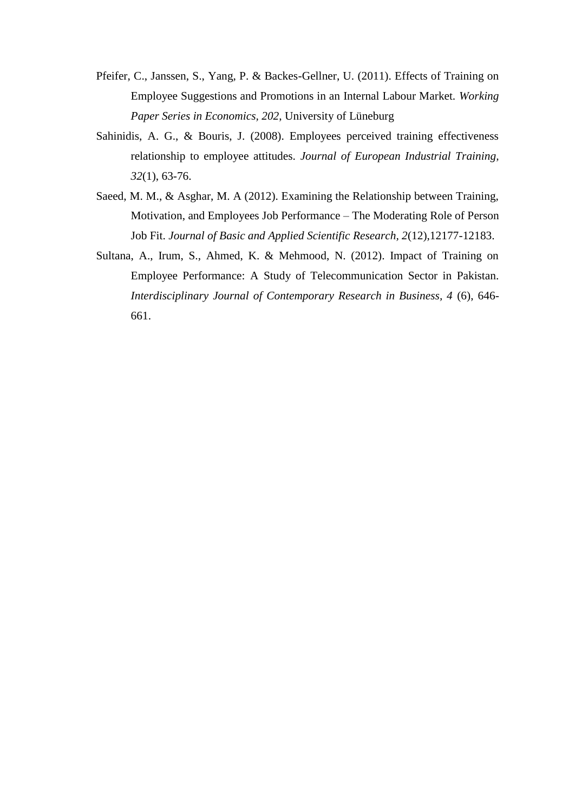- Pfeifer, C., Janssen, S., Yang, P. & Backes-Gellner, U. (2011). Effects of Training on Employee Suggestions and Promotions in an Internal Labour Market. *Working Paper Series in Economics, 202*, University of Lüneburg
- Sahinidis, A. G., & Bouris, J. (2008). Employees perceived training effectiveness relationship to employee attitudes. *Journal of European Industrial Training, 32*(1), 63-76.
- Saeed, M. M., & Asghar, M. A (2012). Examining the Relationship between Training, Motivation, and Employees Job Performance – The Moderating Role of Person Job Fit. *Journal of Basic and Applied Scientific Research, 2*(12),12177-12183.
- Sultana, A., Irum, S., Ahmed, K. & Mehmood, N. (2012). Impact of Training on Employee Performance: A Study of Telecommunication Sector in Pakistan. *Interdisciplinary Journal of Contemporary Research in Business, 4* (6), 646- 661.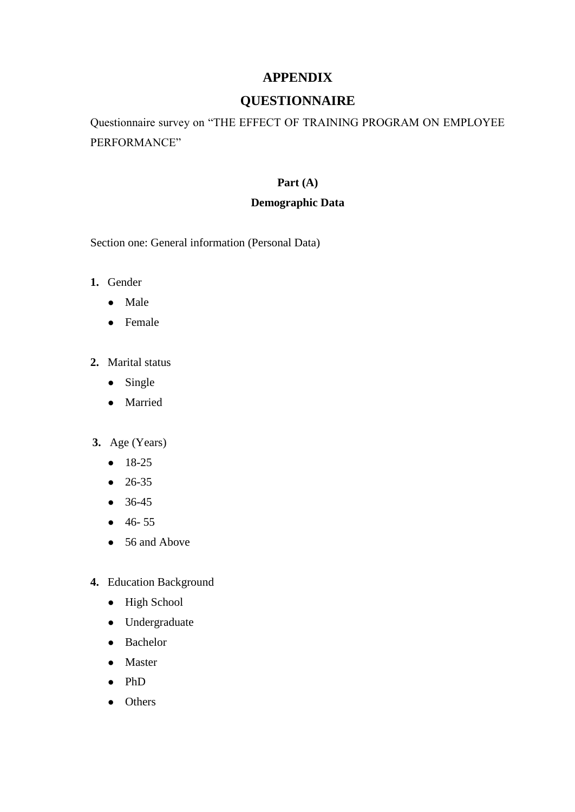# **APPENDIX**

# **QUESTIONNAIRE**

Questionnaire survey on "THE EFFECT OF TRAINING PROGRAM ON EMPLOYEE PERFORMANCE"

# **Part (A)**

# **Demographic Data**

Section one: General information (Personal Data)

- **1.** Gender
	- Male
	- Female
- **2.** Marital status
	- Single
	- Married
- **3.** Age (Years)
	- 18-25
	- 26-35
	- 36-45
	- 46- 55
	- 56 and Above
- **4.** Education Background
	- High School
	- Undergraduate
	- Bachelor
	- Master
	- PhD
	- Others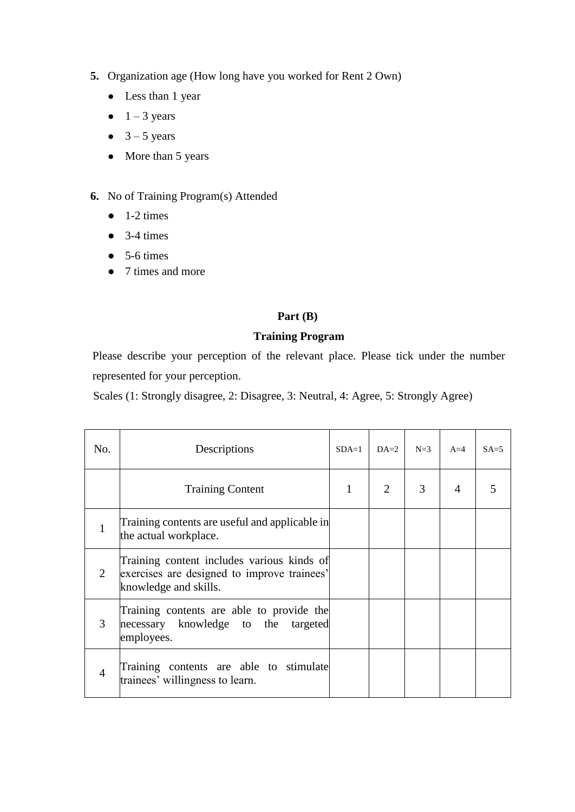- **5.** Organization age (How long have you worked for Rent 2 Own)
	- Less than 1 year
	- $\bullet$  1 3 years
	- $\bullet$  3 5 years
	- More than 5 years
- **6.** No of Training Program(s) Attended
	- $\bullet$  1-2 times
	- $\bullet$  3-4 times
	- $\bullet$  5-6 times
	- 7 times and more

# **Part (B)**

# **Training Program**

Please describe your perception of the relevant place. Please tick under the number represented for your perception.

Scales (1: Strongly disagree, 2: Disagree, 3: Neutral, 4: Agree, 5: Strongly Agree)

| No.                         | Descriptions                                                                                                       | $SDA=1$ | $DA=2$                      | $N=3$ | $A=4$ | $SA = 5$ |
|-----------------------------|--------------------------------------------------------------------------------------------------------------------|---------|-----------------------------|-------|-------|----------|
|                             | <b>Training Content</b>                                                                                            | 1       | $\mathcal{D}_{\mathcal{L}}$ | 3     | 4     |          |
|                             | Training contents are useful and applicable in<br>the actual workplace.                                            |         |                             |       |       |          |
| $\mathcal{D}_{\mathcal{L}}$ | Training content includes various kinds of<br>exercises are designed to improve trainees'<br>knowledge and skills. |         |                             |       |       |          |
| 3                           | Training contents are able to provide the<br>necessary knowledge to the targeted<br>employees.                     |         |                             |       |       |          |
| $\overline{4}$              | Training contents are able to stimulate<br>trainees' willingness to learn.                                         |         |                             |       |       |          |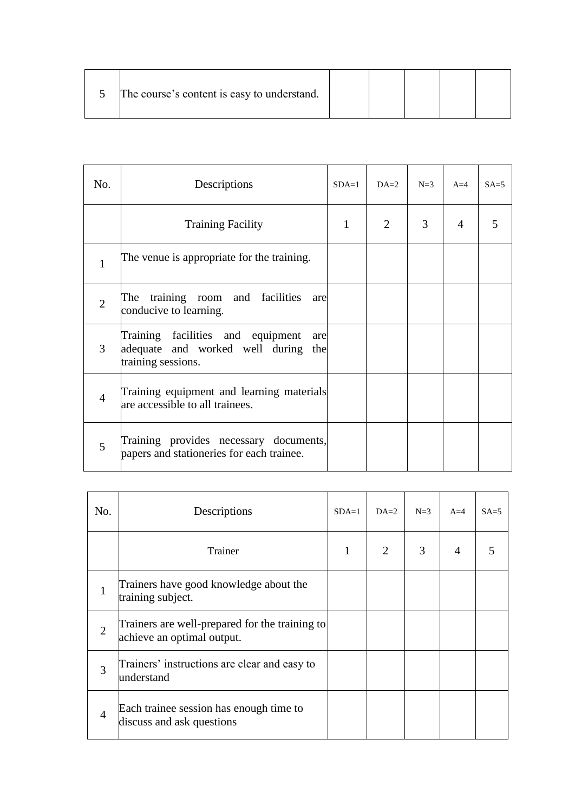| The course's content is easy to understand. |  |  |  |  |  |
|---------------------------------------------|--|--|--|--|--|
|---------------------------------------------|--|--|--|--|--|

| No.            | Descriptions                                                                                          | $SDA=1$ | $DA=2$         | $N=3$ | $A=4$ | $SA=5$ |
|----------------|-------------------------------------------------------------------------------------------------------|---------|----------------|-------|-------|--------|
|                | <b>Training Facility</b>                                                                              | 1       | $\overline{2}$ | 3     | 4     | 5      |
| 1              | The venue is appropriate for the training.                                                            |         |                |       |       |        |
| $\overline{2}$ | The training room and facilities are<br>conducive to learning.                                        |         |                |       |       |        |
| 3              | Training facilities and equipment<br>are<br>adequate and worked well during the<br>training sessions. |         |                |       |       |        |
| $\overline{4}$ | Training equipment and learning materials<br>are accessible to all trainees.                          |         |                |       |       |        |
| 5              | Training provides necessary documents,<br>papers and stationeries for each trainee.                   |         |                |       |       |        |

| No.            | Descriptions                                                                 | $SDA=1$ | $DA=2$ | $N=3$ | $A=4$ | $SA=5$ |
|----------------|------------------------------------------------------------------------------|---------|--------|-------|-------|--------|
|                | Trainer                                                                      | 1       | 2      | 3     | 4     | 5      |
|                | Trainers have good knowledge about the<br>training subject.                  |         |        |       |       |        |
| $\overline{2}$ | Trainers are well-prepared for the training to<br>achieve an optimal output. |         |        |       |       |        |
| 3              | Trainers' instructions are clear and easy to<br>understand                   |         |        |       |       |        |
| $\overline{4}$ | Each trainee session has enough time to<br>discuss and ask questions         |         |        |       |       |        |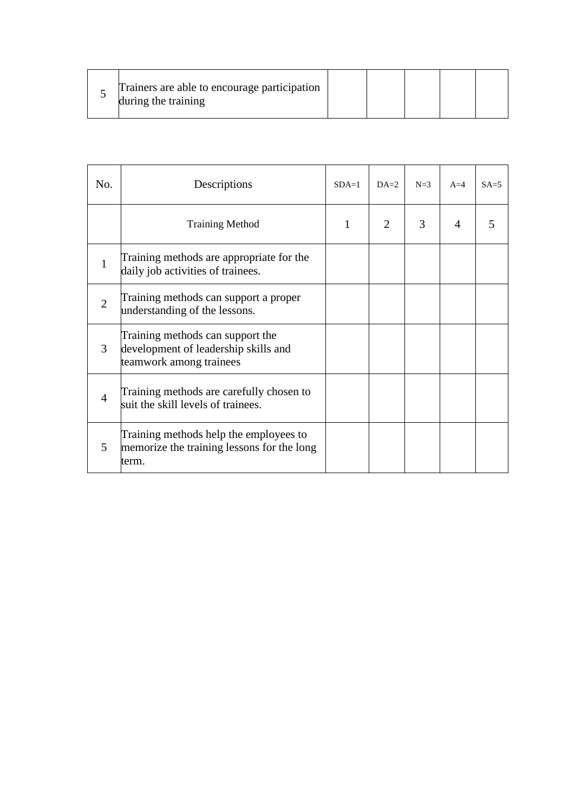| Trainers are able to encourage participation<br>during the training |  |  |  |  |  |  |  |
|---------------------------------------------------------------------|--|--|--|--|--|--|--|
|---------------------------------------------------------------------|--|--|--|--|--|--|--|

| No.            | Descriptions                                                                                        | $SDA=1$ | $DA=2$ | $N=3$ | $A=4$          | $SA = 5$ |
|----------------|-----------------------------------------------------------------------------------------------------|---------|--------|-------|----------------|----------|
|                | <b>Training Method</b>                                                                              | 1       | 2      | 3     | $\overline{4}$ |          |
| 1              | Training methods are appropriate for the<br>daily job activities of trainees.                       |         |        |       |                |          |
| $\overline{2}$ | Training methods can support a proper<br>understanding of the lessons.                              |         |        |       |                |          |
| 3              | Training methods can support the<br>development of leadership skills and<br>teamwork among trainees |         |        |       |                |          |
| $\overline{4}$ | Training methods are carefully chosen to<br>suit the skill levels of trainees.                      |         |        |       |                |          |
| 5              | Training methods help the employees to<br>memorize the training lessons for the long<br>term.       |         |        |       |                |          |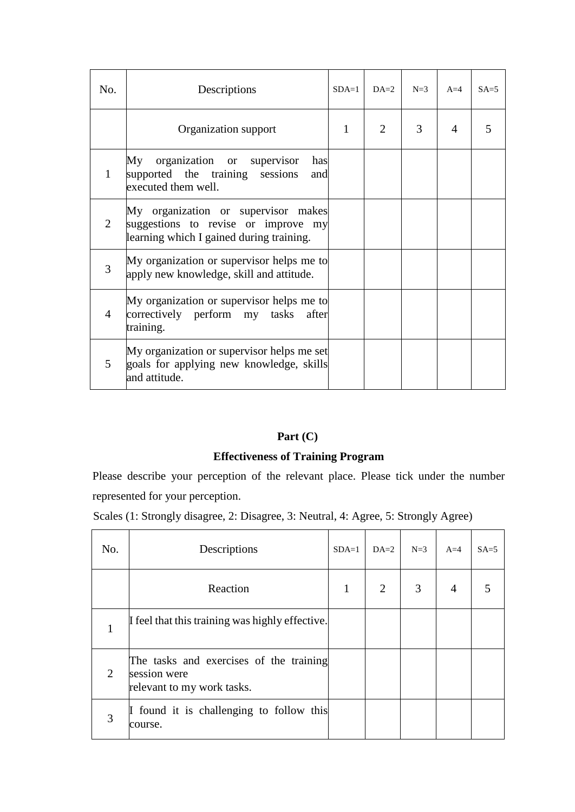| No.            | Descriptions                                                                                                           | $SDA=1$      | $DA=2$                      | $N=3$ | $A=4$          | $SA = 5$ |
|----------------|------------------------------------------------------------------------------------------------------------------------|--------------|-----------------------------|-------|----------------|----------|
|                | Organization support                                                                                                   | $\mathbf{1}$ | $\mathcal{D}_{\mathcal{L}}$ | 3     | $\overline{4}$ | 5        |
| 1              | organization or supervisor<br>My<br>has<br>supported the training sessions<br>and<br>executed them well.               |              |                             |       |                |          |
| 2              | My organization or supervisor makes<br>suggestions to revise or improve my<br>learning which I gained during training. |              |                             |       |                |          |
| 3              | My organization or supervisor helps me to<br>apply new knowledge, skill and attitude.                                  |              |                             |       |                |          |
| $\overline{4}$ | My organization or supervisor helps me to<br>correctively perform my tasks after<br>training.                          |              |                             |       |                |          |
| $\overline{5}$ | My organization or supervisor helps me set<br>goals for applying new knowledge, skills<br>and attitude.                |              |                             |       |                |          |

### **Part (C)**

## **Effectiveness of Training Program**

Please describe your perception of the relevant place. Please tick under the number represented for your perception.

Scales (1: Strongly disagree, 2: Disagree, 3: Neutral, 4: Agree, 5: Strongly Agree)

| No. | Descriptions                                                                          | $SDA=1$ | $DA=2$         | $N=3$ | $A=4$          | $SA = 5$ |
|-----|---------------------------------------------------------------------------------------|---------|----------------|-------|----------------|----------|
|     | Reaction                                                                              | 1       | $\overline{2}$ | 3     | $\overline{4}$ | 5        |
|     | If feel that this training was highly effective.                                      |         |                |       |                |          |
| 2   | The tasks and exercises of the training<br>session were<br>relevant to my work tasks. |         |                |       |                |          |
| 3   | If found it is challenging to follow this<br>course.                                  |         |                |       |                |          |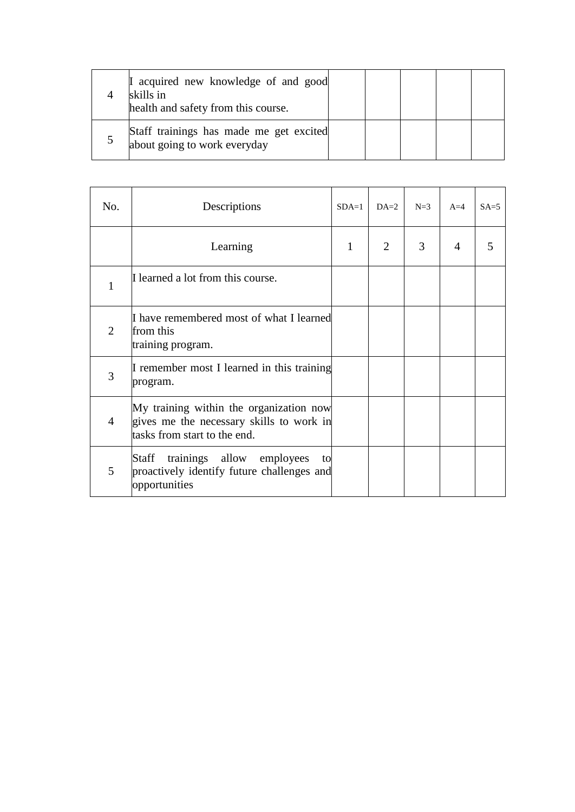| I acquired new knowledge of and good<br>skills in<br>health and safety from this course. |  |  |  |
|------------------------------------------------------------------------------------------|--|--|--|
| Staff trainings has made me get excited<br>about going to work everyday                  |  |  |  |

| No.            | Descriptions                                                                                                        | $SDA=1$ | $DA=2$ | $N=3$ | $A=4$ | $SA = 5$ |
|----------------|---------------------------------------------------------------------------------------------------------------------|---------|--------|-------|-------|----------|
|                | Learning                                                                                                            | 1       | 2      | 3     | 4     | 5        |
| 1              | I learned a lot from this course.                                                                                   |         |        |       |       |          |
| 2              | I have remembered most of what I learned<br>from this<br>training program.                                          |         |        |       |       |          |
| 3              | I remember most I learned in this training<br>program.                                                              |         |        |       |       |          |
| $\overline{4}$ | My training within the organization now<br>gives me the necessary skills to work in<br>tasks from start to the end. |         |        |       |       |          |
| 5              | trainings allow employees<br>Staff<br>to<br>proactively identify future challenges and<br>opportunities             |         |        |       |       |          |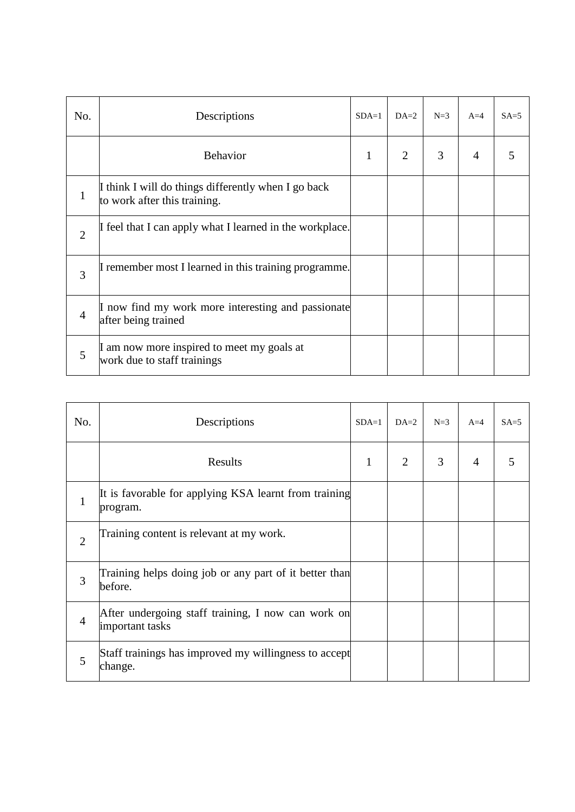| No.            | Descriptions                                                                        | $SDA=1$ | $DA=2$         | $N=3$ | $A=4$ | $SA = 5$ |
|----------------|-------------------------------------------------------------------------------------|---------|----------------|-------|-------|----------|
|                | <b>Behavior</b>                                                                     | 1       | $\overline{2}$ | 3     | 4     | 5        |
| $\mathbf{1}$   | I think I will do things differently when I go back<br>to work after this training. |         |                |       |       |          |
| $\overline{2}$ | If feel that I can apply what I learned in the workplace.                           |         |                |       |       |          |
| 3              | I remember most I learned in this training programme.                               |         |                |       |       |          |
| $\overline{4}$ | I now find my work more interesting and passionate<br>after being trained           |         |                |       |       |          |
| 5              | I am now more inspired to meet my goals at<br>work due to staff trainings           |         |                |       |       |          |

| No.            | Descriptions                                                          | $SDA=1$ | $DA=2$         | $N=3$ | $A=4$          | $SA=5$ |
|----------------|-----------------------------------------------------------------------|---------|----------------|-------|----------------|--------|
|                | Results                                                               | 1       | $\overline{2}$ | 3     | $\overline{4}$ | 5      |
| 1              | It is favorable for applying KSA learnt from training<br>program.     |         |                |       |                |        |
| $\overline{2}$ | Training content is relevant at my work.                              |         |                |       |                |        |
| 3              | Training helps doing job or any part of it better than<br>before.     |         |                |       |                |        |
| $\overline{4}$ | After undergoing staff training, I now can work on<br>important tasks |         |                |       |                |        |
| 5              | Staff trainings has improved my willingness to accept<br>change.      |         |                |       |                |        |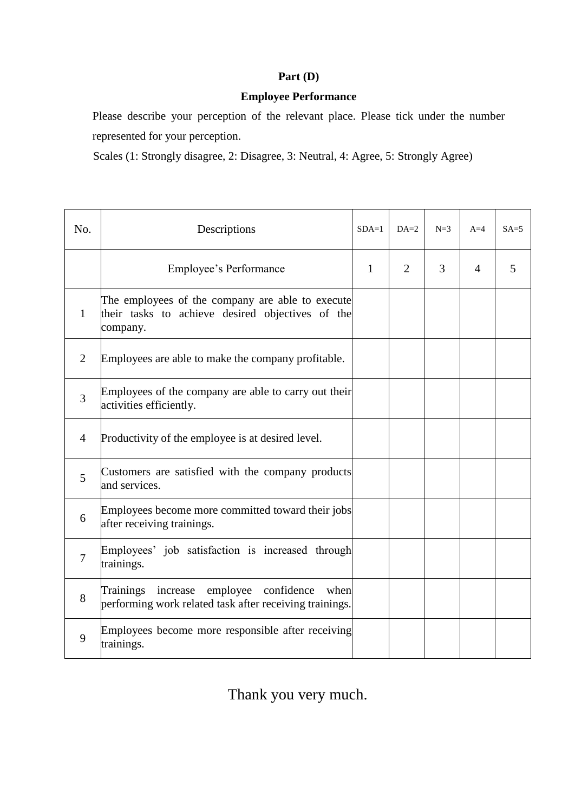### **Part (D)**

## **Employee Performance**

Please describe your perception of the relevant place. Please tick under the number represented for your perception.

Scales (1: Strongly disagree, 2: Disagree, 3: Neutral, 4: Agree, 5: Strongly Agree)

| No.            | Descriptions                                                                                                     | $SDA=1$ | $DA=2$ | $N=3$ | $A=4$          | $SA = 5$ |
|----------------|------------------------------------------------------------------------------------------------------------------|---------|--------|-------|----------------|----------|
|                | Employee's Performance                                                                                           | 1       | 2      | 3     | $\overline{4}$ | 5        |
| 1              | The employees of the company are able to execute<br>their tasks to achieve desired objectives of the<br>company. |         |        |       |                |          |
| $\overline{2}$ | Employees are able to make the company profitable.                                                               |         |        |       |                |          |
| 3              | Employees of the company are able to carry out their<br>activities efficiently.                                  |         |        |       |                |          |
| 4              | Productivity of the employee is at desired level.                                                                |         |        |       |                |          |
| 5              | Customers are satisfied with the company products<br>and services.                                               |         |        |       |                |          |
| 6              | Employees become more committed toward their jobs<br>after receiving trainings.                                  |         |        |       |                |          |
| $\overline{7}$ | Employees' job satisfaction is increased through<br>trainings.                                                   |         |        |       |                |          |
| 8              | employee confidence<br>Trainings increase<br>when<br>performing work related task after receiving trainings.     |         |        |       |                |          |
| 9              | Employees become more responsible after receiving<br>trainings.                                                  |         |        |       |                |          |

Thank you very much.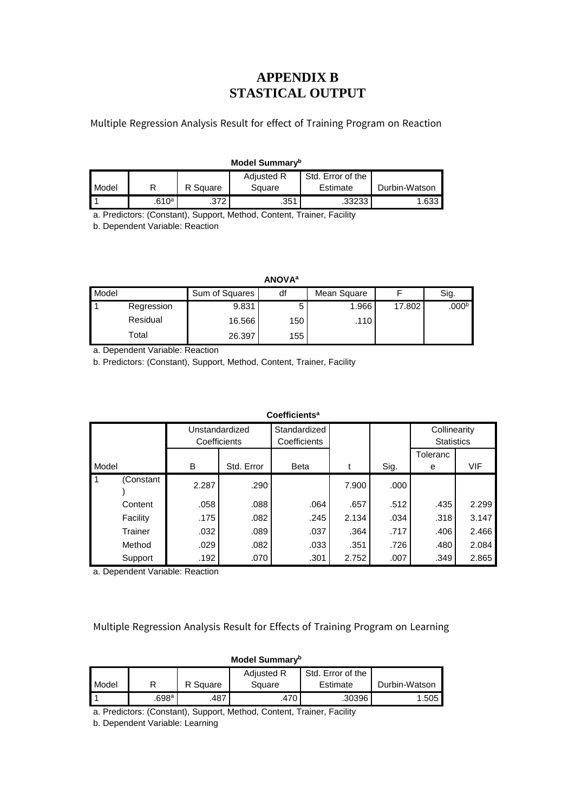## **APPENDIX B STASTICAL OUTPUT**

Multiple Regression Analysis Result for effect of Training Program on Reaction

#### **Model Summary<sup>b</sup>**

|       |                   |          | <b>Adiusted R</b> | Std. Error of the |               |
|-------|-------------------|----------|-------------------|-------------------|---------------|
| Model |                   | R Square | Square            | Estimate          | Durbin-Watson |
|       | .610 <sup>a</sup> | .372     | .35 <sup>4</sup>  | .33233            | .633          |

a. Predictors: (Constant), Support, Method, Content, Trainer, Facility

b. Dependent Variable: Reaction

**ANOVA<sup>a</sup>**

| Model |            | Sum of Squares | df  | Mean Square |        | Sig.              |
|-------|------------|----------------|-----|-------------|--------|-------------------|
|       | Regression | 9.831          |     | 1.966       | 17.802 | .000 <sup>b</sup> |
|       | Residual   | 16.566         | 150 | .110        |        |                   |
|       | Total      | 26.397         | 155 |             |        |                   |

a. Dependent Variable: Reaction

b. Predictors: (Constant), Support, Method, Content, Trainer, Facility

|                                | Coefficients <sup>a</sup> |            |                              |       |      |                                   |            |  |  |  |
|--------------------------------|---------------------------|------------|------------------------------|-------|------|-----------------------------------|------------|--|--|--|
| Unstandardized<br>Coefficients |                           |            | Standardized<br>Coefficients |       |      | Collinearity<br><b>Statistics</b> |            |  |  |  |
| Model                          | B                         | Std. Error | <b>Beta</b>                  |       | Sig. | Toleranc<br>e                     | <b>VIF</b> |  |  |  |
| $\overline{1}$<br>(Constant    | 2.287                     | .290       |                              | 7.900 | .000 |                                   |            |  |  |  |
| Content                        | .058                      | .088       | .064                         | .657  | .512 | .435                              | 2.299      |  |  |  |
| Facility                       | .175                      | .082       | .245                         | 2.134 | .034 | .318                              | 3.147      |  |  |  |
| Trainer                        | .032                      | .089       | .037                         | .364  | .717 | .406                              | 2.466      |  |  |  |
| Method                         | .029                      | .082       | .033                         | .351  | .726 | .480                              | 2.084      |  |  |  |
| Support                        | .192                      | .070       | .301                         | 2.752 | .007 | .349                              | 2.865      |  |  |  |

a. Dependent Variable: Reaction

Multiple Regression Analysis Result for Effects of Training Program on Learning

|       | Model Summary <sup>b</sup>             |          |        |          |               |  |  |  |
|-------|----------------------------------------|----------|--------|----------|---------------|--|--|--|
|       | Std. Error of the<br><b>Adjusted R</b> |          |        |          |               |  |  |  |
| Model |                                        | R Square | Square | Estimate | Durbin-Watson |  |  |  |
|       | $.698$ a                               | .487     | .470   | .30396   | 1.505         |  |  |  |

a. Predictors: (Constant), Support, Method, Content, Trainer, Facility

b. Dependent Variable: Learning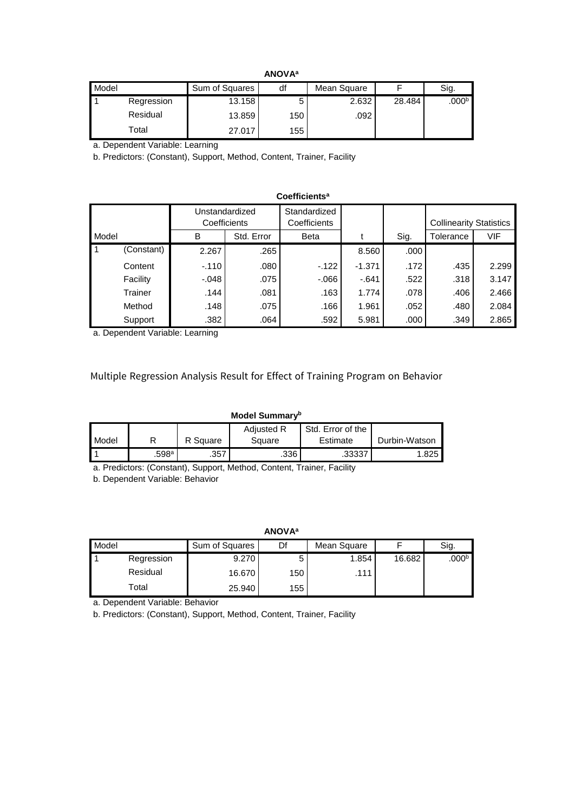| Model |            | Sum of Squares | df  | Mean Square |        | Sig.              |
|-------|------------|----------------|-----|-------------|--------|-------------------|
|       | Regression | 13.158         |     | 2.632       | 28.484 | .000 <sup>b</sup> |
|       | Residual   | 13.859         | 150 | .092        |        |                   |
|       | Total      | 27.017         | 155 |             |        |                   |

a. Dependent Variable: Learning

b. Predictors: (Constant), Support, Method, Content, Trainer, Facility

|           | Coefficients <sup>a</sup> |         |                                |                              |          |      |                                |       |  |  |
|-----------|---------------------------|---------|--------------------------------|------------------------------|----------|------|--------------------------------|-------|--|--|
|           |                           |         | Unstandardized<br>Coefficients | Standardized<br>Coefficients |          |      | <b>Collinearity Statistics</b> |       |  |  |
| Model     |                           | B       | Std. Error                     | <b>Beta</b>                  |          | Sig. | Tolerance                      | VIF   |  |  |
| $\vert$ 1 | (Constant)                | 2.267   | .265                           |                              | 8.560    | .000 |                                |       |  |  |
|           | Content                   | $-.110$ | .080                           | $-122$                       | $-1.371$ | .172 | .435                           | 2.299 |  |  |
|           | Facility                  | -.048   | .075                           | -.066                        | $-.641$  | .522 | .318                           | 3.147 |  |  |
|           | Trainer                   | .144    | .081                           | .163                         | 1.774    | .078 | .406                           | 2.466 |  |  |
|           | Method                    | .148    | .075                           | .166                         | 1.961    | .052 | .480                           | 2.084 |  |  |
|           | Support                   | .382    | .064                           | .592                         | 5.981    | .000 | .349                           | 2.865 |  |  |

a. Dependent Variable: Learning

Multiple Regression Analysis Result for Effect of Training Program on Behavior

### **Model Summary<sup>b</sup>**

|              |          |          | <b>Adiusted R</b> | Std. Error of the |               |
|--------------|----------|----------|-------------------|-------------------|---------------|
|              |          |          |                   |                   |               |
| <b>Model</b> |          | R Square | Square            | Estimate          | Durbin-Watson |
|              | $.598$ a | .357     | .336              | .33337            | 1.825         |

a. Predictors: (Constant), Support, Method, Content, Trainer, Facility

b. Dependent Variable: Behavior

**ANOVA<sup>a</sup>**

| Model |            | Sum of Squares | Df  | Mean Square |        | Sig.              |
|-------|------------|----------------|-----|-------------|--------|-------------------|
|       | Regression | 9.270          |     | 1.854       | 16.682 | .000 <sup>b</sup> |
|       | Residual   | 16.670         | 150 | .111        |        |                   |
|       | Total      | 25.940         | 155 |             |        |                   |

a. Dependent Variable: Behavior

b. Predictors: (Constant), Support, Method, Content, Trainer, Facility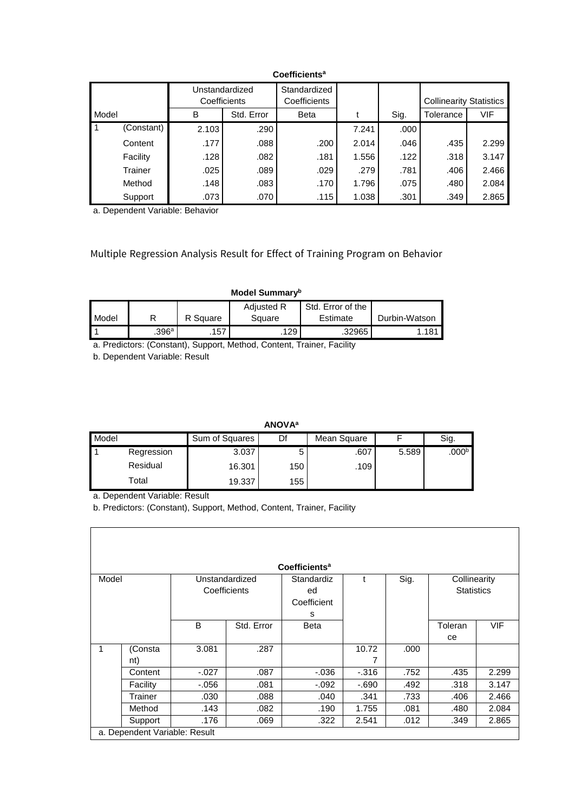|                                | Coemcients" |                              |            |             |                                |      |           |       |
|--------------------------------|-------------|------------------------------|------------|-------------|--------------------------------|------|-----------|-------|
| Unstandardized<br>Coefficients |             | Standardized<br>Coefficients |            |             | <b>Collinearity Statistics</b> |      |           |       |
| Model                          |             | B                            | Std. Error | <b>Beta</b> |                                | Sig. | Tolerance | VIF   |
| l 1                            | (Constant)  | 2.103                        | .290       |             | 7.241                          | .000 |           |       |
|                                | Content     | .177                         | .088       | .200        | 2.014                          | .046 | .435      | 2.299 |
|                                | Facility    | .128                         | .082       | .181        | 1.556                          | .122 | .318      | 3.147 |
|                                | Trainer     | .025                         | .089       | .029        | .279                           | .781 | .406      | 2.466 |
|                                | Method      | .148                         | .083       | .170        | 1.796                          | .075 | .480      | 2.084 |
|                                | Support     | .073                         | .070       | .115        | 1.038                          | .301 | .349      | 2.865 |

**Coefficients<sup>a</sup>**

a. Dependent Variable: Behavior

## Multiple Regression Analysis Result for Effect of Training Program on Behavior

### **Model Summary<sup>b</sup>**

|       |                     |          | <b>Adiusted R</b> | Std. Error of the |                |
|-------|---------------------|----------|-------------------|-------------------|----------------|
| Model |                     | R Square | Square            | Estimate          | Durbin-Watson  |
|       | $.396^{\mathrm{a}}$ | .157     | 129               | .32965            | $.18^{\prime}$ |

a. Predictors: (Constant), Support, Method, Content, Trainer, Facility

b. Dependent Variable: Result

**ANOVA<sup>a</sup>**

| Model |            | Sum of Squares | Df  | Mean Square |       | Sig.                |
|-------|------------|----------------|-----|-------------|-------|---------------------|
|       | Regression | 3.037          |     | .607        | 5.589 | $.000^{\mathrm{b}}$ |
|       | Residual   | 16.301         | 150 | .109        |       |                     |
|       | Total      | 19.337         | 155 |             |       |                     |

a. Dependent Variable: Result

 $\Gamma$ 

b. Predictors: (Constant), Support, Method, Content, Trainer, Facility

| Coefficients <sup>a</sup> |                               |                                |            |                                      |              |      |                                   |            |  |  |
|---------------------------|-------------------------------|--------------------------------|------------|--------------------------------------|--------------|------|-----------------------------------|------------|--|--|
| Model                     |                               | Unstandardized<br>Coefficients |            | Standardiz<br>ed<br>Coefficient<br>s | $\mathsf{t}$ | Sig. | Collinearity<br><b>Statistics</b> |            |  |  |
|                           |                               | B                              | Std. Error | Beta                                 |              |      | Toleran<br>ce                     | <b>VIF</b> |  |  |
|                           | (Consta<br>nt)                | 3.081                          | .287       |                                      | 10.72<br>7   | .000 |                                   |            |  |  |
|                           | Content                       | $-.027$                        | .087       | $-0.036$                             | $-0.316$     | .752 | .435                              | 2.299      |  |  |
|                           | Facility                      | $-0.056$                       | .081       | $-.092$                              | $-690$       | .492 | .318                              | 3.147      |  |  |
|                           | Trainer                       | .030                           | .088       | .040                                 | .341         | .733 | .406                              | 2.466      |  |  |
|                           | Method                        | .143                           | .082       | .190                                 | 1.755        | .081 | .480                              | 2.084      |  |  |
|                           | Support                       | .176                           | .069       | .322                                 | 2.541        | .012 | .349                              | 2.865      |  |  |
|                           | a. Dependent Variable: Result |                                |            |                                      |              |      |                                   |            |  |  |

٦